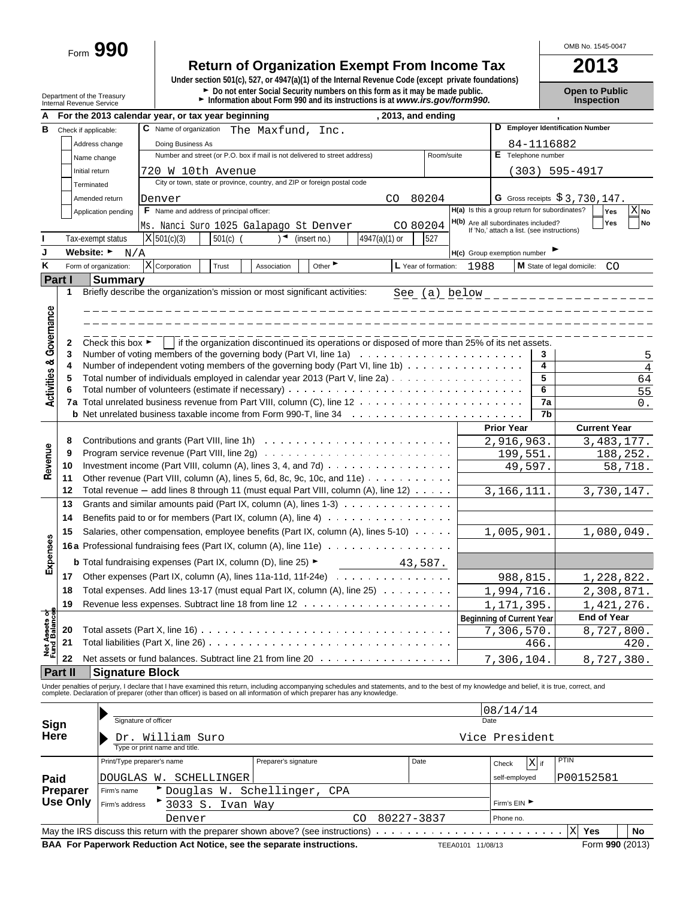Form **990**

# **Return of Organization Exempt From Income Tax 2013**

**Under section 501(c), 527, or 4947(a)(1) of the Internal Revenue Code (except private foundations)** Department of the Treasury **Depention Public**<br>Department of the Treasury **Depention Public**<br>Internal Revenue Service **Depention internal of the Conduct Propertion** 

OMB No. 1545-0047

|                                    |                             |                                                                                                 | For the 2013 calendar year, or tax year beginning                                                                                                                                             |             |                                                                            |              |                             |               |  | , 2013, and ending        |      |                                                                                   |            |                                  |                     |  |  |
|------------------------------------|-----------------------------|-------------------------------------------------------------------------------------------------|-----------------------------------------------------------------------------------------------------------------------------------------------------------------------------------------------|-------------|----------------------------------------------------------------------------|--------------|-----------------------------|---------------|--|---------------------------|------|-----------------------------------------------------------------------------------|------------|----------------------------------|---------------------|--|--|
| В                                  |                             | Check if applicable:                                                                            | C Name of organization                                                                                                                                                                        |             | The Maxfund, Inc.                                                          |              |                             |               |  |                           |      |                                                                                   |            | D Employer Identification Number |                     |  |  |
|                                    |                             | Address change                                                                                  | Doing Business As                                                                                                                                                                             |             |                                                                            |              |                             |               |  |                           |      |                                                                                   | 84-1116882 |                                  |                     |  |  |
|                                    |                             | Name change                                                                                     |                                                                                                                                                                                               |             | Number and street (or P.O. box if mail is not delivered to street address) |              |                             |               |  | Room/suite                |      | E Telephone number                                                                |            |                                  |                     |  |  |
|                                    |                             | Initial return                                                                                  | 720 W 10th Avenue                                                                                                                                                                             |             |                                                                            |              |                             |               |  |                           |      |                                                                                   |            | $(303)$ 595-4917                 |                     |  |  |
|                                    |                             | Terminated                                                                                      |                                                                                                                                                                                               |             | City or town, state or province, country, and ZIP or foreign postal code   |              |                             |               |  |                           |      |                                                                                   |            |                                  |                     |  |  |
|                                    |                             | Amended return                                                                                  |                                                                                                                                                                                               |             |                                                                            |              |                             |               |  |                           |      |                                                                                   |            | G Gross receipts $$3,730,147$ .  |                     |  |  |
|                                    |                             |                                                                                                 | Denver<br>F Name and address of principal officer:                                                                                                                                            |             |                                                                            |              |                             | CO.           |  | 80204                     |      | H(a) Is this a group return for subordinates?                                     |            | Yes                              | $X_{N0}$            |  |  |
|                                    |                             | Application pending                                                                             |                                                                                                                                                                                               |             |                                                                            |              |                             |               |  |                           |      |                                                                                   |            | Yes                              | <b>No</b>           |  |  |
|                                    |                             |                                                                                                 | Ms. Nanci Suro 1025 Galapago St Denver                                                                                                                                                        |             |                                                                            |              |                             |               |  | CO 80204                  |      | H(b) Are all subordinates included?<br>If 'No,' attach a list. (see instructions) |            |                                  |                     |  |  |
|                                    |                             | Tax-exempt status                                                                               | X 501(c)(3)                                                                                                                                                                                   | $501(c)$ (  |                                                                            | (insert no.) |                             | 4947(a)(1) or |  | 527                       |      |                                                                                   |            |                                  |                     |  |  |
| J                                  |                             | Website: ►<br>N/A                                                                               |                                                                                                                                                                                               |             |                                                                            |              |                             |               |  |                           |      | H(c) Group exemption number                                                       |            |                                  |                     |  |  |
| Κ                                  |                             | Form of organization:                                                                           | $X$ Corporation                                                                                                                                                                               | Trust       | Association                                                                |              | Other $\blacktriangleright$ |               |  | L Year of formation:      | 1988 |                                                                                   |            | M State of legal domicile:<br>CO |                     |  |  |
|                                    | Part I                      | <b>Summary</b>                                                                                  |                                                                                                                                                                                               |             |                                                                            |              |                             |               |  |                           |      |                                                                                   |            |                                  |                     |  |  |
|                                    | 1                           |                                                                                                 | Briefly describe the organization's mission or most significant activities:                                                                                                                   |             |                                                                            |              |                             |               |  | See (a) below             |      |                                                                                   |            |                                  |                     |  |  |
|                                    |                             |                                                                                                 |                                                                                                                                                                                               |             |                                                                            |              |                             |               |  |                           |      |                                                                                   |            |                                  |                     |  |  |
| <b>Activities &amp; Governance</b> |                             |                                                                                                 |                                                                                                                                                                                               |             |                                                                            |              |                             |               |  |                           |      |                                                                                   |            |                                  |                     |  |  |
|                                    |                             | if the organization discontinued its operations or disposed of more than 25% of its net assets. |                                                                                                                                                                                               |             |                                                                            |              |                             |               |  |                           |      |                                                                                   |            |                                  |                     |  |  |
|                                    | 2                           | Check this box $\blacktriangleright$                                                            |                                                                                                                                                                                               |             |                                                                            |              |                             |               |  |                           |      |                                                                                   |            |                                  |                     |  |  |
|                                    | 3                           |                                                                                                 | Number of voting members of the governing body (Part VI, line 1a)                                                                                                                             |             |                                                                            |              |                             |               |  |                           |      |                                                                                   | 3          |                                  | 5                   |  |  |
|                                    | 4                           |                                                                                                 | Number of independent voting members of the governing body (Part VI, line 1b)                                                                                                                 |             |                                                                            |              |                             |               |  |                           |      |                                                                                   | 4          |                                  | $\overline{4}$      |  |  |
|                                    | 5                           |                                                                                                 | Total number of individuals employed in calendar year 2013 (Part V, line 2a)                                                                                                                  |             |                                                                            |              |                             |               |  |                           |      |                                                                                   | 5<br>6     |                                  | 64                  |  |  |
|                                    | 6<br>7a                     |                                                                                                 |                                                                                                                                                                                               |             |                                                                            |              |                             |               |  |                           |      |                                                                                   | 7a         |                                  | 55                  |  |  |
|                                    |                             |                                                                                                 |                                                                                                                                                                                               |             |                                                                            |              |                             |               |  |                           |      |                                                                                   | 7b         |                                  | 0.                  |  |  |
|                                    |                             |                                                                                                 |                                                                                                                                                                                               |             |                                                                            |              |                             |               |  |                           |      | <b>Prior Year</b>                                                                 |            | <b>Current Year</b>              |                     |  |  |
|                                    |                             |                                                                                                 |                                                                                                                                                                                               |             |                                                                            |              |                             |               |  |                           |      |                                                                                   |            |                                  |                     |  |  |
|                                    | 8<br>9                      |                                                                                                 |                                                                                                                                                                                               |             |                                                                            |              |                             |               |  |                           |      | 2,916,963.                                                                        |            |                                  | 3, 483, 177.        |  |  |
| Revenue                            | 10                          |                                                                                                 | Investment income (Part VIII, column (A), lines 3, 4, and 7d) $\ldots \ldots \ldots \ldots \ldots$                                                                                            |             |                                                                            |              |                             |               |  |                           |      | 199,551.<br>49,597.                                                               |            |                                  | 188,252.<br>58,718. |  |  |
|                                    | 11                          |                                                                                                 | Other revenue (Part VIII, column $(A)$ , lines 5, 6d, 8c, 9c, 10c, and 11e) $\ldots \ldots \ldots$                                                                                            |             |                                                                            |              |                             |               |  |                           |      |                                                                                   |            |                                  |                     |  |  |
|                                    | 12                          |                                                                                                 | Total revenue - add lines 8 through 11 (must equal Part VIII, column (A), line 12)                                                                                                            |             |                                                                            |              |                             |               |  |                           |      | 3, 166, 111.                                                                      |            |                                  | 3,730,147.          |  |  |
|                                    | 13                          |                                                                                                 |                                                                                                                                                                                               |             |                                                                            |              |                             |               |  |                           |      |                                                                                   |            |                                  |                     |  |  |
|                                    | 14                          | Grants and similar amounts paid (Part IX, column (A), lines 1-3) $\ldots$                       |                                                                                                                                                                                               |             |                                                                            |              |                             |               |  |                           |      |                                                                                   |            |                                  |                     |  |  |
|                                    |                             |                                                                                                 |                                                                                                                                                                                               |             |                                                                            |              |                             |               |  |                           |      |                                                                                   |            |                                  |                     |  |  |
|                                    | 15                          |                                                                                                 | Salaries, other compensation, employee benefits (Part IX, column (A), lines 5-10)                                                                                                             |             |                                                                            |              |                             |               |  |                           |      | 1,005,901.                                                                        | 1,080,049. |                                  |                     |  |  |
| Expenses                           |                             |                                                                                                 | <b>16a</b> Professional fundraising fees (Part IX, column (A), line 11e)                                                                                                                      |             |                                                                            |              |                             |               |  |                           |      |                                                                                   |            |                                  |                     |  |  |
|                                    |                             |                                                                                                 | <b>b</b> Total fundraising expenses (Part IX, column (D), line 25) ►                                                                                                                          |             |                                                                            |              |                             |               |  | 43,587.                   |      |                                                                                   |            |                                  |                     |  |  |
|                                    | 17                          |                                                                                                 | Other expenses (Part IX, column (A), lines 11a-11d, 11f-24e) $\cdots$                                                                                                                         |             |                                                                            |              |                             |               |  |                           |      | 988,815.                                                                          |            | 1,228,822.                       |                     |  |  |
|                                    | 18                          |                                                                                                 | Total expenses. Add lines 13-17 (must equal Part IX, column (A), line 25)                                                                                                                     |             |                                                                            |              |                             |               |  |                           |      | 1,994,716.                                                                        |            |                                  | 2,308,871.          |  |  |
|                                    | 19                          |                                                                                                 |                                                                                                                                                                                               |             |                                                                            |              |                             |               |  |                           |      | 1,171,395.                                                                        |            |                                  | 1,421,276.          |  |  |
| তিয়া                              |                             |                                                                                                 |                                                                                                                                                                                               |             |                                                                            |              |                             |               |  |                           |      | <b>Beginning of Current Year</b>                                                  |            | End of Year                      |                     |  |  |
|                                    | 20                          |                                                                                                 | Total assets (Part X, line 16)                                                                                                                                                                |             |                                                                            |              |                             |               |  |                           |      | 7,306,570.                                                                        |            |                                  | 8,727,800.          |  |  |
| <b>Net Assets</b><br>Fund Balanc   | 21                          |                                                                                                 | Total liabilities (Part X, line 26)                                                                                                                                                           |             |                                                                            |              |                             |               |  |                           |      |                                                                                   | 466.       |                                  | 420.                |  |  |
|                                    | 22                          |                                                                                                 | Net assets or fund balances. Subtract line 21 from line 20                                                                                                                                    |             |                                                                            |              |                             |               |  |                           |      | 7,306,104                                                                         |            |                                  | 8,727,380.          |  |  |
|                                    | Part II                     | <b>Signature Block</b>                                                                          |                                                                                                                                                                                               |             |                                                                            |              |                             |               |  |                           |      |                                                                                   |            |                                  |                     |  |  |
|                                    |                             |                                                                                                 | Under penalties of perjury, I declare that I have examined this return, including accompanying schedules and statements, and to the best of my knowledge and belief, it is true, correct, and |             |                                                                            |              |                             |               |  |                           |      |                                                                                   |            |                                  |                     |  |  |
|                                    |                             |                                                                                                 | complete. Declaration of preparer (other than officer) is based on all information of which preparer has any knowledge.                                                                       |             |                                                                            |              |                             |               |  |                           |      |                                                                                   |            |                                  |                     |  |  |
|                                    |                             |                                                                                                 |                                                                                                                                                                                               |             |                                                                            |              |                             |               |  |                           |      | 08/14/14                                                                          |            |                                  |                     |  |  |
| Sign                               |                             |                                                                                                 | Signature of officer                                                                                                                                                                          |             |                                                                            |              |                             |               |  |                           |      | Date                                                                              |            |                                  |                     |  |  |
| Here                               |                             |                                                                                                 | Dr. William Suro                                                                                                                                                                              |             |                                                                            |              |                             |               |  |                           |      | Vice President                                                                    |            |                                  |                     |  |  |
|                                    |                             |                                                                                                 | Type or print name and title.                                                                                                                                                                 |             |                                                                            |              |                             |               |  |                           |      |                                                                                   |            |                                  |                     |  |  |
|                                    |                             |                                                                                                 | Print/Type preparer's name                                                                                                                                                                    |             | Preparer's signature                                                       |              |                             |               |  | Date                      |      | Check                                                                             | $X$ if     | <b>PTIN</b>                      |                     |  |  |
|                                    |                             | DOUGLAS                                                                                         | W.                                                                                                                                                                                            | SCHELLINGER |                                                                            |              |                             |               |  |                           |      | self-employed                                                                     |            | P00152581                        |                     |  |  |
| Paid                               |                             | Firm's name                                                                                     |                                                                                                                                                                                               |             |                                                                            |              |                             |               |  |                           |      |                                                                                   |            |                                  |                     |  |  |
|                                    | Preparer<br><b>Use Only</b> |                                                                                                 | Douglas W.                                                                                                                                                                                    |             | Schellinger,                                                               |              | CPA                         |               |  |                           |      | Firm's EIN ▶                                                                      |            |                                  |                     |  |  |
|                                    |                             | Firm's address                                                                                  | 3033 S.                                                                                                                                                                                       |             | Ivan Way                                                                   |              |                             |               |  |                           |      |                                                                                   |            |                                  |                     |  |  |
|                                    |                             |                                                                                                 | Denver                                                                                                                                                                                        |             |                                                                            |              |                             | CO            |  | 80227-3837                |      | Phone no.                                                                         |            |                                  |                     |  |  |
|                                    |                             |                                                                                                 | May the IRS discuss this return with the preparer shown above? (see instructions)                                                                                                             |             |                                                                            |              |                             |               |  | and a series and a series |      |                                                                                   |            | X<br>Yes                         | <b>No</b>           |  |  |

**BAA For Paperwork Reduction Act Notice, see the separate instructions.** TEEA0101 11/08/13 Form 990 (2013)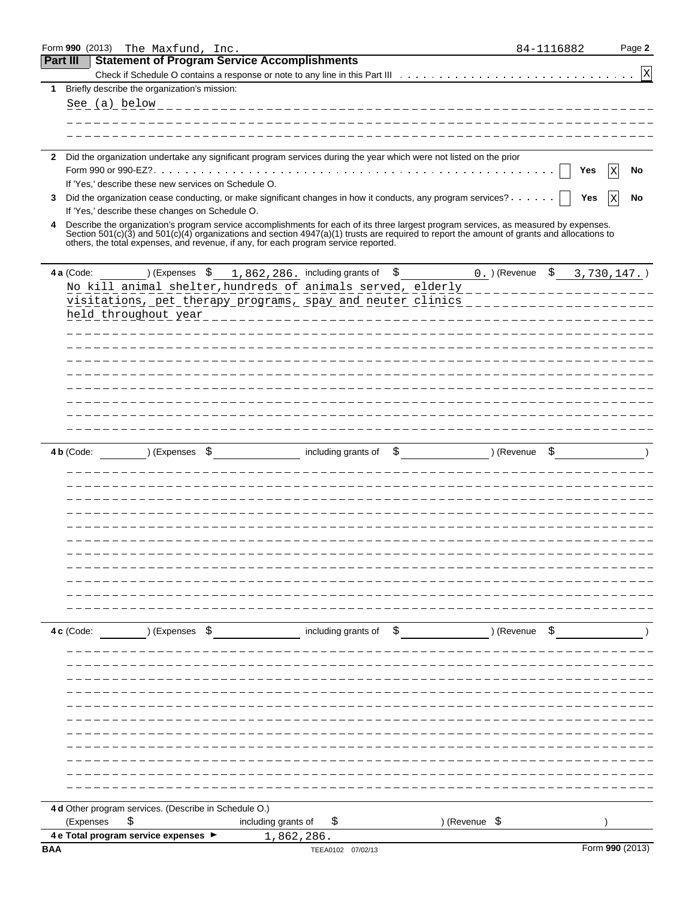|                 |            | Form 990 (2013) The Maxfund, Inc.                                                                                                                                                                                                 | 84-1116882                            |     | Page 2          |
|-----------------|------------|-----------------------------------------------------------------------------------------------------------------------------------------------------------------------------------------------------------------------------------|---------------------------------------|-----|-----------------|
| <b>Part III</b> |            | <b>Statement of Program Service Accomplishments</b>                                                                                                                                                                               |                                       |     |                 |
|                 |            |                                                                                                                                                                                                                                   |                                       |     | $\mathbf x$     |
| 1               |            | Briefly describe the organization's mission:                                                                                                                                                                                      |                                       |     |                 |
|                 |            | See (a) below                                                                                                                                                                                                                     |                                       |     |                 |
|                 |            |                                                                                                                                                                                                                                   |                                       |     |                 |
|                 |            |                                                                                                                                                                                                                                   |                                       |     |                 |
|                 |            |                                                                                                                                                                                                                                   |                                       |     |                 |
| $\mathbf{2}$    |            | Did the organization undertake any significant program services during the year which were not listed on the prior                                                                                                                |                                       |     |                 |
|                 |            | If 'Yes,' describe these new services on Schedule O.                                                                                                                                                                              |                                       | Yes | No<br>Χ         |
| 3               |            | Did the organization cease conducting, or make significant changes in how it conducts, any program services?                                                                                                                      |                                       | Yes | Ιx<br>No        |
|                 |            | If 'Yes,' describe these changes on Schedule O.                                                                                                                                                                                   |                                       |     |                 |
| 4               |            | Describe the organization's program service accomplishments for each of its three largest program services, as measured by expenses.                                                                                              |                                       |     |                 |
|                 |            | Section 501(c)(3) and 501(c)(4) organizations and section 4947(a)(1) trusts are required to report the amount of grants and allocations to<br>others, the total expenses, and revenue, if any, for each program service reported. |                                       |     |                 |
|                 | 4 a (Code: | ) (Expenses $\frac{1}{5}$ 1, 862, 286. including grants of $\frac{1}{5}$                                                                                                                                                          | 0. $($ Revenue $\,$ \$ 3,730,147. $)$ |     |                 |
|                 |            | No kill animal shelter, hundreds of animals served, elderly ____________________                                                                                                                                                  |                                       |     |                 |
|                 |            | visitations, pet therapy programs, spay and neuter clinics ____________________                                                                                                                                                   |                                       |     |                 |
|                 |            | held throughout year                                                                                                                                                                                                              |                                       |     |                 |
|                 |            | ______________________________                                                                                                                                                                                                    |                                       |     |                 |
|                 |            |                                                                                                                                                                                                                                   |                                       |     |                 |
|                 |            |                                                                                                                                                                                                                                   |                                       |     |                 |
|                 |            |                                                                                                                                                                                                                                   |                                       |     |                 |
|                 |            |                                                                                                                                                                                                                                   |                                       |     |                 |
|                 |            |                                                                                                                                                                                                                                   |                                       |     |                 |
|                 |            |                                                                                                                                                                                                                                   |                                       |     |                 |
|                 |            |                                                                                                                                                                                                                                   |                                       |     |                 |
|                 |            |                                                                                                                                                                                                                                   |                                       |     |                 |
|                 | 4 b (Code: | including grants of<br>) (Expenses \$<br>\$                                                                                                                                                                                       | ) (Revenue                            |     |                 |
|                 |            |                                                                                                                                                                                                                                   |                                       |     |                 |
|                 |            |                                                                                                                                                                                                                                   |                                       |     |                 |
|                 |            |                                                                                                                                                                                                                                   |                                       |     |                 |
|                 |            |                                                                                                                                                                                                                                   |                                       |     |                 |
|                 |            |                                                                                                                                                                                                                                   |                                       |     |                 |
|                 |            |                                                                                                                                                                                                                                   |                                       |     |                 |
|                 |            |                                                                                                                                                                                                                                   |                                       |     |                 |
|                 |            |                                                                                                                                                                                                                                   |                                       |     |                 |
|                 |            |                                                                                                                                                                                                                                   |                                       |     |                 |
|                 |            |                                                                                                                                                                                                                                   |                                       |     |                 |
|                 |            |                                                                                                                                                                                                                                   |                                       |     |                 |
|                 | 4 c (Code: | ) (Expenses \$ including grants of \$ ) (Revenue \$ )                                                                                                                                                                             |                                       |     |                 |
|                 |            |                                                                                                                                                                                                                                   |                                       |     |                 |
|                 |            |                                                                                                                                                                                                                                   |                                       |     |                 |
|                 |            |                                                                                                                                                                                                                                   |                                       |     |                 |
|                 |            |                                                                                                                                                                                                                                   |                                       |     |                 |
|                 |            |                                                                                                                                                                                                                                   |                                       |     |                 |
|                 |            |                                                                                                                                                                                                                                   |                                       |     |                 |
|                 |            |                                                                                                                                                                                                                                   |                                       |     |                 |
|                 |            |                                                                                                                                                                                                                                   |                                       |     |                 |
|                 |            |                                                                                                                                                                                                                                   |                                       |     |                 |
|                 |            |                                                                                                                                                                                                                                   |                                       |     |                 |
|                 |            |                                                                                                                                                                                                                                   |                                       |     |                 |
|                 |            |                                                                                                                                                                                                                                   |                                       |     |                 |
|                 |            | 4 d Other program services. (Describe in Schedule O.)                                                                                                                                                                             |                                       |     |                 |
|                 | (Expenses  | including grants of<br>\$<br>\$<br>) (Revenue \$<br>4 e Total program service expenses >                                                                                                                                          |                                       |     |                 |
| <b>BAA</b>      |            | 1,862,286.<br>TEEA0102 07/02/13                                                                                                                                                                                                   |                                       |     | Form 990 (2013) |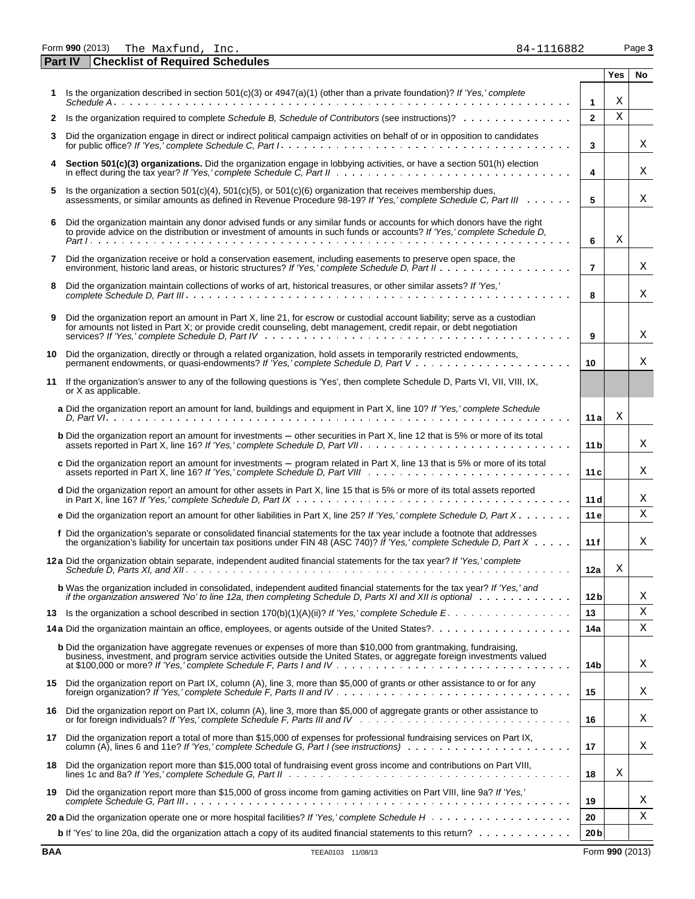Form **990** (2013) Page **3** The Maxfund, Inc. 84-1116882 **Part IV Checklist of Required Schedules**

| 34–1116882 |  |  |  |  |  |
|------------|--|--|--|--|--|
|            |  |  |  |  |  |
|            |  |  |  |  |  |

|              |                                                                                                                                                                                                                                                                           |                 | Yes | No |
|--------------|---------------------------------------------------------------------------------------------------------------------------------------------------------------------------------------------------------------------------------------------------------------------------|-----------------|-----|----|
|              | Is the organization described in section 501(c)(3) or 4947(a)(1) (other than a private foundation)? If 'Yes,' complete                                                                                                                                                    | $\mathbf{1}$    | Χ   |    |
| $\mathbf{2}$ | Is the organization required to complete Schedule B, Schedule of Contributors (see instructions)?                                                                                                                                                                         | $\overline{2}$  | X   |    |
| 3            | Did the organization engage in direct or indirect political campaign activities on behalf of or in opposition to candidates                                                                                                                                               | 3               |     | Χ  |
| 4            | Section 501(c)(3) organizations. Did the organization engage in lobbying activities, or have a section 501(h) election                                                                                                                                                    | 4               |     | Χ  |
| 5            | Is the organization a section $501(c)(4)$ , $501(c)(5)$ , or $501(c)(6)$ organization that receives membership dues,<br>assessments, or similar amounts as defined in Revenue Procedure 98-19? If 'Yes,' complete Schedule C, Part III                                    | 5               |     | Χ  |
| 6            | Did the organization maintain any donor advised funds or any similar funds or accounts for which donors have the right<br>to provide advice on the distribution or investment of amounts in such funds or accounts? If 'Yes,' complete Schedule D,                        | 6               | Χ   |    |
| 7            | Did the organization receive or hold a conservation easement, including easements to preserve open space, the                                                                                                                                                             | $\overline{7}$  |     | Χ  |
| 8            | Did the organization maintain collections of works of art, historical treasures, or other similar assets? If 'Yes,'                                                                                                                                                       | 8               |     | Χ  |
| 9            | Did the organization report an amount in Part X, line 21, for escrow or custodial account liability; serve as a custodian<br>for amounts not listed in Part X; or provide credit counseling, debt management, credit repair, or debt negotiation                          | 9               |     | Χ  |
|              | 10 Did the organization, directly or through a related organization, hold assets in temporarily restricted endowments,                                                                                                                                                    | 10              |     | X  |
|              | 11 If the organization's answer to any of the following questions is 'Yes', then complete Schedule D, Parts VI, VII, VIII, IX,<br>or X as applicable.                                                                                                                     |                 |     |    |
|              | a Did the organization report an amount for land, buildings and equipment in Part X, line 10? If 'Yes,' complete Schedule                                                                                                                                                 | 11a             | Χ   |    |
|              | <b>b</b> Did the organization report an amount for investments – other securities in Part X, line 12 that is 5% or more of its total                                                                                                                                      | 11 <sub>b</sub> |     | Χ  |
|              | c Did the organization report an amount for investments - program related in Part X, line 13 that is 5% or more of its total                                                                                                                                              | 11 <sub>c</sub> |     | Χ  |
|              | d Did the organization report an amount for other assets in Part X, line 15 that is 5% or more of its total assets reported                                                                                                                                               | 11 dl           |     | Χ  |
|              | e Did the organization report an amount for other liabilities in Part X, line 25? If 'Yes,' complete Schedule D, Part X                                                                                                                                                   | 11e             |     | X  |
|              | f Did the organization's separate or consolidated financial statements for the tax year include a footnote that addresses<br>the organization's liability for uncertain tax positions under FIN 48 (ASC 740)? If 'Yes,' complete Schedule D, Part $X \cdot \cdot \cdot$ . | 11f             |     | Χ  |
|              | 12 a Did the organization obtain separate, independent audited financial statements for the tax year? If 'Yes,' complete                                                                                                                                                  | 12a             | Х   |    |
|              | b Was the organization included in consolidated, independent audited financial statements for the tax year? If 'Yes,' and<br>if the organization answered 'No' to line 12a, then completing Schedule D, Parts XI and XII is optional                                      | 12 <sub>b</sub> |     | Χ  |
|              | 13 Is the organization a school described in section 170(b)(1)(A)(ii)? If 'Yes,' complete Schedule E.                                                                                                                                                                     | 13              |     | Χ  |
|              |                                                                                                                                                                                                                                                                           | 14a             |     | Χ  |
|              | b Did the organization have aggregate revenues or expenses of more than \$10,000 from grantmaking, fundraising,<br>business, investment, and program service activities outside the United States, or aggregate foreign investments valued                                | 14b             |     | Χ  |
|              | 15 Did the organization report on Part IX, column (A), line 3, more than \$5,000 of grants or other assistance to or for any                                                                                                                                              | 15              |     | Χ  |
|              | 16 Did the organization report on Part IX, column (A), line 3, more than \$5,000 of aggregate grants or other assistance to                                                                                                                                               | 16              |     | Χ  |
| 17           | Did the organization report a total of more than \$15,000 of expenses for professional fundraising services on Part IX,<br>column (A), lines 6 and 11e? If 'Yes,' complete Schedule G, Part I (see instructions)                                                          | 17              |     | Χ  |
| 18           | Did the organization report more than \$15,000 total of fundraising event gross income and contributions on Part VIII,                                                                                                                                                    | 18              | Χ   |    |
| 19           | Did the organization report more than \$15,000 of gross income from gaming activities on Part VIII, line 9a? If 'Yes,'                                                                                                                                                    | 19              |     | Χ  |
|              |                                                                                                                                                                                                                                                                           | 20              |     | Χ  |
|              | b If 'Yes' to line 20a, did the organization attach a copy of its audited financial statements to this return?                                                                                                                                                            | 20 <sub>b</sub> |     |    |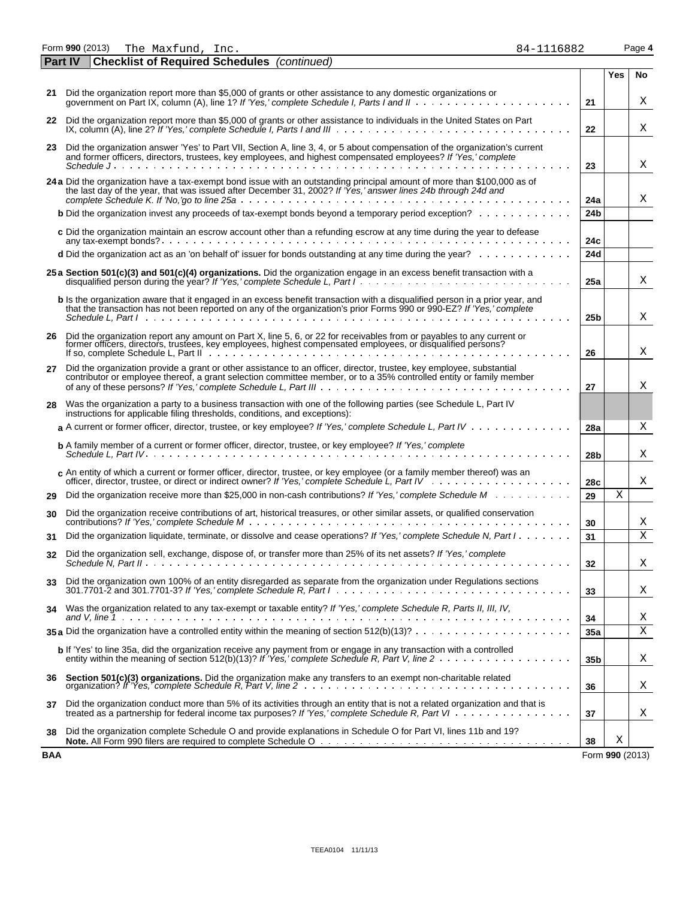|            | 21 Did the organization report more than \$5,000 of grants or other assistance to any domestic organizations or                                                                                                                                                   | 21              |                 | Χ |
|------------|-------------------------------------------------------------------------------------------------------------------------------------------------------------------------------------------------------------------------------------------------------------------|-----------------|-----------------|---|
| 22         | Did the organization report more than \$5,000 of grants or other assistance to individuals in the United States on Part                                                                                                                                           |                 |                 |   |
|            | IX, column (A), line 2? If 'Yes,' complete Schedule I, Parts I and III $\ldots \ldots \ldots \ldots \ldots \ldots \ldots \ldots \ldots \ldots \ldots \ldots$                                                                                                      | 22              |                 | Χ |
| 23         | Did the organization answer 'Yes' to Part VII, Section A, line 3, 4, or 5 about compensation of the organization's current<br>and former officers, directors, trustees, key employees, and highest compensated employees? If 'Yes,' complete                      | 23              |                 | X |
|            | 24 a Did the organization have a tax-exempt bond issue with an outstanding principal amount of more than \$100,000 as of<br>the last day of the year, that was issued after December 31, 2002? If 'Yes,' answer lines 24b through 24d and                         | 24a             |                 | Χ |
|            | <b>b</b> Did the organization invest any proceeds of tax-exempt bonds beyond a temporary period exception? $\ldots \ldots \ldots \ldots$                                                                                                                          | 24 <sub>b</sub> |                 |   |
|            | c Did the organization maintain an escrow account other than a refunding escrow at any time during the year to defease                                                                                                                                            | 24c             |                 |   |
|            | d Did the organization act as an 'on behalf of' issuer for bonds outstanding at any time during the year?                                                                                                                                                         | 24d             |                 |   |
|            | 25 a Section 501(c)(3) and 501(c)(4) organizations. Did the organization engage in an excess benefit transaction with a                                                                                                                                           | 25a             |                 | Χ |
|            | b Is the organization aware that it engaged in an excess benefit transaction with a disqualified person in a prior year, and<br>that the transaction has not been reported on any of the organization's prior Forms 990 or 990-EZ? If 'Yes,' complete             | 25 <sub>b</sub> |                 | Χ |
| 26         | Did the organization report any amount on Part X, line 5, 6, or 22 for receivables from or payables to any current or<br>former officers, directors, trustees, key employees, highest compensated employees, or disqualified persons?                             | 26              |                 | Χ |
| 27         | Did the organization provide a grant or other assistance to an officer, director, trustee, key employee, substantial<br>contributor or employee thereof, a grant selection committee member, or to a 35% controlled entity or family member                       | 27              |                 | Χ |
| 28         | Was the organization a party to a business transaction with one of the following parties (see Schedule L, Part IV<br>instructions for applicable filing thresholds, conditions, and exceptions):                                                                  |                 |                 |   |
|            | a A current or former officer, director, trustee, or key employee? If 'Yes,' complete Schedule L, Part IV                                                                                                                                                         | 28a             |                 | Χ |
|            | <b>b</b> A family member of a current or former officer, director, trustee, or key employee? If 'Yes,' complete                                                                                                                                                   | 28 <sub>b</sub> |                 | Χ |
|            | $c$ An entity of which a current or former officer, director, trustee, or key employee (or a family member thereof) was an                                                                                                                                        | 28c             |                 | Χ |
| 29         | Did the organization receive more than \$25,000 in non-cash contributions? If 'Yes,' complete Schedule M                                                                                                                                                          | 29              | X               |   |
| 30         | Did the organization receive contributions of art, historical treasures, or other similar assets, or qualified conservation                                                                                                                                       | 30              |                 | Χ |
| 31         | Did the organization liquidate, terminate, or dissolve and cease operations? If 'Yes,' complete Schedule N, Part I                                                                                                                                                | 31              |                 | X |
| 32         | Did the organization sell, exchange, dispose of, or transfer more than 25% of its net assets? If 'Yes,' complete                                                                                                                                                  | 32              |                 | Χ |
| 33         | Did the organization own 100% of an entity disregarded as separate from the organization under Regulations sections<br>301.7701-2 and 301.7701-3? If 'Yes,' complete Schedule R, Part $1, \ldots, \ldots, \ldots, \ldots, \ldots, \ldots, \ldots, \ldots, \ldots$ | 33              |                 | Χ |
| 34         | Was the organization related to any tax-exempt or taxable entity? If 'Yes,' complete Schedule R, Parts II, III, IV,                                                                                                                                               | 34              |                 | Χ |
|            | 35 a Did the organization have a controlled entity within the meaning of section $512(b)(13)? \ldots \ldots \ldots \ldots \ldots \ldots$                                                                                                                          | 35a             |                 | X |
|            | b If 'Yes' to line 35a, did the organization receive any payment from or engage in any transaction with a controlled                                                                                                                                              | 35 <sub>b</sub> |                 | Χ |
| 36         | Section 501(c)(3) organizations. Did the organization make any transfers to an exempt non-charitable related<br>organization? If 'Yes,' complete Schedule R, Part V, line 2                                                                                       | 36              |                 | Χ |
| 37         | Did the organization conduct more than 5% of its activities through an entity that is not a related organization and that is<br>treated as a partnership for federal income tax purposes? If 'Yes,' complete Schedule R, Part VI                                  | 37              |                 | Χ |
| 38         | Did the organization complete Schedule O and provide explanations in Schedule O for Part VI, lines 11b and 19?                                                                                                                                                    | 38              | Χ               |   |
| <b>BAA</b> |                                                                                                                                                                                                                                                                   |                 | Form 990 (2013) |   |

|  | 84-1116882 |  |
|--|------------|--|
|  |            |  |

**Yes No**

Form **990** (2013) Page **4** The Maxfund, Inc. 84-1116882

**Part IV Checklist of Required Schedules** *(continued)*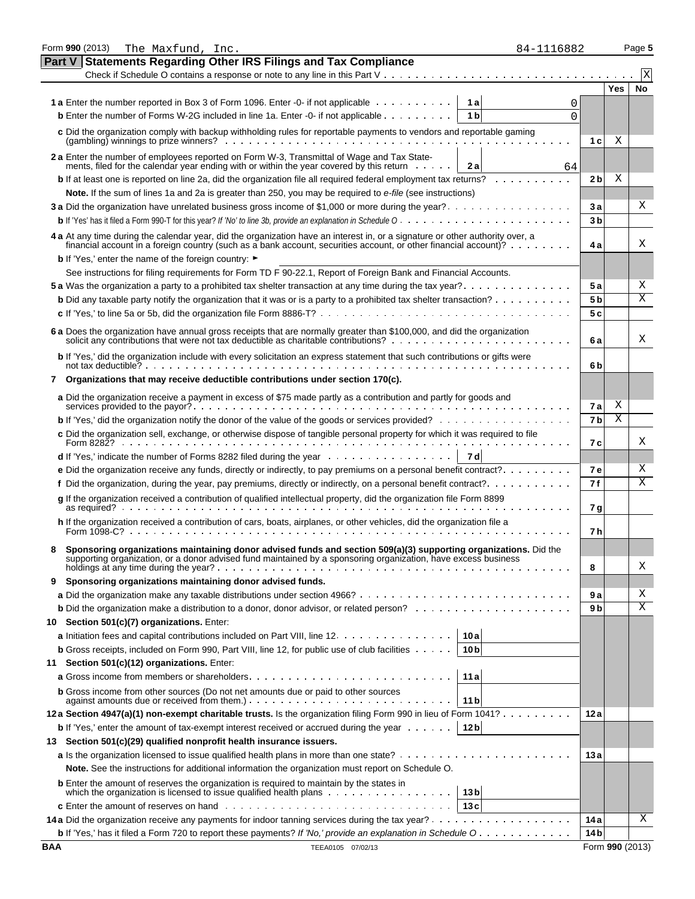|            | Form 990 (2013)                                                                                                                                                                                                                    | The Maxfund, Inc.                                                |  |  |                   |  |                 |                | 84-1116882 |          |                |                 | Page 5 |
|------------|------------------------------------------------------------------------------------------------------------------------------------------------------------------------------------------------------------------------------------|------------------------------------------------------------------|--|--|-------------------|--|-----------------|----------------|------------|----------|----------------|-----------------|--------|
|            | Part V                                                                                                                                                                                                                             | <b>Statements Regarding Other IRS Filings and Tax Compliance</b> |  |  |                   |  |                 |                |            |          |                |                 |        |
|            |                                                                                                                                                                                                                                    |                                                                  |  |  |                   |  |                 |                |            |          |                |                 | X      |
|            |                                                                                                                                                                                                                                    |                                                                  |  |  |                   |  |                 |                |            |          |                | Yes             | No     |
|            | 1 a Enter the number reported in Box 3 of Form 1096. Enter -0- if not applicable                                                                                                                                                   |                                                                  |  |  |                   |  |                 | 1 al           |            | 0        |                |                 |        |
|            | <b>b</b> Enter the number of Forms W-2G included in line 1a. Enter -0- if not applicable                                                                                                                                           |                                                                  |  |  |                   |  |                 | 1 <sub>b</sub> |            | $\Omega$ |                |                 |        |
|            | c Did the organization comply with backup withholding rules for reportable payments to vendors and reportable gaming                                                                                                               |                                                                  |  |  |                   |  |                 |                |            |          | 1 <sub>c</sub> | Χ               |        |
|            |                                                                                                                                                                                                                                    |                                                                  |  |  |                   |  |                 |                |            |          |                |                 |        |
|            | 2 a Enter the number of employees reported on Form W-3, Transmittal of Wage and Tax Statements, filed for the calendar year ending with or within the year covered by this return                                                  |                                                                  |  |  |                   |  |                 | 2a             |            | 64       |                |                 |        |
|            | <b>b</b> If at least one is reported on line 2a, did the organization file all required federal employment tax returns?                                                                                                            |                                                                  |  |  |                   |  |                 |                |            |          | 2 <sub>b</sub> | Χ               |        |
|            | Note. If the sum of lines 1a and 2a is greater than 250, you may be required to e-file (see instructions)                                                                                                                          |                                                                  |  |  |                   |  |                 |                |            |          |                |                 |        |
|            | 3 a Did the organization have unrelated business gross income of \$1,000 or more during the year?                                                                                                                                  |                                                                  |  |  |                   |  |                 |                |            |          | 3a             |                 | Χ      |
|            |                                                                                                                                                                                                                                    |                                                                  |  |  |                   |  |                 |                |            |          | 3 <sub>b</sub> |                 |        |
|            | 4 a At any time during the calendar year, did the organization have an interest in, or a signature or other authority over, a financial account in a foreign country (such as a bank account, securities account, or other fin     |                                                                  |  |  |                   |  |                 |                |            |          | 4 a            |                 | Χ      |
|            | <b>b</b> If 'Yes,' enter the name of the foreign country: ►                                                                                                                                                                        |                                                                  |  |  |                   |  |                 |                |            |          |                |                 |        |
|            | See instructions for filing requirements for Form TD F 90-22.1, Report of Foreign Bank and Financial Accounts.                                                                                                                     |                                                                  |  |  |                   |  |                 |                |            |          |                |                 |        |
|            | 5 a Was the organization a party to a prohibited tax shelter transaction at any time during the tax year?                                                                                                                          |                                                                  |  |  |                   |  |                 |                |            |          | 5 a            |                 | Χ      |
|            | <b>b</b> Did any taxable party notify the organization that it was or is a party to a prohibited tax shelter transaction?                                                                                                          |                                                                  |  |  |                   |  |                 |                |            |          | 5 <sub>b</sub> |                 | Χ      |
|            |                                                                                                                                                                                                                                    |                                                                  |  |  |                   |  |                 |                |            |          | 5 c            |                 |        |
|            | 6 a Does the organization have annual gross receipts that are normally greater than \$100,000, and did the organization solicit any contributions that were not tax deductible as charitable contributions?<br>                    |                                                                  |  |  |                   |  |                 |                |            |          | 6a             |                 | Χ      |
|            | b If 'Yes,' did the organization include with every solicitation an express statement that such contributions or gifts were                                                                                                        |                                                                  |  |  |                   |  |                 |                |            |          |                |                 |        |
|            | not tax deductible? $\cdots$ $\cdots$ $\cdots$ $\cdots$ $\cdots$ $\cdots$ $\cdots$ $\cdots$ $\cdots$ $\cdots$ $\cdots$                                                                                                             |                                                                  |  |  |                   |  |                 |                |            |          | 6b             |                 |        |
|            | 7 Organizations that may receive deductible contributions under section 170(c).                                                                                                                                                    |                                                                  |  |  |                   |  |                 |                |            |          |                |                 |        |
|            | a Did the organization receive a payment in excess of \$75 made partly as a contribution and partly for goods and                                                                                                                  |                                                                  |  |  |                   |  |                 |                |            |          | 7a             | Χ               |        |
|            | <b>b</b> If 'Yes,' did the organization notify the donor of the value of the goods or services provided?                                                                                                                           |                                                                  |  |  |                   |  |                 |                |            |          | 7 <sub>b</sub> | Χ               |        |
|            | c Did the organization sell, exchange, or otherwise dispose of tangible personal property for which it was required to file<br>Form 8282?                                                                                          |                                                                  |  |  |                   |  |                 |                |            |          | 7с             |                 | Χ      |
|            | <b>d</b> If 'Yes,' indicate the number of Forms 8282 filed during the year $\ldots \ldots \ldots \ldots \ldots$                                                                                                                    |                                                                  |  |  |                   |  |                 | 7 d            |            |          |                |                 |        |
|            | e Did the organization receive any funds, directly or indirectly, to pay premiums on a personal benefit contract?                                                                                                                  |                                                                  |  |  |                   |  |                 |                |            |          | <b>7e</b>      |                 | Χ      |
|            | f Did the organization, during the year, pay premiums, directly or indirectly, on a personal benefit contract?                                                                                                                     |                                                                  |  |  |                   |  |                 |                |            |          | 7f             |                 | Χ      |
|            | g If the organization received a contribution of qualified intellectual property, did the organization file Form 8899                                                                                                              |                                                                  |  |  |                   |  |                 |                |            |          | 7 g            |                 |        |
|            | h If the organization received a contribution of cars, boats, airplanes, or other vehicles, did the organization file a<br>Form $1098 - C$ ?                                                                                       |                                                                  |  |  |                   |  |                 |                |            |          | 7 h            |                 |        |
|            |                                                                                                                                                                                                                                    |                                                                  |  |  |                   |  |                 |                |            |          |                |                 |        |
|            | Sponsoring organizations maintaining donor advised funds and section 509(a)(3) supporting organizations. Did the<br>supporting organization, or a donor advised fund maintained by a sponsoring organization, have excess business |                                                                  |  |  |                   |  |                 |                |            |          | 8              |                 | Χ      |
| 9          | Sponsoring organizations maintaining donor advised funds.                                                                                                                                                                          |                                                                  |  |  |                   |  |                 |                |            |          |                |                 |        |
|            |                                                                                                                                                                                                                                    |                                                                  |  |  |                   |  |                 |                |            |          | 9а             |                 | Χ      |
|            |                                                                                                                                                                                                                                    |                                                                  |  |  |                   |  |                 |                |            |          | 9 b            |                 | Χ      |
|            | 10 Section 501(c)(7) organizations. Enter:                                                                                                                                                                                         |                                                                  |  |  |                   |  |                 |                |            |          |                |                 |        |
|            | a Initiation fees and capital contributions included on Part VIII, line 12.                                                                                                                                                        |                                                                  |  |  |                   |  | 10 a            |                |            |          |                |                 |        |
|            | <b>b</b> Gross receipts, included on Form 990, Part VIII, line 12, for public use of club facilities                                                                                                                               |                                                                  |  |  |                   |  | 10 <sub>b</sub> |                |            |          |                |                 |        |
| 11         | Section 501(c)(12) organizations. Enter:                                                                                                                                                                                           |                                                                  |  |  |                   |  |                 |                |            |          |                |                 |        |
|            |                                                                                                                                                                                                                                    |                                                                  |  |  |                   |  | 11a             |                |            |          |                |                 |        |
|            | <b>b</b> Gross income from other sources (Do not net amounts due or paid to other sources                                                                                                                                          |                                                                  |  |  |                   |  |                 |                |            |          |                |                 |        |
|            | against amounts due or received from them.). $\ldots$ . $\ldots$ . $\ldots$ . $\ldots$                                                                                                                                             |                                                                  |  |  |                   |  | 11 <sub>b</sub> |                |            |          |                |                 |        |
|            | 12a Section 4947(a)(1) non-exempt charitable trusts. Is the organization filing Form 990 in lieu of Form 1041?                                                                                                                     |                                                                  |  |  |                   |  |                 |                |            |          | 12a            |                 |        |
|            | <b>b</b> If 'Yes,' enter the amount of tax-exempt interest received or accrued during the year                                                                                                                                     |                                                                  |  |  |                   |  | 12 <sub>b</sub> |                |            |          |                |                 |        |
|            | 13 Section 501(c)(29) qualified nonprofit health insurance issuers.                                                                                                                                                                |                                                                  |  |  |                   |  |                 |                |            |          |                |                 |        |
|            | Note. See the instructions for additional information the organization must report on Schedule O.                                                                                                                                  |                                                                  |  |  |                   |  |                 |                |            |          | 13a            |                 |        |
|            | <b>b</b> Enter the amount of reserves the organization is required to maintain by the states in                                                                                                                                    |                                                                  |  |  |                   |  |                 |                |            |          |                |                 |        |
|            |                                                                                                                                                                                                                                    |                                                                  |  |  |                   |  | 13 <sub>b</sub> |                |            |          |                |                 |        |
|            |                                                                                                                                                                                                                                    |                                                                  |  |  |                   |  | 13c             |                |            |          |                |                 |        |
|            |                                                                                                                                                                                                                                    |                                                                  |  |  |                   |  |                 |                |            |          | 14 a           |                 | Χ      |
|            | b If 'Yes,' has it filed a Form 720 to report these payments? If 'No,' provide an explanation in Schedule O                                                                                                                        |                                                                  |  |  |                   |  |                 |                |            |          | 14 bl          |                 |        |
| <b>BAA</b> |                                                                                                                                                                                                                                    |                                                                  |  |  | TEEA0105 07/02/13 |  |                 |                |            |          |                | Form 990 (2013) |        |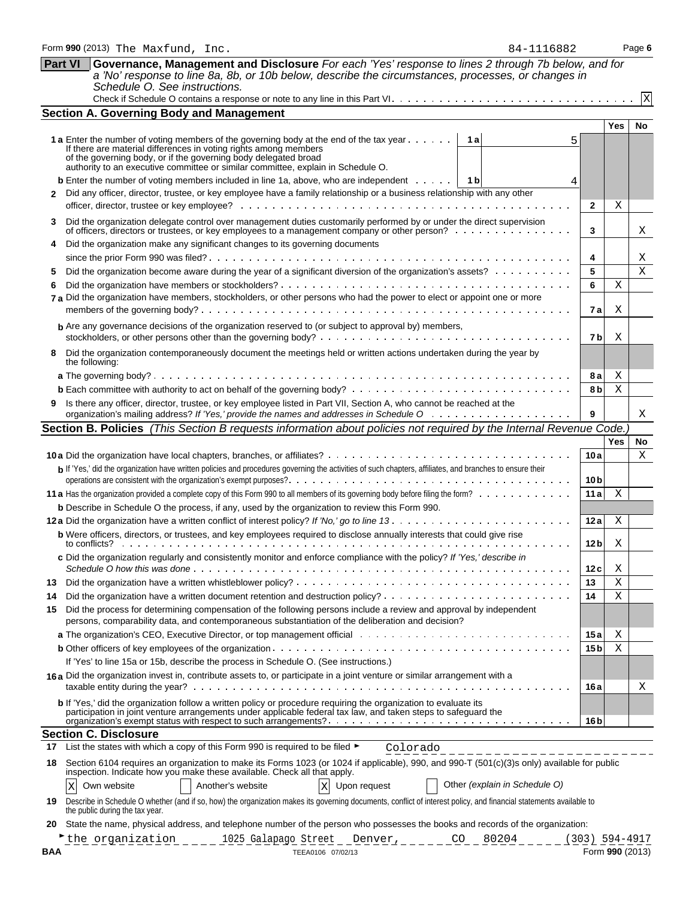| <b>Part VI</b>                                                                                                                                                                                                                             | Governance, Management and Disclosure For each 'Yes' response to lines 2 through 7b below, and for<br>a 'No' response to line 8a, 8b, or 10b below, describe the circumstances, processes, or changes in                                                                                                                  |                  |                 |              |  |  |  |  |
|--------------------------------------------------------------------------------------------------------------------------------------------------------------------------------------------------------------------------------------------|---------------------------------------------------------------------------------------------------------------------------------------------------------------------------------------------------------------------------------------------------------------------------------------------------------------------------|------------------|-----------------|--------------|--|--|--|--|
|                                                                                                                                                                                                                                            | Schedule O. See instructions.                                                                                                                                                                                                                                                                                             |                  |                 | $\mathbf{x}$ |  |  |  |  |
|                                                                                                                                                                                                                                            | <b>Section A. Governing Body and Management</b>                                                                                                                                                                                                                                                                           |                  |                 |              |  |  |  |  |
|                                                                                                                                                                                                                                            |                                                                                                                                                                                                                                                                                                                           |                  | <b>Yes</b>      | No           |  |  |  |  |
|                                                                                                                                                                                                                                            | 1 a Enter the number of voting members of the governing body at the end of the tax year<br>1 a<br>If there are material differences in voting rights among members<br>of the governing body, or if the governing body delegated broad<br>authority to an executive committee or similar committee, explain in Schedule O. |                  |                 |              |  |  |  |  |
|                                                                                                                                                                                                                                            | <b>b</b> Enter the number of voting members included in line 1a, above, who are independent<br>1 b<br>Did any officer, director, trustee, or key employee have a family relationship or a business relationship with any other                                                                                            | $\mathbf{2}$     | Χ               |              |  |  |  |  |
| 3                                                                                                                                                                                                                                          | Did the organization delegate control over management duties customarily performed by or under the direct supervision<br>of officers, directors or trustees, or key employees to a management company or other person?                                                                                                    | 3                |                 | X            |  |  |  |  |
| 4                                                                                                                                                                                                                                          | Did the organization make any significant changes to its governing documents                                                                                                                                                                                                                                              | 4                |                 | X            |  |  |  |  |
| Did the organization become aware during the year of a significant diversion of the organization's assets?<br>5<br>7 a Did the organization have members, stockholders, or other persons who had the power to elect or appoint one or more |                                                                                                                                                                                                                                                                                                                           |                  |                 |              |  |  |  |  |
|                                                                                                                                                                                                                                            | <b>b</b> Are any governance decisions of the organization reserved to (or subject to approval by) members,                                                                                                                                                                                                                | 7b               | X               |              |  |  |  |  |
| 8                                                                                                                                                                                                                                          | Did the organization contemporaneously document the meetings held or written actions undertaken during the year by<br>the following:                                                                                                                                                                                      |                  |                 |              |  |  |  |  |
|                                                                                                                                                                                                                                            |                                                                                                                                                                                                                                                                                                                           | 8а               | Χ               |              |  |  |  |  |
| 9.                                                                                                                                                                                                                                         | Is there any officer, director, trustee, or key employee listed in Part VII, Section A, who cannot be reached at the                                                                                                                                                                                                      | 8 b              | Χ               |              |  |  |  |  |
|                                                                                                                                                                                                                                            |                                                                                                                                                                                                                                                                                                                           | 9                |                 | Χ            |  |  |  |  |
|                                                                                                                                                                                                                                            | Section B. Policies (This Section B requests information about policies not required by the Internal Revenue Code.                                                                                                                                                                                                        |                  |                 |              |  |  |  |  |
|                                                                                                                                                                                                                                            | b If 'Yes,' did the organization have written policies and procedures governing the activities of such chapters, affiliates, and branches to ensure their                                                                                                                                                                 | 10a              | Yes             | No<br>Χ      |  |  |  |  |
|                                                                                                                                                                                                                                            |                                                                                                                                                                                                                                                                                                                           | 10 <sub>b</sub>  |                 |              |  |  |  |  |
|                                                                                                                                                                                                                                            |                                                                                                                                                                                                                                                                                                                           | 11a              | Χ               |              |  |  |  |  |
|                                                                                                                                                                                                                                            | <b>b</b> Describe in Schedule O the process, if any, used by the organization to review this Form 990.                                                                                                                                                                                                                    |                  |                 |              |  |  |  |  |
|                                                                                                                                                                                                                                            | b Were officers, directors, or trustees, and key employees required to disclose annually interests that could give rise                                                                                                                                                                                                   | 12a              | Χ               |              |  |  |  |  |
|                                                                                                                                                                                                                                            | c Did the organization regularly and consistently monitor and enforce compliance with the policy? If 'Yes,' describe in                                                                                                                                                                                                   | 12 <sub>b</sub>  | Χ               |              |  |  |  |  |
|                                                                                                                                                                                                                                            |                                                                                                                                                                                                                                                                                                                           | 12c              | Χ<br>Χ          |              |  |  |  |  |
| 13<br>14                                                                                                                                                                                                                                   |                                                                                                                                                                                                                                                                                                                           | 13<br>14         | Χ               |              |  |  |  |  |
| 15                                                                                                                                                                                                                                         | Did the process for determining compensation of the following persons include a review and approval by independent<br>persons, comparability data, and contemporaneous substantiation of the deliberation and decision?                                                                                                   |                  |                 |              |  |  |  |  |
|                                                                                                                                                                                                                                            |                                                                                                                                                                                                                                                                                                                           | 15a              | Χ               |              |  |  |  |  |
|                                                                                                                                                                                                                                            |                                                                                                                                                                                                                                                                                                                           | 15 <sub>b</sub>  | Χ               |              |  |  |  |  |
|                                                                                                                                                                                                                                            | If 'Yes' to line 15a or 15b, describe the process in Schedule O. (See instructions.)                                                                                                                                                                                                                                      |                  |                 |              |  |  |  |  |
|                                                                                                                                                                                                                                            | 16a Did the organization invest in, contribute assets to, or participate in a joint venture or similar arrangement with a                                                                                                                                                                                                 | 16 a             |                 | Χ            |  |  |  |  |
|                                                                                                                                                                                                                                            | b If 'Yes,' did the organization follow a written policy or procedure requiring the organization to evaluate its<br>participation in joint venture arrangements under applicable federal tax law, and taken steps to safeguard the                                                                                        | 16 <sub>b</sub>  |                 |              |  |  |  |  |
|                                                                                                                                                                                                                                            | <b>Section C. Disclosure</b>                                                                                                                                                                                                                                                                                              |                  |                 |              |  |  |  |  |
| 17                                                                                                                                                                                                                                         | List the states with which a copy of this Form 990 is required to be filed ►<br>Colorado                                                                                                                                                                                                                                  |                  |                 |              |  |  |  |  |
| 18                                                                                                                                                                                                                                         | Section 6104 requires an organization to make its Forms 1023 (or 1024 if applicable), 990, and 990-T (501(c)(3)s only) available for public<br>inspection. Indicate how you make these available. Check all that apply.<br>Other (explain in Schedule O)<br>Another's website                                             |                  |                 |              |  |  |  |  |
| 19                                                                                                                                                                                                                                         | X Upon request<br>Own website<br>X<br>Describe in Schedule O whether (and if so, how) the organization makes its governing documents, conflict of interest policy, and financial statements available to                                                                                                                  |                  |                 |              |  |  |  |  |
| 20                                                                                                                                                                                                                                         | the public during the tax year.<br>State the name, physical address, and telephone number of the person who possesses the books and records of the organization:                                                                                                                                                          |                  |                 |              |  |  |  |  |
| BAA                                                                                                                                                                                                                                        | the organization<br>1025 Galapago Street Denver, CO 80204<br>TEEA0106 07/02/13                                                                                                                                                                                                                                            | $(303)$ 594-4917 | Form 990 (2013) |              |  |  |  |  |
|                                                                                                                                                                                                                                            |                                                                                                                                                                                                                                                                                                                           |                  |                 |              |  |  |  |  |

Form **990** (2013) Page **6** The Maxfund, Inc. 84-1116882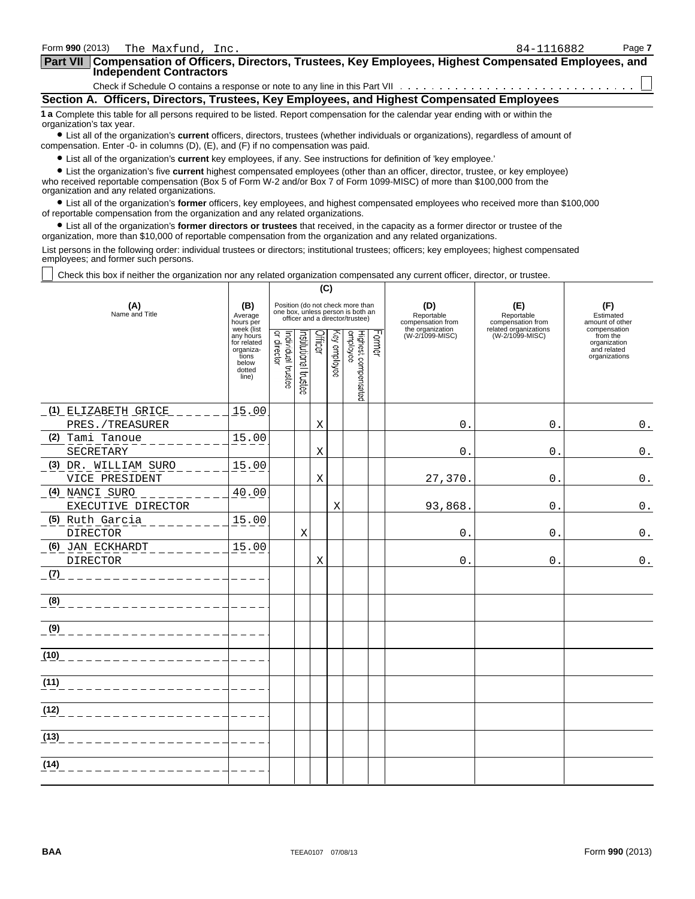| Form 990 (2013)<br>The Maxfund, Inc.                                                                                                                                                                                                                                                                       | 84-1116882                                                                                                | Page 7 |  |  |  |  |  |  |
|------------------------------------------------------------------------------------------------------------------------------------------------------------------------------------------------------------------------------------------------------------------------------------------------------------|-----------------------------------------------------------------------------------------------------------|--------|--|--|--|--|--|--|
| <b>Independent Contractors</b>                                                                                                                                                                                                                                                                             | Part VII Compensation of Officers, Directors, Trustees, Key Employees, Highest Compensated Employees, and |        |  |  |  |  |  |  |
|                                                                                                                                                                                                                                                                                                            |                                                                                                           |        |  |  |  |  |  |  |
| Section A. Officers, Directors, Trustees, Key Employees, and Highest Compensated Employees                                                                                                                                                                                                                 |                                                                                                           |        |  |  |  |  |  |  |
| 1 a Complete this table for all persons required to be listed. Report compensation for the calendar year ending with or within the<br>organization's tax year.<br>• List all of the organization's current officers, directors, trustees (whether individuals or organizations), regardless of amount of   |                                                                                                           |        |  |  |  |  |  |  |
| compensation. Enter -0- in columns $(D)$ , $(E)$ , and $(F)$ if no compensation was paid.<br>• List all of the organization's current key employees, if any. See instructions for definition of 'key employee.'                                                                                            |                                                                                                           |        |  |  |  |  |  |  |
| • List the organization's five current highest compensated employees (other than an officer, director, trustee, or key employee)<br>who received reportable compensation (Box 5 of Form W-2 and/or Box 7 of Form 1099-MISC) of more than \$100,000 from the<br>organization and any related organizations. |                                                                                                           |        |  |  |  |  |  |  |
| $\bullet$ List all of the erganization's <b>former</b> efficers, less employees, and bighest compensated employees who received more than \$100,000                                                                                                                                                        |                                                                                                           |        |  |  |  |  |  |  |

? List all of the organization's **former** officers, key employees, and highest compensated employees who received more than \$100,000 of reportable compensation from the organization and any related organizations.

? List all of the organization's **former directors or trustees** that received, in the capacity as a former director or trustee of the organization, more than \$10,000 of reportable compensation from the organization and any related organizations.

List persons in the following order: individual trustees or directors; institutional trustees; officers; key employees; highest compensated employees; and former such persons.

Check this box if neither the organization nor any related organization compensated any current officer, director, or trustee.

|                                                                                                                               |                                                                                          | (C)                               |                      |         |                   |                                                                                                          |        |                                        |                                          |                                                                          |
|-------------------------------------------------------------------------------------------------------------------------------|------------------------------------------------------------------------------------------|-----------------------------------|----------------------|---------|-------------------|----------------------------------------------------------------------------------------------------------|--------|----------------------------------------|------------------------------------------|--------------------------------------------------------------------------|
| (A)<br>Name and Title                                                                                                         | (B)<br>Average<br>hours per                                                              |                                   |                      |         |                   | Position (do not check more than<br>one box, unless person is both an<br>officer and a director/trustee) |        | (D)<br>Reportable<br>compensation from | (E)<br>Reportable<br>compensation from   | (F)<br>Estimated<br>amount of other                                      |
|                                                                                                                               | week (list<br>any hours<br>for related<br>organiza-<br>tions<br>below<br>dotted<br>line) | Individual trustee<br>or director | nstitutional trustee | Officer | ङ्क<br>y employee | Highest compensated<br>employee                                                                          | Former | the organization<br>(W-2/1099-MISC)    | related organizations<br>(W-2/1099-MISC) | compensation<br>from the<br>organization<br>and related<br>organizations |
| <u>(1) ELIZABETH GRICE</u>                                                                                                    | 15.00                                                                                    |                                   |                      |         |                   |                                                                                                          |        |                                        |                                          |                                                                          |
| PRES./TREASURER                                                                                                               |                                                                                          |                                   |                      | Χ       |                   |                                                                                                          |        | $\Omega$ .                             | $\mathbf 0$ .                            | $\boldsymbol{0}$ .                                                       |
| (2) Tami Tanoue<br>SECRETARY                                                                                                  | 15.00                                                                                    |                                   |                      | Χ       |                   |                                                                                                          |        | $0$ .                                  | $\mathbf 0$ .                            | $\mathbf 0$ .                                                            |
| (3) DR. WILLIAM SURO<br>VICE PRESIDENT                                                                                        | 15.00                                                                                    |                                   |                      | X       |                   |                                                                                                          |        | 27,370.                                | $0$ .                                    | $\mathbf 0$ .                                                            |
| (4) NANCI SURO<br>EXECUTIVE DIRECTOR                                                                                          | 40.00                                                                                    |                                   |                      |         | Χ                 |                                                                                                          |        | 93,868.                                | 0.                                       | $\mathsf 0$ .                                                            |
| (5) Ruth Garcia<br><b>DIRECTOR</b>                                                                                            | 15.00                                                                                    |                                   | X                    |         |                   |                                                                                                          |        | 0.                                     | 0.                                       | $0$ .                                                                    |
| (6) JAN ECKHARDT<br>$- - - - - - -$<br>DIRECTOR                                                                               | 15.00                                                                                    |                                   |                      | Χ       |                   |                                                                                                          |        | 0.                                     | 0.                                       | $0$ .                                                                    |
| (7)<br>_____________________                                                                                                  |                                                                                          |                                   |                      |         |                   |                                                                                                          |        |                                        |                                          |                                                                          |
| $-\frac{(8)}{8}$ - - - - - - - - - - - - - -                                                                                  |                                                                                          |                                   |                      |         |                   |                                                                                                          |        |                                        |                                          |                                                                          |
| <u> 9) ---------------</u>                                                                                                    |                                                                                          |                                   |                      |         |                   |                                                                                                          |        |                                        |                                          |                                                                          |
|                                                                                                                               |                                                                                          |                                   |                      |         |                   |                                                                                                          |        |                                        |                                          |                                                                          |
| (11)                                                                                                                          |                                                                                          |                                   |                      |         |                   |                                                                                                          |        |                                        |                                          |                                                                          |
| (12)                                                                                                                          |                                                                                          |                                   |                      |         |                   |                                                                                                          |        |                                        |                                          |                                                                          |
| (13)<br><u> a de la partida de la partida de la partida de la partida de la partida de la partida de la partida de la par</u> |                                                                                          |                                   |                      |         |                   |                                                                                                          |        |                                        |                                          |                                                                          |
| (14)                                                                                                                          |                                                                                          |                                   |                      |         |                   |                                                                                                          |        |                                        |                                          |                                                                          |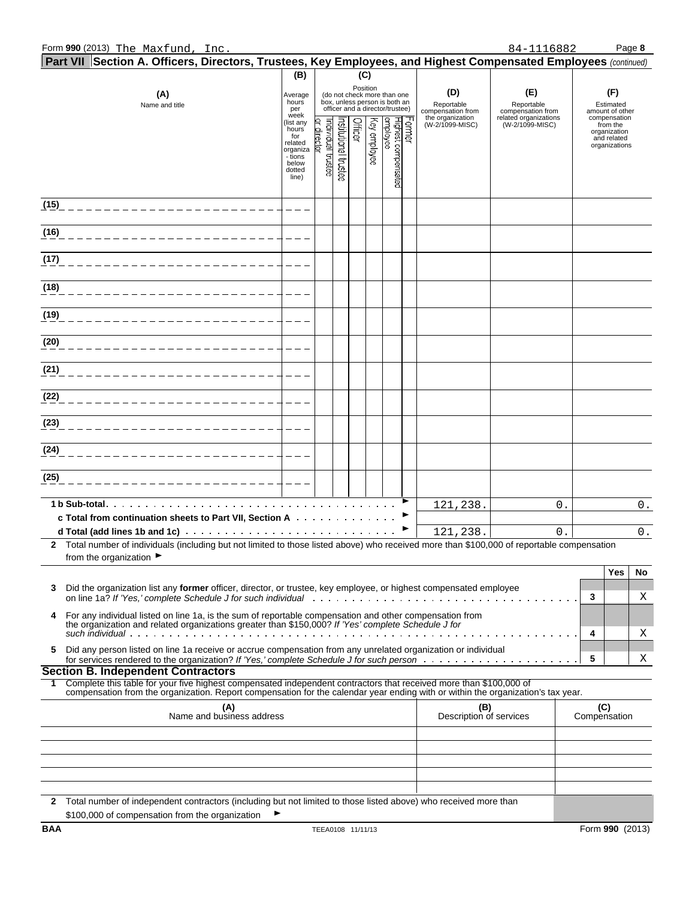|            | Part VII Section A. Officers, Directors, Trustees, Key Employees, and Highest Compensated Employees (continued)                                                                                                                                        |                                                                                         |                                  |                      |         |              |                                                                                                 |       |                                        |                                          |                                                     |                                                          |    |
|------------|--------------------------------------------------------------------------------------------------------------------------------------------------------------------------------------------------------------------------------------------------------|-----------------------------------------------------------------------------------------|----------------------------------|----------------------|---------|--------------|-------------------------------------------------------------------------------------------------|-------|----------------------------------------|------------------------------------------|-----------------------------------------------------|----------------------------------------------------------|----|
|            | (A)<br>Name and title                                                                                                                                                                                                                                  | (B)<br>Average<br>hours<br>per<br>week                                                  |                                  |                      | (C)     | Position     | (do not check more than one<br>box, unless person is both an<br>officer and a director/trustee) |       | (D)<br>Reportable<br>compensation from | (E)<br>Reportable<br>compensation from   | (F)<br>Estimated<br>amount of other<br>compensation |                                                          |    |
|            |                                                                                                                                                                                                                                                        | (list any<br>hours<br>for<br>related<br>organiza<br>- tions<br>below<br>dotted<br>line) | or director<br>ndividual trustee | nstitutional trustee | Officer | Key employee | Highest compensated<br>employee                                                                 | crmer | the organization<br>(W-2/1099-MISC)    | related organizations<br>(W-2/1099-MISC) |                                                     | from the<br>organization<br>and related<br>organizations |    |
| (15)       |                                                                                                                                                                                                                                                        |                                                                                         |                                  |                      |         |              |                                                                                                 |       |                                        |                                          |                                                     |                                                          |    |
| (16)       |                                                                                                                                                                                                                                                        |                                                                                         |                                  |                      |         |              |                                                                                                 |       |                                        |                                          |                                                     |                                                          |    |
| (17)       |                                                                                                                                                                                                                                                        |                                                                                         |                                  |                      |         |              |                                                                                                 |       |                                        |                                          |                                                     |                                                          |    |
| (18)       |                                                                                                                                                                                                                                                        |                                                                                         |                                  |                      |         |              |                                                                                                 |       |                                        |                                          |                                                     |                                                          |    |
| (19)       |                                                                                                                                                                                                                                                        |                                                                                         |                                  |                      |         |              |                                                                                                 |       |                                        |                                          |                                                     |                                                          |    |
| (20)       |                                                                                                                                                                                                                                                        |                                                                                         |                                  |                      |         |              |                                                                                                 |       |                                        |                                          |                                                     |                                                          |    |
| (21)       |                                                                                                                                                                                                                                                        |                                                                                         |                                  |                      |         |              |                                                                                                 |       |                                        |                                          |                                                     |                                                          |    |
| (22)       |                                                                                                                                                                                                                                                        |                                                                                         |                                  |                      |         |              |                                                                                                 |       |                                        |                                          |                                                     |                                                          |    |
| (23)       |                                                                                                                                                                                                                                                        |                                                                                         |                                  |                      |         |              |                                                                                                 |       |                                        |                                          |                                                     |                                                          |    |
| (24)       |                                                                                                                                                                                                                                                        |                                                                                         |                                  |                      |         |              |                                                                                                 |       |                                        |                                          |                                                     |                                                          |    |
| (25)       |                                                                                                                                                                                                                                                        |                                                                                         |                                  |                      |         |              |                                                                                                 |       |                                        |                                          |                                                     |                                                          |    |
|            | 1 b Sub-total.<br>c Total from continuation sheets to Part VII, Section A                                                                                                                                                                              |                                                                                         |                                  |                      |         |              |                                                                                                 | ▶     | 121,238.                               | 0.                                       |                                                     |                                                          | 0. |
|            | d Total (add lines 1b and 1c) and the contract of the contract of the contract of the contract of the contract of the contract of the contract of the contract of the contract of the contract of the contract of the contract                         |                                                                                         |                                  |                      |         |              |                                                                                                 |       | 121,238.                               | 0.                                       |                                                     |                                                          | 0. |
|            | 2 Total number of individuals (including but not limited to those listed above) who received more than \$100,000 of reportable compensation<br>from the organization $\blacktriangleright$                                                             |                                                                                         |                                  |                      |         |              |                                                                                                 |       |                                        |                                          |                                                     |                                                          |    |
| 3          | Did the organization list any former officer, director, or trustee, key employee, or highest compensated employee                                                                                                                                      |                                                                                         |                                  |                      |         |              |                                                                                                 |       |                                        |                                          |                                                     | Yes                                                      | No |
| 4          | For any individual listed on line 1a, is the sum of reportable compensation and other compensation from                                                                                                                                                |                                                                                         |                                  |                      |         |              |                                                                                                 |       |                                        |                                          | 3                                                   |                                                          | Χ  |
|            | the organization and related organizations greater than \$150,000? If 'Yes' complete Schedule J for                                                                                                                                                    |                                                                                         |                                  |                      |         |              |                                                                                                 |       |                                        |                                          | 4                                                   |                                                          | X  |
| 5          | Did any person listed on line 1a receive or accrue compensation from any unrelated organization or individual<br><b>Section B. Independent Contractors</b>                                                                                             |                                                                                         |                                  |                      |         |              |                                                                                                 |       |                                        |                                          | 5                                                   |                                                          | Χ  |
| 1.         | Complete this table for your five highest compensated independent contractors that received more than \$100,000 of<br>compensation from the organization. Report compensation for the calendar year ending with or within the organization's tax year. |                                                                                         |                                  |                      |         |              |                                                                                                 |       |                                        |                                          |                                                     |                                                          |    |
|            | (A)<br>Name and business address                                                                                                                                                                                                                       |                                                                                         |                                  |                      |         |              |                                                                                                 |       | (B)<br>Description of services         |                                          | Compensation                                        | (C)                                                      |    |
|            |                                                                                                                                                                                                                                                        |                                                                                         |                                  |                      |         |              |                                                                                                 |       |                                        |                                          |                                                     |                                                          |    |
|            |                                                                                                                                                                                                                                                        |                                                                                         |                                  |                      |         |              |                                                                                                 |       |                                        |                                          |                                                     |                                                          |    |
|            |                                                                                                                                                                                                                                                        |                                                                                         |                                  |                      |         |              |                                                                                                 |       |                                        |                                          |                                                     |                                                          |    |
| 2          | Total number of independent contractors (including but not limited to those listed above) who received more than<br>\$100,000 of compensation from the organization                                                                                    |                                                                                         |                                  |                      |         |              |                                                                                                 |       |                                        |                                          |                                                     |                                                          |    |
| <b>BAA</b> |                                                                                                                                                                                                                                                        |                                                                                         | TEEA0108 11/11/13                |                      |         |              |                                                                                                 |       |                                        |                                          |                                                     | Form 990 (2013)                                          |    |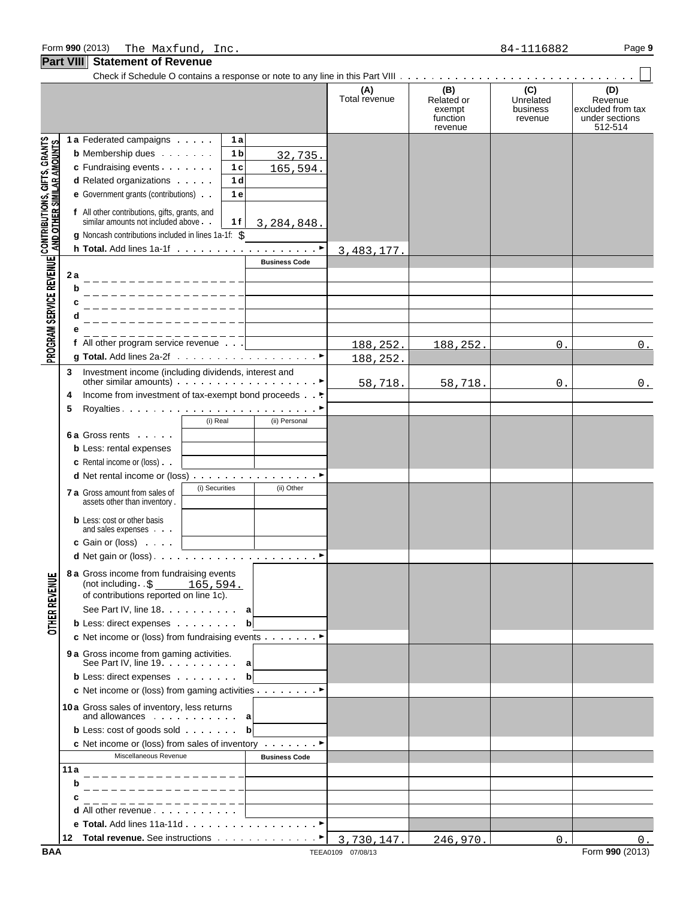#### Check if Schedule O contains a response or note to any line in this Part VIII **(A) (B) (C) (D)** Total revenue Related or Unrelated Revenue<br>exempt business excluded from exempt business excluded from tax<br>function revenue under sections function revenue under sections revenue 512-514 PROGRAM SERVICE REVENUE| CONTRIBUTIONS, GIFTS, GRANTS<br>PROGRAM SERVICE REVENUE| AND OTHER SIMILAR AMOUNTS **1 a** Federated campaigns **1 a b** Membership dues **1 b** 32,735. **c** Fundraising events **1 c** 165,594. **d** Related organizations **1 d e** Government grants (contributions) **1 e f** All other contributions, gifts, grants, and similar amounts not included above **1 f** 3,284,848. **g** Noncash contributions included in lines 1a-1f: \$ **h Total.** Add lines 1a-1f (a) and a contract of a part of a part of a part of a part of a part of a part of a part of  $\triangleright$ 3,483,177. **Business Code 2 a b c d e f** All other program service revenue  $188,252.$  188,252. 0. 0. **g Total.** Add lines 2a-2f G 188,252. **3** Investment income (including dividends, interest and other similar amounts) Government of the similar service of  $\blacktriangleright$ 58,718. 58,718. 0. 0. **4** Income from investment of tax-exempt bond proceeds . G **5** Royalties G (i) Real (ii) Personal **6 a** Gross rents **b** Less: rental expenses **c** Rental income or (loss) **d** Net rental income or (loss) . . . . . . . . . . . . . . . . ▶ **7 a** Gross amount from sales of  $\left\{\n\begin{array}{ccc}\n\text{(i) Securities} \\
\text{(ii) Other}\n\end{array}\n\right\}$ assets other than inventory . **b** Less: cost or other basis and sales expenses **c** Gain or (loss) **d** Net gain or (loss) G **8 a** Gross income from fundraising events **OTHER REVENUE** (not including .\$ 165,594. of contributions reported on line 1c). See Part IV, line 18 **a***add***<b>***add***</del>***d***<b>***d***</del>***dd***<b>***d***</del> b** Less: direct expenses **b c** Net income or (loss) from fundraising events Consumer **9 a** Gross income from gaming activities. See Part IV, line 19 *a* **a b** Less: direct expenses **b c** Net income or (loss) from gaming activities Consultstance ► **10a** Gross sales of inventory, less returns and allowances **a b** Less: cost of goods sold **bb c** Net income or (loss) from sales of inventory Constant P Miscellaneous Revenue **Business Code 11a b c d** All other revenue **e Total.** Add lines 11a-11d G **12 Total revenue.** See instructions . . . . . . . . . . . . . ▶

3,730,147. | 246,970. | 0. | 0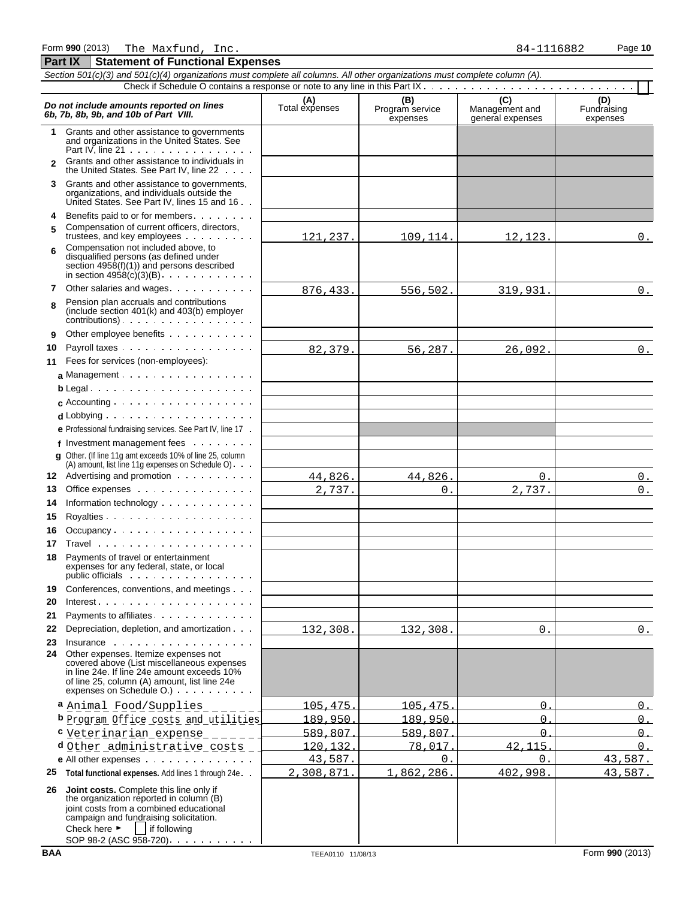Form **990** (2013) Page **10** The Maxfund, Inc. 84-1116882

**Part IX Statement of Functional Expenses**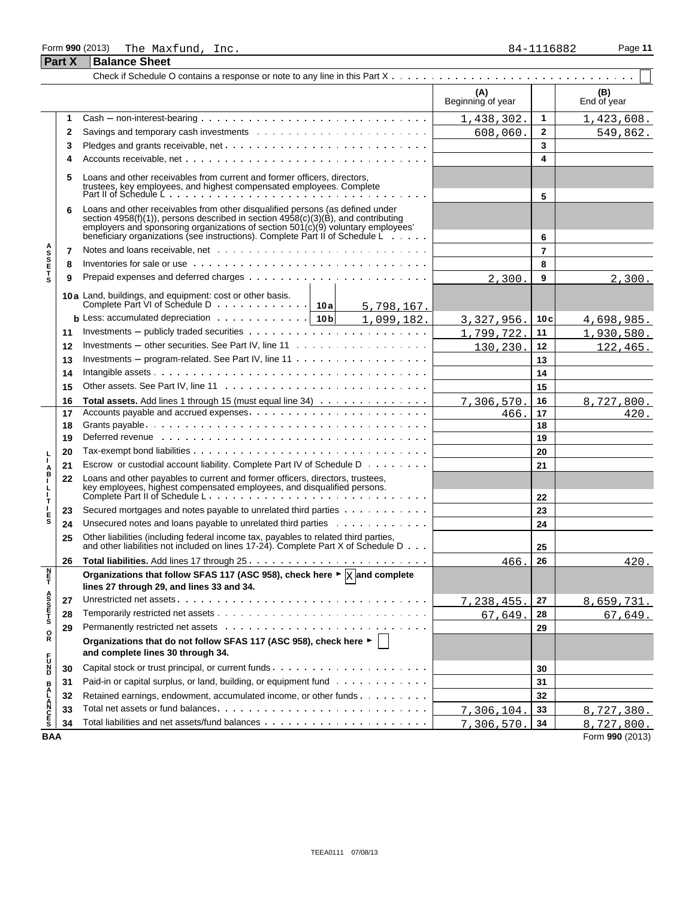#### Form **990** (2013) Page **11** The Maxfund, Inc. 84-1116882 **Part X Balance Sheet**

|                                   |    |                                                                                                                                                                                                                                                                                                                                                | (A)<br>Beginning of year |                | (B)<br>End of year |
|-----------------------------------|----|------------------------------------------------------------------------------------------------------------------------------------------------------------------------------------------------------------------------------------------------------------------------------------------------------------------------------------------------|--------------------------|----------------|--------------------|
|                                   | 1  |                                                                                                                                                                                                                                                                                                                                                | 1,438,302.               | 1              | 1,423,608.         |
|                                   | 2  |                                                                                                                                                                                                                                                                                                                                                | 608,060.                 | $\mathbf{2}$   | 549,862.           |
|                                   | 3  |                                                                                                                                                                                                                                                                                                                                                |                          | 3              |                    |
|                                   | 4  |                                                                                                                                                                                                                                                                                                                                                |                          | 4              |                    |
|                                   | 5  | Loans and other receivables from current and former officers, directors,<br>trustees, key employees, and highest compensated employees. Complete<br>Part II of Schedule L.                                                                                                                                                                     |                          | 5              |                    |
|                                   | 6  | Loans and other receivables from other disqualified persons (as defined under<br>section $4958(f)(1)$ ), persons described in section $4958(c)(3)(B)$ , and contributing<br>employers and sponsoring organizations of section $501(c)(9)$ voluntary employees'<br>beneficiary organizations (see instructions). Complete Part II of Schedule L |                          | 6              |                    |
|                                   | 7  |                                                                                                                                                                                                                                                                                                                                                |                          | $\overline{7}$ |                    |
| <b>ASSETS</b>                     | 8  |                                                                                                                                                                                                                                                                                                                                                |                          | 8              |                    |
|                                   | 9  |                                                                                                                                                                                                                                                                                                                                                | 2,300                    | 9              | 2,300.             |
|                                   |    |                                                                                                                                                                                                                                                                                                                                                |                          |                |                    |
|                                   |    | 10a Land, buildings, and equipment: cost or other basis.<br>Complete Part VI of Schedule D 10a<br>5,798,167.                                                                                                                                                                                                                                   |                          |                |                    |
|                                   |    | <b>b</b> Less: accumulated depreciation $\cdots$ $\cdots$ $\cdots$ $\cdots$   10b<br>1,099,182.                                                                                                                                                                                                                                                | 3, 327, 956.             | 10c            | 4,698,985.         |
|                                   | 11 |                                                                                                                                                                                                                                                                                                                                                | 1,799,722.               | 11             | 1,930,580.         |
|                                   | 12 | Investments $-$ other securities. See Part IV, line 11 $\ldots \ldots \ldots \ldots \ldots \ldots$                                                                                                                                                                                                                                             | 130,230.                 | 12             | 122,465.           |
|                                   | 13 |                                                                                                                                                                                                                                                                                                                                                |                          | 13             |                    |
|                                   | 14 |                                                                                                                                                                                                                                                                                                                                                |                          | 14             |                    |
|                                   | 15 |                                                                                                                                                                                                                                                                                                                                                |                          | 15             |                    |
|                                   | 16 | Total assets. Add lines 1 through 15 (must equal line 34)                                                                                                                                                                                                                                                                                      | 7,306,570.               | 16             | 8,727,800.         |
|                                   | 17 |                                                                                                                                                                                                                                                                                                                                                | 466.                     | 17             | 420.               |
|                                   | 18 |                                                                                                                                                                                                                                                                                                                                                |                          | 18             |                    |
|                                   | 19 | Deferred revenue et al., respectively and the contract of the contract of the contract of the contract of the contract of the contract of the contract of the contract of the contract of the contract of the contract of the                                                                                                                  |                          | 19             |                    |
|                                   | 20 |                                                                                                                                                                                                                                                                                                                                                |                          | 20             |                    |
| I.                                | 21 | Escrow or custodial account liability. Complete Part IV of Schedule D                                                                                                                                                                                                                                                                          |                          | 21             |                    |
| A<br>B<br>I<br>$\frac{1}{1}$<br>т | 22 | Loans and other payables to current and former officers, directors, trustees,                                                                                                                                                                                                                                                                  |                          | 22             |                    |
|                                   | 23 | Secured mortgages and notes payable to unrelated third parties                                                                                                                                                                                                                                                                                 |                          | 23             |                    |
| $\frac{E}{S}$                     | 24 | Unsecured notes and loans payable to unrelated third parties                                                                                                                                                                                                                                                                                   |                          | 24             |                    |
|                                   | 25 | Other liabilities (including federal income tax, payables to related third parties,<br>and other liabilities not included on lines 17-24). Complete Part X of Schedule D                                                                                                                                                                       |                          | 25             |                    |
|                                   | 26 |                                                                                                                                                                                                                                                                                                                                                | 466                      | 26             | 420.               |
| Ē                                 |    | Organizations that follow SFAS 117 (ASC 958), check here $\blacktriangleright \boxed{\times}$ and complete                                                                                                                                                                                                                                     |                          |                |                    |
|                                   |    | lines 27 through 29, and lines 33 and 34.                                                                                                                                                                                                                                                                                                      |                          |                |                    |
|                                   | 27 |                                                                                                                                                                                                                                                                                                                                                | 7,238,455.               | 27             | 8,659,731.         |
| A<br>S<br>T<br>T<br>S             | 28 |                                                                                                                                                                                                                                                                                                                                                | 67,649.                  | 28             | 67,649.            |
| o<br>R                            | 29 |                                                                                                                                                                                                                                                                                                                                                |                          | 29             |                    |
|                                   |    | Organizations that do not follow SFAS 117 (ASC 958), check here ►  <br>and complete lines 30 through 34.                                                                                                                                                                                                                                       |                          |                |                    |
| D <sub>N</sub> C <sub>L</sub>     | 30 |                                                                                                                                                                                                                                                                                                                                                |                          | 30             |                    |
|                                   | 31 | Paid-in or capital surplus, or land, building, or equipment fund                                                                                                                                                                                                                                                                               |                          | 31             |                    |
|                                   | 32 | Retained earnings, endowment, accumulated income, or other funds                                                                                                                                                                                                                                                                               |                          | 32             |                    |
| <b>BALANCES</b>                   | 33 |                                                                                                                                                                                                                                                                                                                                                | 7,306,104.               | 33             | 8,727,380.         |
|                                   | 34 |                                                                                                                                                                                                                                                                                                                                                | 7,306,570.               | 34             | 8,727,800.         |
| <b>BAA</b>                        |    |                                                                                                                                                                                                                                                                                                                                                |                          |                | Form 990 (2013)    |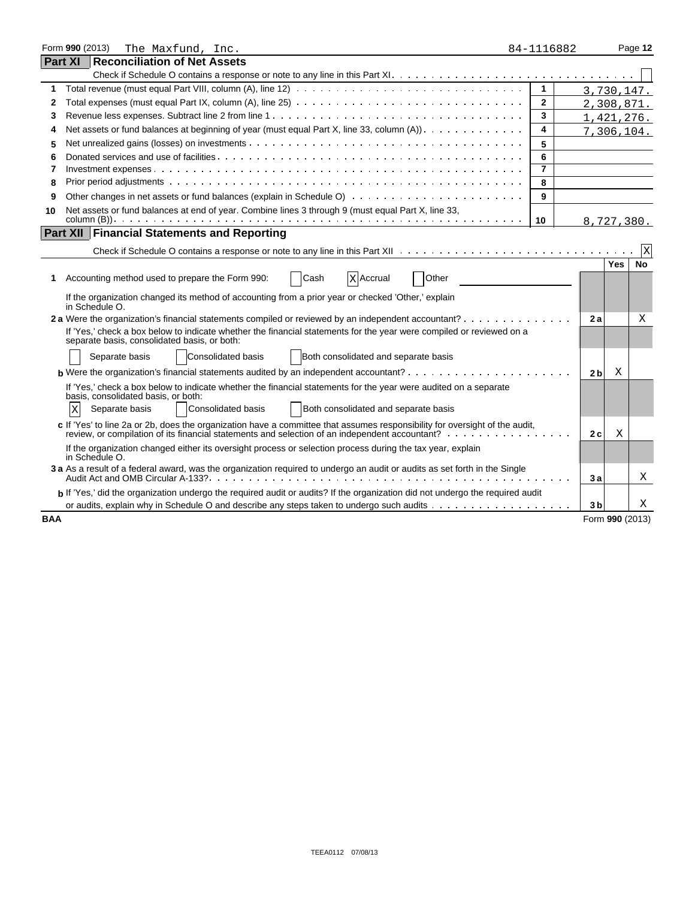|            | Form 990 (2013)<br>The Maxfund, Inc.                                                                                                                                                                                          | 84-1116882     |                | Page 12                 |
|------------|-------------------------------------------------------------------------------------------------------------------------------------------------------------------------------------------------------------------------------|----------------|----------------|-------------------------|
| Part XI    | Reconciliation of Net Assets                                                                                                                                                                                                  |                |                |                         |
|            |                                                                                                                                                                                                                               |                |                |                         |
| 1          |                                                                                                                                                                                                                               | $\mathbf{1}$   |                | 3,730,147.              |
| 2          |                                                                                                                                                                                                                               | $\overline{2}$ |                | 2,308,871.              |
| 3          |                                                                                                                                                                                                                               | 3              |                | 1,421,276.              |
| 4          | Net assets or fund balances at beginning of year (must equal Part X, line 33, column $(A)$ ). $\ldots$ ,                                                                                                                      | 4              |                | 7, 306, 104.            |
| 5          |                                                                                                                                                                                                                               | 5              |                |                         |
| 6          |                                                                                                                                                                                                                               | 6              |                |                         |
| 7          |                                                                                                                                                                                                                               | $\overline{7}$ |                |                         |
| 8          |                                                                                                                                                                                                                               | 8              |                |                         |
| 9          |                                                                                                                                                                                                                               | 9              |                |                         |
| 10         | Net assets or fund balances at end of year. Combine lines 3 through 9 (must equal Part X, line 33,                                                                                                                            |                |                |                         |
|            |                                                                                                                                                                                                                               | 10             |                | 8,727,380.              |
|            | <b>Part XII Financial Statements and Reporting</b>                                                                                                                                                                            |                |                |                         |
|            |                                                                                                                                                                                                                               |                |                | X                       |
|            |                                                                                                                                                                                                                               |                |                | <b>No</b><br><b>Yes</b> |
| 1          | Accounting method used to prepare the Form 990:<br>Cash<br>Other<br><b>X</b> Accrual                                                                                                                                          |                |                |                         |
|            | If the organization changed its method of accounting from a prior year or checked 'Other,' explain<br>in Schedule O.                                                                                                          |                |                |                         |
|            | 2 a Were the organization's financial statements compiled or reviewed by an independent accountant?                                                                                                                           |                | 2a             | Χ                       |
|            | If 'Yes,' check a box below to indicate whether the financial statements for the year were compiled or reviewed on a<br>separate basis, consolidated basis, or both:                                                          |                |                |                         |
|            | Consolidated basis<br>Separate basis<br>Both consolidated and separate basis                                                                                                                                                  |                |                |                         |
|            |                                                                                                                                                                                                                               |                | 2 <sub>b</sub> | Χ                       |
|            | If 'Yes,' check a box below to indicate whether the financial statements for the year were audited on a separate<br>basis, consolidated basis, or both:                                                                       |                |                |                         |
|            | Both consolidated and separate basis<br>Separate basis<br>Consolidated basis<br>Χ                                                                                                                                             |                |                |                         |
|            | c If 'Yes' to line 2a or 2b, does the organization have a committee that assumes responsibility for oversight of the audit,<br>review, or compilation of its financial statements and selection of an independent accountant? |                | 2 c            | X                       |
|            | If the organization changed either its oversight process or selection process during the tax year, explain<br>in Schedule O.                                                                                                  |                |                |                         |
|            | 3 a As a result of a federal award, was the organization required to undergo an audit or audits as set forth in the Single                                                                                                    |                | Зa             | Χ                       |
|            | b If 'Yes,' did the organization undergo the required audit or audits? If the organization did not undergo the required audit                                                                                                 |                |                |                         |
|            |                                                                                                                                                                                                                               |                | 3b             | Χ                       |
| <b>BAA</b> |                                                                                                                                                                                                                               |                |                | Form 990 (2013)         |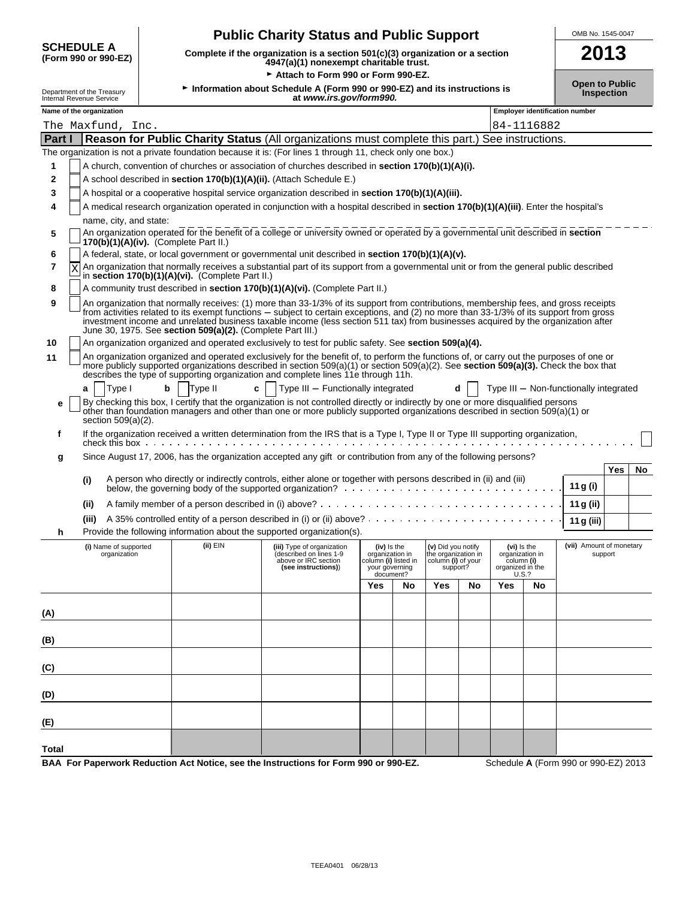| <b>Public Charity Status and Public Support</b> |  |  |  |
|-------------------------------------------------|--|--|--|
|-------------------------------------------------|--|--|--|

**SCHEDULE A** 

| <b>Support</b>       | OMB No. 1545-0047 |
|----------------------|-------------------|
| ization or a section | 2013              |

| <b>SCHEDULE A</b><br>(Form 990 or 990-EZ)              |                        | 2013<br>Complete if the organization is a section 501(c)(3) organization or a section<br>4947(a)(1) nonexempt charitable trust.            |                                                                                                                                                                                                                                                                                                                                                                                                                      |                                                                                       |    |                                                                            |            |                                                                  |       |                                        |                                            |    |  |
|--------------------------------------------------------|------------------------|--------------------------------------------------------------------------------------------------------------------------------------------|----------------------------------------------------------------------------------------------------------------------------------------------------------------------------------------------------------------------------------------------------------------------------------------------------------------------------------------------------------------------------------------------------------------------|---------------------------------------------------------------------------------------|----|----------------------------------------------------------------------------|------------|------------------------------------------------------------------|-------|----------------------------------------|--------------------------------------------|----|--|
| Department of the Treasury<br>Internal Revenue Service |                        | Attach to Form 990 or Form 990-EZ.<br>Information about Schedule A (Form 990 or 990-EZ) and its instructions is<br>at www.irs.gov/form990. |                                                                                                                                                                                                                                                                                                                                                                                                                      |                                                                                       |    |                                                                            |            |                                                                  |       |                                        | <b>Open to Public</b><br><b>Inspection</b> |    |  |
| Name of the organization                               |                        |                                                                                                                                            |                                                                                                                                                                                                                                                                                                                                                                                                                      |                                                                                       |    |                                                                            |            |                                                                  |       | <b>Employer identification number</b>  |                                            |    |  |
| The Maxfund, Inc.                                      |                        |                                                                                                                                            |                                                                                                                                                                                                                                                                                                                                                                                                                      |                                                                                       |    |                                                                            | 84-1116882 |                                                                  |       |                                        |                                            |    |  |
|                                                        |                        |                                                                                                                                            | Part I Reason for Public Charity Status (All organizations must complete this part.) See instructions.                                                                                                                                                                                                                                                                                                               |                                                                                       |    |                                                                            |            |                                                                  |       |                                        |                                            |    |  |
|                                                        |                        |                                                                                                                                            | The organization is not a private foundation because it is: (For lines 1 through 11, check only one box.)                                                                                                                                                                                                                                                                                                            |                                                                                       |    |                                                                            |            |                                                                  |       |                                        |                                            |    |  |
| 1                                                      |                        |                                                                                                                                            | A church, convention of churches or association of churches described in <b>section 170(b)(1)(A)(i).</b>                                                                                                                                                                                                                                                                                                             |                                                                                       |    |                                                                            |            |                                                                  |       |                                        |                                            |    |  |
| 2                                                      |                        |                                                                                                                                            | A school described in section 170(b)(1)(A)(ii). (Attach Schedule E.)                                                                                                                                                                                                                                                                                                                                                 |                                                                                       |    |                                                                            |            |                                                                  |       |                                        |                                            |    |  |
| 3                                                      |                        |                                                                                                                                            | A hospital or a cooperative hospital service organization described in section 170(b)(1)(A)(iii).                                                                                                                                                                                                                                                                                                                    |                                                                                       |    |                                                                            |            |                                                                  |       |                                        |                                            |    |  |
| 4                                                      |                        |                                                                                                                                            | A medical research organization operated in conjunction with a hospital described in section 170(b)(1)(A)(iii). Enter the hospital's                                                                                                                                                                                                                                                                                 |                                                                                       |    |                                                                            |            |                                                                  |       |                                        |                                            |    |  |
| 5                                                      | name, city, and state: | 170(b)(1)(A)(iv). (Complete Part II.)                                                                                                      | An organization operated for the benefit of a college or university owned or operated by a governmental unit described in section                                                                                                                                                                                                                                                                                    |                                                                                       |    |                                                                            |            |                                                                  |       |                                        |                                            |    |  |
| 6                                                      |                        |                                                                                                                                            | A federal, state, or local government or governmental unit described in section 170(b)(1)(A)(v).                                                                                                                                                                                                                                                                                                                     |                                                                                       |    |                                                                            |            |                                                                  |       |                                        |                                            |    |  |
| 7<br>Χ                                                 |                        | in section $170(b)(1)(A)(vi)$ . (Complete Part II.)                                                                                        | An organization that normally receives a substantial part of its support from a governmental unit or from the general public described                                                                                                                                                                                                                                                                               |                                                                                       |    |                                                                            |            |                                                                  |       |                                        |                                            |    |  |
| 8                                                      |                        |                                                                                                                                            | A community trust described in section 170(b)(1)(A)(vi). (Complete Part II.)                                                                                                                                                                                                                                                                                                                                         |                                                                                       |    |                                                                            |            |                                                                  |       |                                        |                                            |    |  |
| 9                                                      |                        | June 30, 1975. See section 509(a)(2). (Complete Part III.)                                                                                 | An organization that normally receives: (1) more than 33-1/3% of its support from contributions, membership fees, and gross receipts<br>from activities related to its exempt functions – subject to certain exceptions, and (2) no more than 33-1/3% of its support from gross<br>investment income and unrelated business taxable income (less section 511 tax) from businesses acquired by the organization after |                                                                                       |    |                                                                            |            |                                                                  |       |                                        |                                            |    |  |
| 10                                                     |                        |                                                                                                                                            | An organization organized and operated exclusively to test for public safety. See section 509(a)(4).                                                                                                                                                                                                                                                                                                                 |                                                                                       |    |                                                                            |            |                                                                  |       |                                        |                                            |    |  |
| 11                                                     |                        |                                                                                                                                            | An organization organized and operated exclusively for the benefit of, to perform the functions of, or carry out the purposes of one or<br>more publicly supported organizations described in section 509(a)(1) or section 509(a)(2). See section 509(a)(3). Check the box that<br>describes the type of supporting organization and complete lines 11e through 11h.                                                 |                                                                                       |    |                                                                            |            |                                                                  |       |                                        |                                            |    |  |
| Type I<br>a                                            | b                      | Type II<br>C                                                                                                                               | Type III - Functionally integrated                                                                                                                                                                                                                                                                                                                                                                                   |                                                                                       |    | d                                                                          |            |                                                                  |       | Type III - Non-functionally integrated |                                            |    |  |
| е                                                      |                        |                                                                                                                                            | By checking this box, I certify that the organization is not controlled directly or indirectly by one or more disqualified persons<br>other than foundation managers and other than one or more publicly supported organizations described in section 509(a)(1) or                                                                                                                                                   |                                                                                       |    |                                                                            |            |                                                                  |       |                                        |                                            |    |  |
| section 509(a)(2).<br>f                                |                        |                                                                                                                                            | If the organization received a written determination from the IRS that is a Type I, Type II or Type III supporting organization,                                                                                                                                                                                                                                                                                     |                                                                                       |    |                                                                            |            |                                                                  |       |                                        |                                            |    |  |
| g                                                      |                        |                                                                                                                                            | Since August 17, 2006, has the organization accepted any gift or contribution from any of the following persons?                                                                                                                                                                                                                                                                                                     |                                                                                       |    |                                                                            |            |                                                                  |       |                                        | Yes                                        |    |  |
| (i)                                                    |                        |                                                                                                                                            | A person who directly or indirectly controls, either alone or together with persons described in (ii) and (iii)                                                                                                                                                                                                                                                                                                      |                                                                                       |    |                                                                            |            |                                                                  |       | 11 g (i)                               |                                            | No |  |
| (ii)                                                   |                        |                                                                                                                                            |                                                                                                                                                                                                                                                                                                                                                                                                                      |                                                                                       |    |                                                                            |            |                                                                  |       | 11 g (ii)                              |                                            |    |  |
| (iii)                                                  |                        |                                                                                                                                            |                                                                                                                                                                                                                                                                                                                                                                                                                      |                                                                                       |    |                                                                            |            |                                                                  |       | 11 g (iii)                             |                                            |    |  |
| h                                                      |                        |                                                                                                                                            | Provide the following information about the supported organization(s).                                                                                                                                                                                                                                                                                                                                               |                                                                                       |    |                                                                            |            |                                                                  |       |                                        |                                            |    |  |
| (i) Name of supported<br>organization                  |                        | (ii) EIN                                                                                                                                   | (iii) Type of organization<br>(described on lines 1-9<br>above or IRC section<br>(see instructions))                                                                                                                                                                                                                                                                                                                 | (iv) is the<br>organization in<br>column (i) listed in<br>your governing<br>document? |    | (v) Did you notify<br>he organization in<br>column (i) of your<br>support? |            | (vi) is the<br>organization in<br>column (i)<br>organized in the | U.S.? | (vii) Amount of monetary               | support                                    |    |  |
|                                                        |                        |                                                                                                                                            |                                                                                                                                                                                                                                                                                                                                                                                                                      | Yes                                                                                   | No | Yes                                                                        | No         | Yes                                                              | No    |                                        |                                            |    |  |
| (A)                                                    |                        |                                                                                                                                            |                                                                                                                                                                                                                                                                                                                                                                                                                      |                                                                                       |    |                                                                            |            |                                                                  |       |                                        |                                            |    |  |
| (B)                                                    |                        |                                                                                                                                            |                                                                                                                                                                                                                                                                                                                                                                                                                      |                                                                                       |    |                                                                            |            |                                                                  |       |                                        |                                            |    |  |
| (C)                                                    |                        |                                                                                                                                            |                                                                                                                                                                                                                                                                                                                                                                                                                      |                                                                                       |    |                                                                            |            |                                                                  |       |                                        |                                            |    |  |
| (D)                                                    |                        |                                                                                                                                            |                                                                                                                                                                                                                                                                                                                                                                                                                      |                                                                                       |    |                                                                            |            |                                                                  |       |                                        |                                            |    |  |
| (E)                                                    |                        |                                                                                                                                            |                                                                                                                                                                                                                                                                                                                                                                                                                      |                                                                                       |    |                                                                            |            |                                                                  |       |                                        |                                            |    |  |
|                                                        |                        |                                                                                                                                            |                                                                                                                                                                                                                                                                                                                                                                                                                      |                                                                                       |    |                                                                            |            |                                                                  |       |                                        |                                            |    |  |
| Total                                                  |                        |                                                                                                                                            | BAA For Paperwork Reduction Act Notice, see the Instructions for Form 990 or 990-EZ.                                                                                                                                                                                                                                                                                                                                 |                                                                                       |    |                                                                            |            |                                                                  |       | Schedule A (Form 990 or 990-EZ) 2013   |                                            |    |  |
|                                                        |                        |                                                                                                                                            |                                                                                                                                                                                                                                                                                                                                                                                                                      |                                                                                       |    |                                                                            |            |                                                                  |       |                                        |                                            |    |  |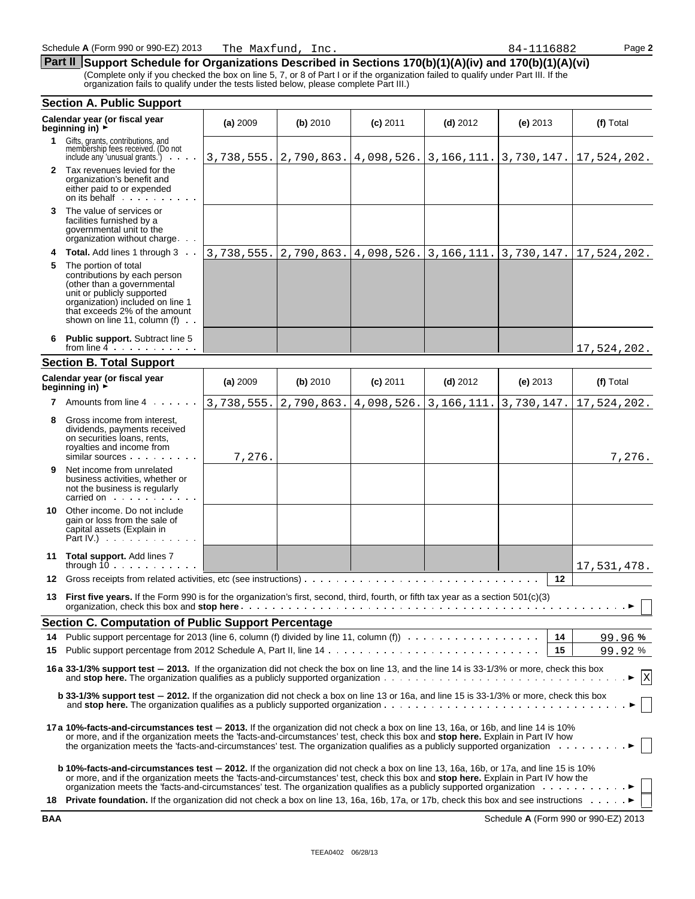The Maxfund, Inc.

**Part II** Support Schedule for Organizations Described in Sections 170(b)(1)(A)(iv) and 170(b)(1)(A)(vi)

(Complete only if you checked the box on line 5, 7, or 8 of Part I or if the organization failed to qualify under Part III. If the organization fails to qualify under the tests listed below, please complete Part III.)

|                                                                                                                                                 | <b>Section A. Public Support</b>                                                                                                                                                                                                                                                                                                                                                                                                 |            |            |                           |                                                                               |            |                                       |
|-------------------------------------------------------------------------------------------------------------------------------------------------|----------------------------------------------------------------------------------------------------------------------------------------------------------------------------------------------------------------------------------------------------------------------------------------------------------------------------------------------------------------------------------------------------------------------------------|------------|------------|---------------------------|-------------------------------------------------------------------------------|------------|---------------------------------------|
|                                                                                                                                                 | Calendar year (or fiscal year<br>beginning in) $\overrightarrow{r}$                                                                                                                                                                                                                                                                                                                                                              | (a) 2009   | (b) 2010   | $(c)$ 2011                | $(d)$ 2012                                                                    | $(e)$ 2013 | (f) Total                             |
| 1.                                                                                                                                              | Gifts, grants, contributions, and<br>membership fees received. (Do not<br>include any 'unusual grants.')<br>$\mathcal{L}^{\mathcal{A}}$ , $\mathcal{L}^{\mathcal{A}}$ , $\mathcal{L}^{\mathcal{A}}$                                                                                                                                                                                                                              | 3,738,555. |            |                           | $\vert 2, 790, 863. \vert 4, 098, 526. \vert 3, 166, 111. \vert 3, 730, 147.$ |            | 17,524,202.                           |
|                                                                                                                                                 | 2 Tax revenues levied for the<br>organization's benefit and<br>either paid to or expended<br>on its behalf                                                                                                                                                                                                                                                                                                                       |            |            |                           |                                                                               |            |                                       |
| 3                                                                                                                                               | The value of services or<br>facilities furnished by a<br>governmental unit to the<br>organization without charge                                                                                                                                                                                                                                                                                                                 |            |            |                           |                                                                               |            |                                       |
|                                                                                                                                                 | <b>Total.</b> Add lines 1 through 3                                                                                                                                                                                                                                                                                                                                                                                              | 3,738,555. | 2,790,863. | $4,098,526.$ 3, 166, 111. |                                                                               | 3,730,147. | 17,524,202.                           |
| 5                                                                                                                                               | The portion of total<br>contributions by each person<br>(other than a governmental<br>unit or publicly supported<br>organization) included on line 1<br>that exceeds 2% of the amount<br>shown on line 11, column (f)<br>$\sim 10$                                                                                                                                                                                               |            |            |                           |                                                                               |            |                                       |
|                                                                                                                                                 | <b>Public support.</b> Subtract line 5<br>from line $4 \cdot \cdot \cdot \cdot \cdot \cdot$                                                                                                                                                                                                                                                                                                                                      |            |            |                           |                                                                               |            | 17,524,202.                           |
|                                                                                                                                                 | <b>Section B. Total Support</b>                                                                                                                                                                                                                                                                                                                                                                                                  |            |            |                           |                                                                               |            |                                       |
|                                                                                                                                                 | Calendar year (or fiscal year<br>beginning in) >                                                                                                                                                                                                                                                                                                                                                                                 | (a) 2009   | (b) 2010   | $(c)$ 2011                | $(d)$ 2012                                                                    | $(e)$ 2013 | (f) Total                             |
|                                                                                                                                                 | 7 Amounts from line 4                                                                                                                                                                                                                                                                                                                                                                                                            | 3,738,555. | 2,790,863. | 4,098,526.                | 3, 166, 111.                                                                  | 3,730,147. | 17,524,202.                           |
| 8                                                                                                                                               | Gross income from interest,<br>dividends, payments received<br>on securities loans, rents,<br>royalties and income from<br>similar sources                                                                                                                                                                                                                                                                                       | 7,276.     |            |                           |                                                                               |            | 7,276.                                |
| 9                                                                                                                                               | Net income from unrelated<br>business activities, whether or<br>not the business is regularly<br>carried on the carried on the care in the care of the care in the case of the care in the case of the case of the case of the case of the case of the case of the case of the case of the case of the case of the case of the                                                                                                   |            |            |                           |                                                                               |            |                                       |
| 10                                                                                                                                              | Other income. Do not include<br>gain or loss from the sale of<br>capital assets (Explain in<br>Part IV.) $\cdots$                                                                                                                                                                                                                                                                                                                |            |            |                           |                                                                               |            |                                       |
|                                                                                                                                                 | 11 Total support. Add lines 7<br>through $10$                                                                                                                                                                                                                                                                                                                                                                                    |            |            |                           |                                                                               |            | 17,531,478.                           |
| 12                                                                                                                                              |                                                                                                                                                                                                                                                                                                                                                                                                                                  |            |            |                           |                                                                               | 12         |                                       |
| 13                                                                                                                                              | First five years. If the Form 990 is for the organization's first, second, third, fourth, or fifth tax year as a section 501(c)(3)<br>organization, check this box and <b>stop here</b> expression of the set of the set of the set of the set of the set of the set of the set of the set of the set of the set of the set of the set of the set of the set of the set o                                                        |            |            |                           |                                                                               |            | $\ldots$ $\blacktriangleright$ $\Box$ |
|                                                                                                                                                 | Section C. Computation of Public Support Percentage                                                                                                                                                                                                                                                                                                                                                                              |            |            |                           |                                                                               |            |                                       |
|                                                                                                                                                 |                                                                                                                                                                                                                                                                                                                                                                                                                                  |            |            |                           |                                                                               | 14         | 99.96%                                |
| 15                                                                                                                                              |                                                                                                                                                                                                                                                                                                                                                                                                                                  |            |            |                           |                                                                               | 15         | 99.92%                                |
|                                                                                                                                                 | 16 a 33-1/3% support test - 2013. If the organization did not check the box on line 13, and the line 14 is 33-1/3% or more, check this box                                                                                                                                                                                                                                                                                       |            |            |                           |                                                                               |            | $\mathbf{X}$                          |
| <b>b 33-1/3% support test – 2012.</b> If the organization did not check a box on line 13 or 16a, and line 15 is 33-1/3% or more, check this box |                                                                                                                                                                                                                                                                                                                                                                                                                                  |            |            |                           |                                                                               |            |                                       |
|                                                                                                                                                 | 17a 10%-facts-and-circumstances test – 2013. If the organization did not check a box on line 13, 16a, or 16b, and line 14 is 10%<br>or more, and if the organization meets the 'facts-and-circumstances' test, check this box and stop here. Explain in Part IV how<br>the organization meets the 'facts-and-circumstances' test. The organization qualifies as a publicly supported organization                                |            |            |                           |                                                                               |            |                                       |
|                                                                                                                                                 | <b>b 10%-facts-and-circumstances test - 2012.</b> If the organization did not check a box on line 13, 16a, 16b, or 17a, and line 15 is 10%<br>or more, and if the organization meets the 'facts-and-circumstances' test, check this box and <b>stop here.</b> Explain in Part IV how the<br>organization meets the 'facts-and-circumstances' test. The organization qualifies as a publicly supported organization enterstances. |            |            |                           |                                                                               |            |                                       |
|                                                                                                                                                 | 18 Private foundation. If the organization did not check a box on line 13, 16a, 16b, 17a, or 17b, check this box and see instructions >                                                                                                                                                                                                                                                                                          |            |            |                           |                                                                               |            |                                       |

**BAA** Schedule **A** (Form 990 or 990-EZ) 2013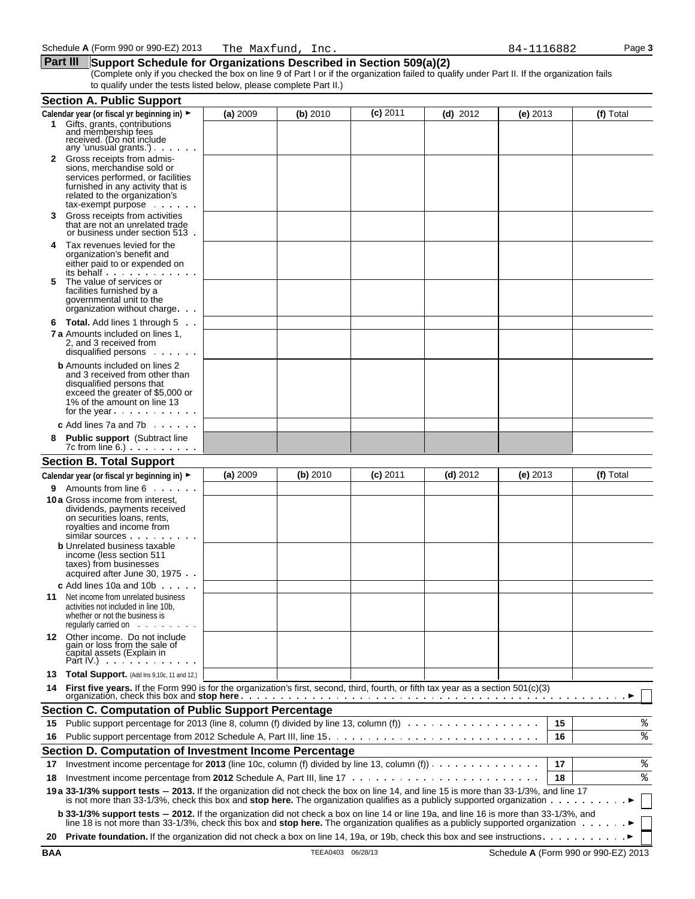#### **Part III** Support Schedule for Organizations Described in Section 509(a)(2)

(Complete only if you checked the box on line 9 of Part I or if the organization failed to qualify under Part II. If the organization fails to qualify under the tests listed below, please complete Part II.)

|    | <b>Section A. Public Support</b>                                                                                                                                                                                                                                                    |          |          |            |            |          |    |           |
|----|-------------------------------------------------------------------------------------------------------------------------------------------------------------------------------------------------------------------------------------------------------------------------------------|----------|----------|------------|------------|----------|----|-----------|
|    | Calendar year (or fiscal yr beginning in) ►                                                                                                                                                                                                                                         | (a) 2009 | (b) 2010 | $(c)$ 2011 | $(d)$ 2012 | (e) 2013 |    | (f) Total |
|    | 1 Gifts, grants, contributions<br>and membership fees<br>received. (Do not include<br>any 'unusual grants.') $\cdots$                                                                                                                                                               |          |          |            |            |          |    |           |
| 2  | Gross receipts from admis-<br>sions, merchandise sold or                                                                                                                                                                                                                            |          |          |            |            |          |    |           |
|    | services performed, or facilities<br>furnished in any activity that is<br>related to the organization's<br>$tax$ -exempt purpose $\ldots$                                                                                                                                           |          |          |            |            |          |    |           |
| 3  | Gross receipts from activities<br>that are not an unrelated trade<br>or business under section 513.                                                                                                                                                                                 |          |          |            |            |          |    |           |
| 4  | Tax revenues levied for the<br>organization's benefit and<br>either paid to or expended on<br>its behalf                                                                                                                                                                            |          |          |            |            |          |    |           |
| 5  | The value of services or<br>facilities furnished by a<br>governmental unit to the<br>organization without charge                                                                                                                                                                    |          |          |            |            |          |    |           |
| 6  | <b>Total.</b> Add lines 1 through 5                                                                                                                                                                                                                                                 |          |          |            |            |          |    |           |
|    | <b>7 a</b> Amounts included on lines 1.<br>2. and 3 received from<br>disqualified persons                                                                                                                                                                                           |          |          |            |            |          |    |           |
|    | <b>b</b> Amounts included on lines 2<br>and 3 received from other than<br>disqualified persons that<br>exceed the greater of \$5,000 or<br>1% of the amount on line 13<br>for the year $\cdots$                                                                                     |          |          |            |            |          |    |           |
|    | <b>c</b> Add lines 7a and 7b $\ldots$                                                                                                                                                                                                                                               |          |          |            |            |          |    |           |
| 8  | <b>Public support</b> (Subtract line<br>$7c$ from line $6.$ ) $\ldots$ $\ldots$ $\ldots$                                                                                                                                                                                            |          |          |            |            |          |    |           |
|    | <b>Section B. Total Support</b>                                                                                                                                                                                                                                                     |          |          |            |            |          |    |           |
|    | Calendar year (or fiscal yr beginning in) ►                                                                                                                                                                                                                                         | (a) 2009 | (b) 2010 | $(c)$ 2011 | $(d)$ 2012 | (e) 2013 |    | (f) Total |
| 9. | Amounts from line 6                                                                                                                                                                                                                                                                 |          |          |            |            |          |    |           |
|    | <b>10 a</b> Gross income from interest,<br>dividends, payments received<br>on securities loans, rents,<br>royalties and income from<br>similar sources<br><b>b</b> Unrelated business taxable<br>income (less section 511<br>taxes) from businesses<br>acquired after June 30, 1975 |          |          |            |            |          |    |           |
|    | $c$ Add lines 10a and 10b $\ldots$                                                                                                                                                                                                                                                  |          |          |            |            |          |    |           |
| 11 | Net income from unrelated business<br>activities not included in line 10b,<br>whether or not the business is<br>requiarly carried on                                                                                                                                                |          |          |            |            |          |    |           |
|    | 12 Other income. Do not include<br>gain or loss from the sale of<br>čapital assets (Explain in<br>Part IV.) $\cdots$                                                                                                                                                                |          |          |            |            |          |    |           |
| 13 | <b>Total Support.</b> (Add Ins $9,10c$ , 11 and 12.)                                                                                                                                                                                                                                |          |          |            |            |          |    |           |
|    | 14 First five years. If the Form 990 is for the organization's first, second, third, fourth, or fifth tax year as a section 501(c)(3)                                                                                                                                               |          |          |            |            |          |    |           |
|    | <b>Section C. Computation of Public Support Percentage</b>                                                                                                                                                                                                                          |          |          |            |            |          |    |           |
| 15 | Public support percentage for 2013 (line 8, column (f) divided by line 13, column (f))                                                                                                                                                                                              |          |          |            |            |          | 15 | %         |
| 16 |                                                                                                                                                                                                                                                                                     |          |          |            |            |          | 16 | ್ಠಿ       |
|    | Section D. Computation of Investment Income Percentage                                                                                                                                                                                                                              |          |          |            |            |          |    |           |
| 17 | Investment income percentage for 2013 (line 10c, column (f) divided by line 13, column (f)) $\cdots$                                                                                                                                                                                |          |          |            |            |          | 17 | శి        |
| 18 |                                                                                                                                                                                                                                                                                     |          |          |            |            |          | 18 | ి         |
|    | 19 a 33-1/3% support tests - 2013. If the organization did not check the box on line 14, and line 15 is more than 33-1/3%, and line 17<br>is not more than 33-1/3%, check this box and stop here. The organization qualifies as a publicly supported organization                   |          |          |            |            |          |    |           |
|    | b 33-1/3% support tests - 2012. If the organization did not check a box on line 14 or line 19a, and line 16 is more than 33-1/3%, and<br>line 18 is not more than 33-1/3%, check this box and stop here. The organization qualifies as a publicly supported organization            |          |          |            |            |          |    |           |
| 20 |                                                                                                                                                                                                                                                                                     |          |          |            |            |          |    |           |

**BAA** TEEA0403 06/28/13 Schedule **A** (Form 990 or 990-EZ) 2013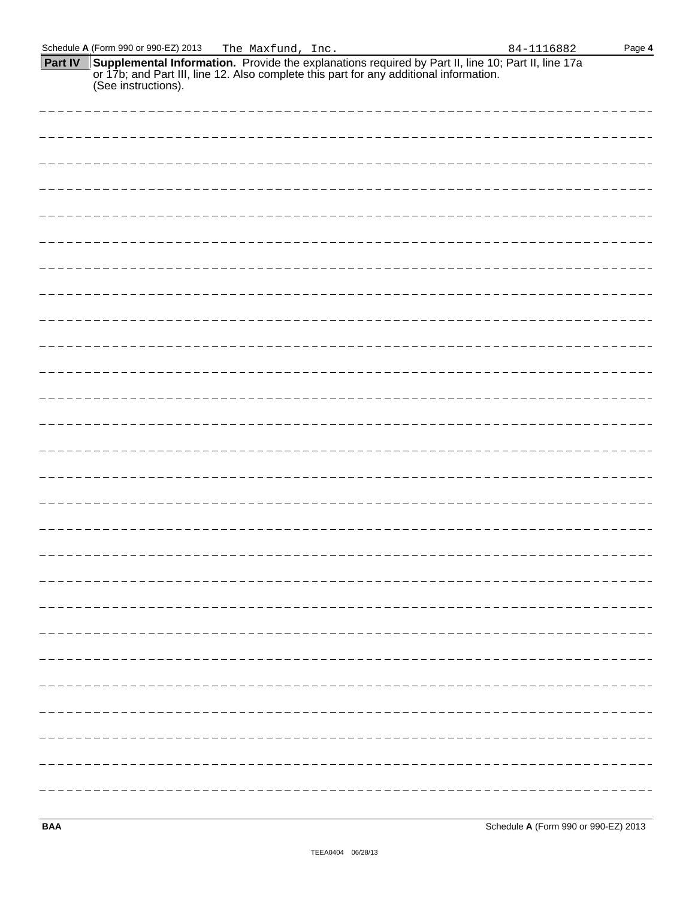| Schedule A (Form 990 or 990-EZ) 2013<br>The Maxfund, Inc.                                                                                                                                                                                    | Page 4<br>84-1116882 |
|----------------------------------------------------------------------------------------------------------------------------------------------------------------------------------------------------------------------------------------------|----------------------|
| <b>Part IV</b><br><b>Supplemental Information.</b> Provide the explanations required by Part II, line 10; Part II, line 17a<br>or 17b; and Part III, line 12. Also complete this part for any additional information.<br>(See instructions). |                      |
|                                                                                                                                                                                                                                              |                      |
|                                                                                                                                                                                                                                              |                      |
|                                                                                                                                                                                                                                              |                      |
|                                                                                                                                                                                                                                              |                      |
|                                                                                                                                                                                                                                              |                      |
|                                                                                                                                                                                                                                              |                      |
|                                                                                                                                                                                                                                              |                      |
|                                                                                                                                                                                                                                              |                      |
|                                                                                                                                                                                                                                              |                      |
|                                                                                                                                                                                                                                              |                      |
|                                                                                                                                                                                                                                              |                      |
|                                                                                                                                                                                                                                              |                      |
|                                                                                                                                                                                                                                              |                      |
|                                                                                                                                                                                                                                              |                      |
|                                                                                                                                                                                                                                              |                      |
|                                                                                                                                                                                                                                              |                      |
|                                                                                                                                                                                                                                              |                      |
|                                                                                                                                                                                                                                              |                      |
|                                                                                                                                                                                                                                              |                      |
|                                                                                                                                                                                                                                              |                      |
|                                                                                                                                                                                                                                              |                      |
|                                                                                                                                                                                                                                              |                      |
|                                                                                                                                                                                                                                              |                      |
| --------------------------------                                                                                                                                                                                                             |                      |
|                                                                                                                                                                                                                                              |                      |
|                                                                                                                                                                                                                                              |                      |
|                                                                                                                                                                                                                                              |                      |

**BAA** Schedule **A** (Form 990 or 990-EZ) 2013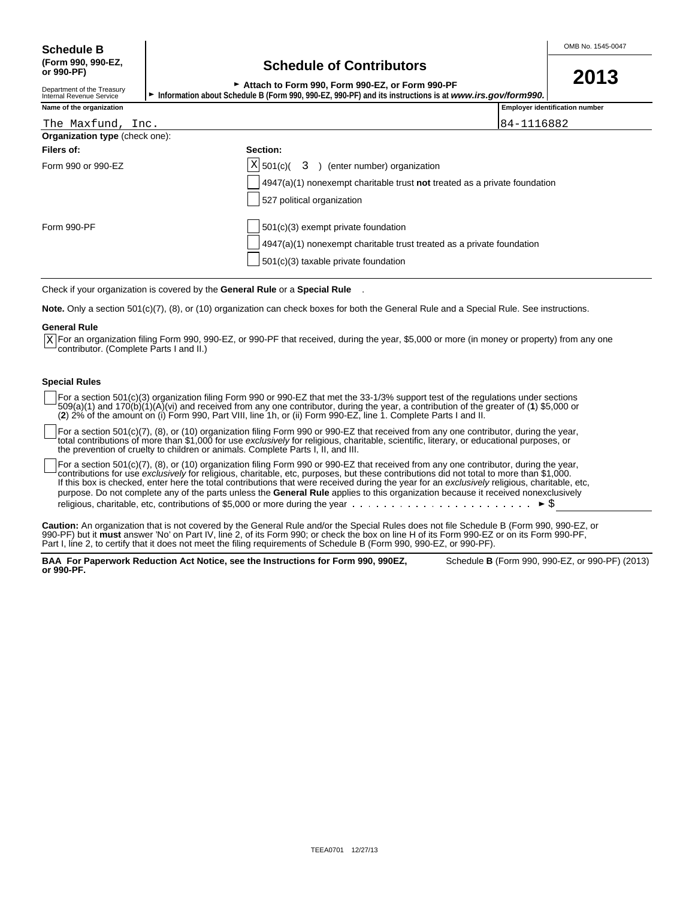## **(Form 990, 990-EZ, Schedule of Contributors or 990-PF)**

| OUNUMUNU UN UUNINUWUU                                                                                   | 2013 |
|---------------------------------------------------------------------------------------------------------|------|
| Attach to Form 990. Form 990-EZ, or Form 990-PF                                                         |      |
| Information about Schedule B (Form 990, 990-EZ, 990-PF) and its instructions is at www.irs.gov/form990, |      |

| T<br>ı |  |
|--------|--|
|        |  |

| Department of the Treasury<br>Internal Revenue Service | $\sim$ Attach to Form 990, Form 990-EZ, or Form 990-PF<br>Information about Schedule B (Form 990, 990-EZ, 990-PF) and its instructions is at www.irs.gov/form990, i |  |
|--------------------------------------------------------|---------------------------------------------------------------------------------------------------------------------------------------------------------------------|--|
| Name of the organization                               | <b>Employer identification number</b>                                                                                                                               |  |

| The Maxfund, Inc.              | 84-1116882                                                                         |  |
|--------------------------------|------------------------------------------------------------------------------------|--|
| Organization type (check one): |                                                                                    |  |
| Filers of:                     | Section:                                                                           |  |
| Form 990 or 990-EZ             | $ X $ 501(c)( 3) (enter number) organization                                       |  |
|                                | $4947(a)(1)$ nonexempt charitable trust <b>not</b> treated as a private foundation |  |
|                                | 527 political organization                                                         |  |
| Form 990-PF                    | 501(c)(3) exempt private foundation                                                |  |
|                                | 4947(a)(1) nonexempt charitable trust treated as a private foundation              |  |
|                                | 501(c)(3) taxable private foundation                                               |  |
|                                |                                                                                    |  |

Check if your organization is covered by the **General Rule** or a **Special Rule** .

**Note.** Only a section 501(c)(7), (8), or (10) organization can check boxes for both the General Rule and a Special Rule. See instructions.

#### **General Rule**

For an organization filing Form 990, 990-EZ, or 990-PF that received, during the year, \$5,000 or more (in money or property) from any one  $\underline{x}$  For an organization filing Form 990, 9<br>contributor. (Complete Parts I and II.)

#### **Special Rules**

For a section 501(c)(3) organization filing Form 990 or 990-EZ that met the 33-1/3% support test of the regulations under sections 509(a)(1) and 170(b)(1)(A)(vi) and received from any one contributor, during the year, a contribution of the greater of (**1**) \$5,000 or (**2**) 2% of the amount on (i) Form 990, Part VIII, line 1h, or (ii) Form 990-EZ, line 1. Complete Parts I and II.

For a section 501(c)(7), (8), or (10) organization filing Form 990 or 990-EZ that received from any one contributor, during the year, total contributions of more than \$1,000 for use *exclusively* for religious, charitable, scientific, literary, or educational purposes, or the prevention of cruelty to children or animals. Complete Parts I, II, and III.

For a section 501(c)(7), (8), or (10) organization filing Form 990 or 990-EZ that received from any one contributor, during the year, contributions for use *exclusively* for religious, charitable, etc, purposes, but these contributions did not total to more than \$1,000. If this box is checked, enter here the total contributions that were received during the year for an *exclusively* religious, charitable, etc, purpose. Do not complete any of the parts unless the **General Rule** applies to this organization because it received nonexclusively religious, charitable, etc, contributions of \$5,000 or more during the year  $\cdots \cdots \cdots \cdots \cdots \cdots \cdots \cdots$ 

**Caution:** An organization that is not covered by the General Rule and/or the Special Rules does not file Schedule B (Form 990, 990-EZ, or 990-PF) but it **must** answer 'No' on Part IV, line 2, of its Form 990; or check the box on line H of its Form 990-EZ or on its Form 990-PF, Part I, line 2, to certify that it does not meet the filing requirements of Schedule B (Form 990, 990-EZ, or 990-PF).

**BAA For Paperwork Reduction Act Notice, see the Instructions for Form 990, 990EZ,** Schedule **B** (Form 990, 990-EZ, or 990-PF) (2013) **or 990-PF.**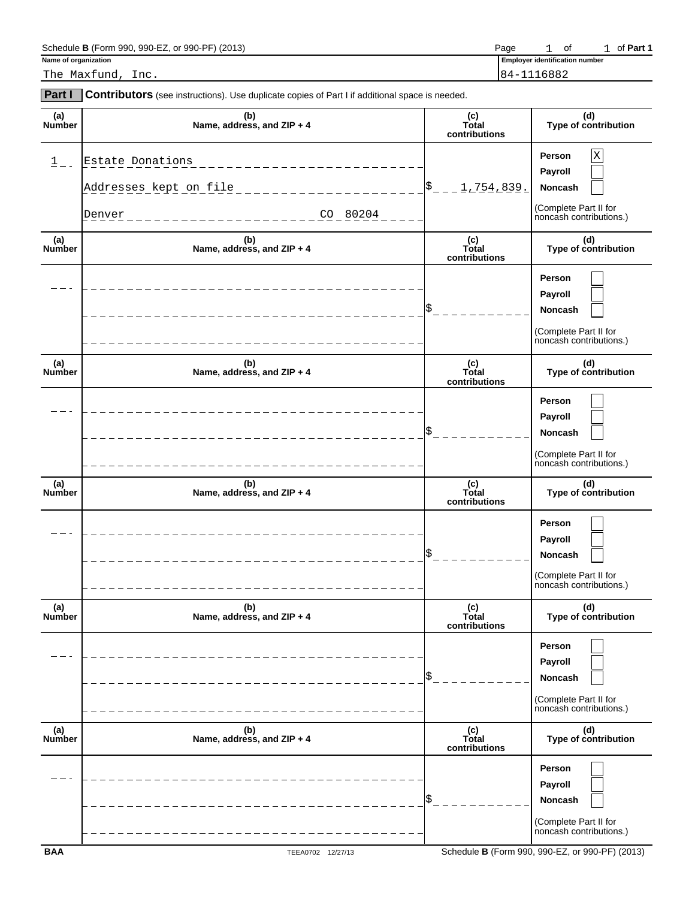| $.990-FF$<br>990-EZ<br>Schedule<br>(2013)<br>(Form 990.<br>or<br>: B ( | Page | Οt | .⊦Part ′<br>. |
|------------------------------------------------------------------------|------|----|---------------|
|                                                                        |      |    |               |

**Name of organization Employer identification** number 1 of 1 of Part 1

The Maxfund, Inc. 84-1116882

| <b>Part I</b>        | Contributors (see instructions). Use duplicate copies of Part I if additional space is needed. |                               |                                                                                       |
|----------------------|------------------------------------------------------------------------------------------------|-------------------------------|---------------------------------------------------------------------------------------|
| (a)<br>Number        | (b)<br>Name, address, and ZIP + 4                                                              | (c)<br>Total<br>contributions | (d)<br>Type of contribution                                                           |
| $1$ .                | Estate Donations<br>$- - - - - - - - -$<br>Addresses kept on file<br>$CO - 80204$<br>Denver    | $\frac{1}{2}$<br>1,754,839.   | Person<br>Χ<br>Payroll<br>Noncash<br>(Complete Part II for<br>noncash contributions.) |
| (a)<br>Number        | (b)<br>Name, address, and ZIP + 4                                                              | (c)<br>Total<br>contributions | (d)<br>Type of contribution                                                           |
|                      |                                                                                                |                               | Person<br>Payroll<br>Noncash<br>(Complete Part II for<br>noncash contributions.)      |
| (a)<br><b>Number</b> | (b)<br>Name, address, and ZIP + 4                                                              | (c)<br>Total<br>contributions | (d)<br>Type of contribution                                                           |
|                      |                                                                                                |                               | Person<br>Payroll<br>Noncash<br>(Complete Part II for<br>noncash contributions.)      |
| (a)<br>Number        | (b)<br>Name, address, and ZIP + 4                                                              | (c)<br>Total<br>contributions | (d)<br>Type of contribution                                                           |
|                      |                                                                                                |                               | Person<br>Payroll<br>Noncash<br>(Complete Part II for<br>noncash contributions.)      |
| (a)<br>Number        | (b)<br>Name, address, and ZIP + 4                                                              | (c)<br>Total<br>contributions | (d)<br>Type of contribution                                                           |
|                      |                                                                                                |                               | Person<br>Payroll<br>Noncash<br>(Complete Part II for<br>noncash contributions.)      |
| (a)<br>Number        | (b)<br>Name, address, and ZIP + 4                                                              | (c)<br>Total<br>contributions | (d)<br>Type of contribution                                                           |
|                      |                                                                                                |                               | Person<br>Payroll<br>Noncash<br>(Complete Part II for<br>noncash contributions.)      |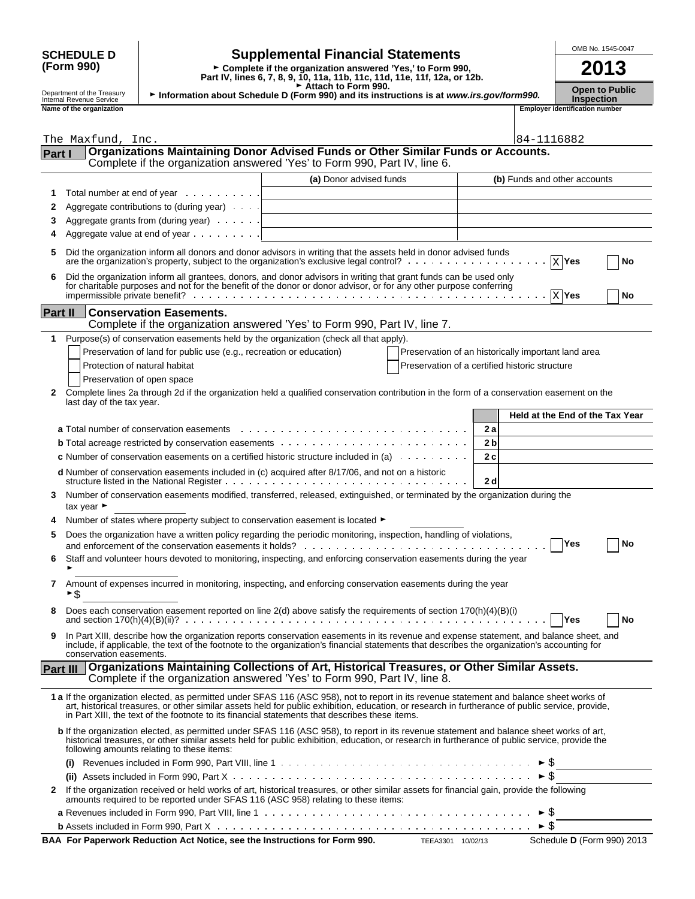|          |                                                      |                                                                                                                                              | OMB No. 1545-0047                                                                                       |                                                     |                                 |                                                            |      |    |
|----------|------------------------------------------------------|----------------------------------------------------------------------------------------------------------------------------------------------|---------------------------------------------------------------------------------------------------------|-----------------------------------------------------|---------------------------------|------------------------------------------------------------|------|----|
|          | <b>SCHEDULE D</b><br>(Form 990)                      |                                                                                                                                              | <b>Supplemental Financial Statements</b><br>► Complete if the organization answered 'Yes,' to Form 990, |                                                     |                                 |                                                            | 2013 |    |
|          |                                                      |                                                                                                                                              | Part IV, lines 6, 7, 8, 9, 10, 11a, 11b, 11c, 11d, 11e, 11f, 12a, or 12b.                               |                                                     |                                 |                                                            |      |    |
|          | Department of the Treasury                           | Information about Schedule D (Form 990) and its instructions is at www.irs.gov/form990.                                                      | Attach to Form 990.                                                                                     |                                                     |                                 | <b>Open to Public</b>                                      |      |    |
|          | Internal Revenue Service<br>Name of the organization |                                                                                                                                              |                                                                                                         |                                                     |                                 | <b>Inspection</b><br><b>Employer identification number</b> |      |    |
|          |                                                      |                                                                                                                                              |                                                                                                         |                                                     |                                 |                                                            |      |    |
|          | The Maxfund, Inc.                                    |                                                                                                                                              |                                                                                                         |                                                     | 84-1116882                      |                                                            |      |    |
| Part I   |                                                      | Organizations Maintaining Donor Advised Funds or Other Similar Funds or Accounts.                                                            |                                                                                                         |                                                     |                                 |                                                            |      |    |
|          |                                                      | Complete if the organization answered 'Yes' to Form 990, Part IV, line 6.                                                                    |                                                                                                         |                                                     |                                 |                                                            |      |    |
|          |                                                      |                                                                                                                                              | (a) Donor advised funds                                                                                 |                                                     | (b) Funds and other accounts    |                                                            |      |    |
| 1        |                                                      | Total number at end of year                                                                                                                  |                                                                                                         |                                                     |                                 |                                                            |      |    |
| 2        |                                                      | Aggregate contributions to (during year)                                                                                                     |                                                                                                         |                                                     |                                 |                                                            |      |    |
| 3        |                                                      | Aggregate grants from (during year)                                                                                                          |                                                                                                         |                                                     |                                 |                                                            |      |    |
| 4        |                                                      | Aggregate value at end of year                                                                                                               |                                                                                                         |                                                     |                                 |                                                            |      |    |
| 5        |                                                      | Did the organization inform all donors and donor advisors in writing that the assets held in donor advised funds                             |                                                                                                         |                                                     |                                 |                                                            |      |    |
|          |                                                      | are the organization's property, subject to the organization's exclusive legal control? $\ldots \ldots \ldots \ldots \ldots$                 |                                                                                                         |                                                     |                                 | $\overline{X}$ Yes                                         |      | No |
| 6        |                                                      | Did the organization inform all grantees, donors, and donor advisors in writing that grant funds can be used only                            |                                                                                                         |                                                     |                                 |                                                            |      |    |
|          |                                                      | for charitable purposes and not for the benefit of the donor or donor advisor, or for any other purpose conferring                           |                                                                                                         |                                                     |                                 | $\overline{X}$ Yes                                         |      | No |
|          |                                                      |                                                                                                                                              |                                                                                                         |                                                     |                                 |                                                            |      |    |
| Part II  |                                                      | <b>Conservation Easements.</b>                                                                                                               |                                                                                                         |                                                     |                                 |                                                            |      |    |
|          |                                                      | Complete if the organization answered 'Yes' to Form 990, Part IV, line 7.                                                                    |                                                                                                         |                                                     |                                 |                                                            |      |    |
| 1        |                                                      | Purpose(s) of conservation easements held by the organization (check all that apply).                                                        |                                                                                                         |                                                     |                                 |                                                            |      |    |
|          |                                                      | Preservation of land for public use (e.g., recreation or education)                                                                          |                                                                                                         | Preservation of an historically important land area |                                 |                                                            |      |    |
|          | Protection of natural habitat                        |                                                                                                                                              |                                                                                                         | Preservation of a certified historic structure      |                                 |                                                            |      |    |
|          | Preservation of open space                           |                                                                                                                                              |                                                                                                         |                                                     |                                 |                                                            |      |    |
| 2        | last day of the tax year.                            | Complete lines 2a through 2d if the organization held a qualified conservation contribution in the form of a conservation easement on the    |                                                                                                         |                                                     |                                 |                                                            |      |    |
|          |                                                      |                                                                                                                                              |                                                                                                         |                                                     | Held at the End of the Tax Year |                                                            |      |    |
|          |                                                      |                                                                                                                                              |                                                                                                         | 2а                                                  |                                 |                                                            |      |    |
|          |                                                      |                                                                                                                                              |                                                                                                         | 2 <sub>b</sub>                                      |                                 |                                                            |      |    |
|          |                                                      | <b>c</b> Number of conservation easements on a certified historic structure included in (a) $\ldots \ldots \ldots$                           |                                                                                                         | 2c                                                  |                                 |                                                            |      |    |
|          |                                                      | d Number of conservation easements included in (c) acquired after 8/17/06, and not on a historic                                             |                                                                                                         |                                                     |                                 |                                                            |      |    |
|          |                                                      |                                                                                                                                              |                                                                                                         | 2d                                                  |                                 |                                                            |      |    |
| 3        |                                                      | Number of conservation easements modified, transferred, released, extinguished, or terminated by the organization during the                 |                                                                                                         |                                                     |                                 |                                                            |      |    |
|          | tax year $\blacktriangleright$                       |                                                                                                                                              |                                                                                                         |                                                     |                                 |                                                            |      |    |
|          |                                                      | Number of states where property subject to conservation easement is located ►                                                                |                                                                                                         |                                                     |                                 |                                                            |      |    |
| 5        |                                                      | Does the organization have a written policy regarding the periodic monitoring, inspection, handling of violations,                           |                                                                                                         |                                                     |                                 | <b>Yes</b>                                                 |      | No |
|          |                                                      |                                                                                                                                              |                                                                                                         |                                                     |                                 |                                                            |      |    |
| 6        |                                                      | Staff and volunteer hours devoted to monitoring, inspecting, and enforcing conservation easements during the year                            |                                                                                                         |                                                     |                                 |                                                            |      |    |
| 7        |                                                      | Amount of expenses incurred in monitoring, inspecting, and enforcing conservation easements during the year                                  |                                                                                                         |                                                     |                                 |                                                            |      |    |
|          | ►\$                                                  |                                                                                                                                              |                                                                                                         |                                                     |                                 |                                                            |      |    |
| 8        |                                                      | Does each conservation easement reported on line $2(d)$ above satisfy the requirements of section $170(h)(4)(B)(i)$                          |                                                                                                         |                                                     |                                 |                                                            |      |    |
|          |                                                      |                                                                                                                                              |                                                                                                         |                                                     |                                 | <b>Yes</b>                                                 |      | No |
| 9        |                                                      | In Part XIII, describe how the organization reports conservation easements in its revenue and expense statement, and balance sheet, and      |                                                                                                         |                                                     |                                 |                                                            |      |    |
|          | conservation easements.                              | include, if applicable, the text of the footnote to the organization's financial statements that describes the organization's accounting for |                                                                                                         |                                                     |                                 |                                                            |      |    |
| Part III |                                                      | Organizations Maintaining Collections of Art, Historical Treasures, or Other Similar Assets.                                                 |                                                                                                         |                                                     |                                 |                                                            |      |    |
|          |                                                      | Complete if the organization answered 'Yes' to Form 990, Part IV, line 8.                                                                    |                                                                                                         |                                                     |                                 |                                                            |      |    |

| 1 a If the organization elected, as permitted under SFAS 116 (ASC 958), not to report in its revenue statement and balance sheet works of<br>art, historical treasures, or other similar assets held for public exhibition, education, or research in furtherance of public service, provide,<br>in Part XIII, the text of the footnote to its financial statements that describes these items. |                                   |
|-------------------------------------------------------------------------------------------------------------------------------------------------------------------------------------------------------------------------------------------------------------------------------------------------------------------------------------------------------------------------------------------------|-----------------------------------|
| <b>b</b> If the organization elected, as permitted under SFAS 116 (ASC 958), to report in its revenue statement and balance sheet works of art,<br>historical treasures, or other similar assets held for public exhibition, education, or research in furtherance of public service, provide the<br>following amounts relating to these items:                                                 |                                   |
| (i) Revenues included in Form 990, Part VIII, line 1 $\ldots \ldots \ldots \ldots \ldots \ldots \ldots \ldots \ldots \ldots \ldots \vdash$                                                                                                                                                                                                                                                      |                                   |
| (ii) Assets included in Form 990, Part X $\ldots \ldots \ldots \ldots \ldots \ldots \ldots \ldots \ldots \ldots \ldots \ldots \ldots \vdash \xi$                                                                                                                                                                                                                                                |                                   |
| If the organization received or held works of art, historical treasures, or other similar assets for financial gain, provide the following<br>2<br>amounts required to be reported under SFAS 116 (ASC 958) relating to these items:                                                                                                                                                            |                                   |
| <b>a</b> Revenues included in Form 990, Part VIII, line 1 $\dots \dots \dots \dots \dots \dots \dots \dots \dots \dots \dots \dots \dots \dots \dots \dots \dots \dots$                                                                                                                                                                                                                         |                                   |
| <b>b</b> Assets included in Form 990, Part $X_1, \ldots, X_n, \ldots, X_n, \ldots, X_n, \ldots, \ldots, X_n, \ldots, \ldots, \ldots, \ldots, \ldots, \ldots, \ldots$                                                                                                                                                                                                                            |                                   |
| BAA For Paperwork Reduction Act Notice, see the Instructions for Form 990.<br><b>TEEA3301</b><br>10/02/13                                                                                                                                                                                                                                                                                       | Schedule <b>D</b> (Form 990) 2013 |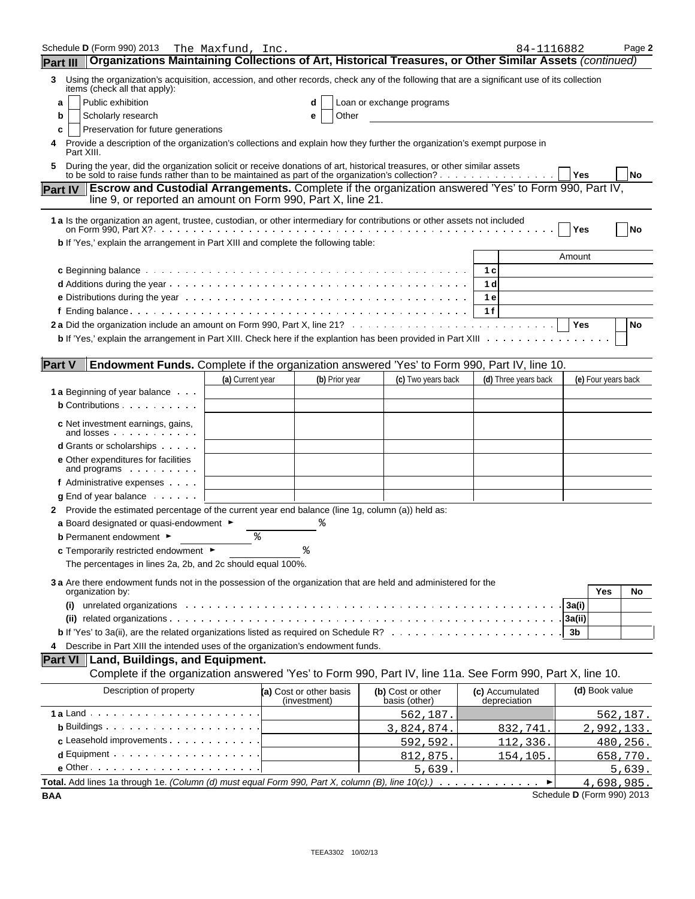| Schedule <b>D</b> (Form 990) 2013<br>Organizations Maintaining Collections of Art, Historical Treasures, or Other Similar Assets (continued)                                                                                 | The Maxfund, Inc. |                                         |                                    | 84-1116882                      |            |                     | Page 2   |
|------------------------------------------------------------------------------------------------------------------------------------------------------------------------------------------------------------------------------|-------------------|-----------------------------------------|------------------------------------|---------------------------------|------------|---------------------|----------|
| <b>Part III</b>                                                                                                                                                                                                              |                   |                                         |                                    |                                 |            |                     |          |
| Using the organization's acquisition, accession, and other records, check any of the following that are a significant use of its collection<br>3<br>items (check all that apply):                                            |                   |                                         |                                    |                                 |            |                     |          |
| Public exhibition<br>a                                                                                                                                                                                                       |                   | d                                       | Loan or exchange programs          |                                 |            |                     |          |
| Scholarly research<br>b                                                                                                                                                                                                      |                   | Other<br>е                              |                                    |                                 |            |                     |          |
| Preservation for future generations<br>c<br>Provide a description of the organization's collections and explain how they further the organization's exempt purpose in                                                        |                   |                                         |                                    |                                 |            |                     |          |
| Part XIII.                                                                                                                                                                                                                   |                   |                                         |                                    |                                 |            |                     |          |
| During the year, did the organization solicit or receive donations of art, historical treasures, or other similar assets<br>to be sold to raise funds rather than to be maintained as part of the organization's collection? |                   |                                         |                                    |                                 | ∣ Yes      |                     | No       |
| Part IV   Escrow and Custodial Arrangements. Complete if the organization answered 'Yes' to Form 990, Part IV,<br>line 9, or reported an amount on Form 990, Part X, line 21.                                                |                   |                                         |                                    |                                 |            |                     |          |
| 1 a Is the organization an agent, trustee, custodian, or other intermediary for contributions or other assets not included                                                                                                   |                   |                                         |                                    |                                 | Yes        |                     | No       |
| b If 'Yes,' explain the arrangement in Part XIII and complete the following table:                                                                                                                                           |                   |                                         |                                    |                                 |            |                     |          |
|                                                                                                                                                                                                                              |                   |                                         |                                    |                                 | Amount     |                     |          |
|                                                                                                                                                                                                                              |                   |                                         |                                    | 1 <sub>c</sub>                  |            |                     |          |
|                                                                                                                                                                                                                              |                   |                                         |                                    | 1 <sub>d</sub>                  |            |                     |          |
|                                                                                                                                                                                                                              |                   |                                         |                                    | 1 e                             |            |                     |          |
|                                                                                                                                                                                                                              |                   |                                         |                                    | 1f                              |            |                     |          |
|                                                                                                                                                                                                                              |                   |                                         |                                    |                                 | <b>Yes</b> |                     | No       |
|                                                                                                                                                                                                                              |                   |                                         |                                    |                                 |            |                     |          |
| <b>Part V</b><br>Endowment Funds. Complete if the organization answered 'Yes' to Form 990, Part IV, line 10.                                                                                                                 |                   |                                         |                                    |                                 |            |                     |          |
|                                                                                                                                                                                                                              | (a) Current year  | (b) Prior year                          | (c) Two years back                 | (d) Three years back            |            | (e) Four years back |          |
| 1 a Beginning of year balance                                                                                                                                                                                                |                   |                                         |                                    |                                 |            |                     |          |
| <b>b</b> Contributions                                                                                                                                                                                                       |                   |                                         |                                    |                                 |            |                     |          |
| c Net investment earnings, gains,<br>and losses                                                                                                                                                                              |                   |                                         |                                    |                                 |            |                     |          |
| <b>d</b> Grants or scholarships                                                                                                                                                                                              |                   |                                         |                                    |                                 |            |                     |          |
| e Other expenditures for facilities<br>and programs                                                                                                                                                                          |                   |                                         |                                    |                                 |            |                     |          |
| f Administrative expenses                                                                                                                                                                                                    |                   |                                         |                                    |                                 |            |                     |          |
| $g$ End of year balance $\ldots$ .                                                                                                                                                                                           |                   |                                         |                                    |                                 |            |                     |          |
| 2 Provide the estimated percentage of the current year end balance (line 1g, column (a)) held as:                                                                                                                            |                   |                                         |                                    |                                 |            |                     |          |
| a Board designated or quasi-endowment $\blacktriangleright$                                                                                                                                                                  |                   |                                         |                                    |                                 |            |                     |          |
| <b>b</b> Permanent endowment ►                                                                                                                                                                                               | န့                |                                         |                                    |                                 |            |                     |          |
| c Temporarily restricted endowment ▶                                                                                                                                                                                         |                   |                                         |                                    |                                 |            |                     |          |
| The percentages in lines 2a, 2b, and 2c should equal 100%.                                                                                                                                                                   |                   |                                         |                                    |                                 |            |                     |          |
| 3 a Are there endowment funds not in the possession of the organization that are held and administered for the<br>organization by:                                                                                           |                   |                                         |                                    |                                 |            | Yes                 | No       |
| (i)                                                                                                                                                                                                                          |                   |                                         |                                    |                                 | 3a(i)      |                     |          |
|                                                                                                                                                                                                                              |                   |                                         |                                    |                                 | 3a(ii)     |                     |          |
|                                                                                                                                                                                                                              |                   |                                         |                                    |                                 | 3b         |                     |          |
| Describe in Part XIII the intended uses of the organization's endowment funds.<br>4                                                                                                                                          |                   |                                         |                                    |                                 |            |                     |          |
| Part VI   Land, Buildings, and Equipment.                                                                                                                                                                                    |                   |                                         |                                    |                                 |            |                     |          |
| Complete if the organization answered 'Yes' to Form 990, Part IV, line 11a. See Form 990, Part X, line 10.                                                                                                                   |                   |                                         |                                    |                                 |            |                     |          |
| Description of property                                                                                                                                                                                                      |                   | (a) Cost or other basis<br>(investment) | (b) Cost or other<br>basis (other) | (c) Accumulated<br>depreciation |            | (d) Book value      |          |
|                                                                                                                                                                                                                              |                   |                                         | <u>562,187.</u>                    |                                 |            |                     | 562,187. |
| <b>b</b> Buildings $\cdots$ $\cdots$ $\cdots$ $\cdots$ $\cdots$ $\cdots$                                                                                                                                                     |                   |                                         | 3,824,874.                         | 832,741                         |            | 2,992,133.          |          |
| c Leasehold improvements                                                                                                                                                                                                     |                   |                                         | 592,592                            | <u>112,336.</u>                 |            |                     | 480,256. |
| $d$ Equipment $\cdots$ $\cdots$ $\cdots$ $\cdots$ $\cdots$ $\cdots$ $\cdots$                                                                                                                                                 |                   |                                         | 812,875                            | <u>154,105.</u>                 |            |                     | 658,770. |
| $e$ Other $\cdots$ $\cdots$ $\cdots$ $\cdots$ $\cdots$ $\cdots$ $\cdots$ $\cdots$                                                                                                                                            |                   |                                         | 5,639                              |                                 |            |                     | 5,639.   |
| Total. Add lines 1a through 1e. (Column (d) must equal Form 990, Part X, column (B), line $10(c)$ .)                                                                                                                         |                   |                                         |                                    | ▶                               |            | 4,698,985.          |          |

**BAA** Schedule **D** (Form 990) 2013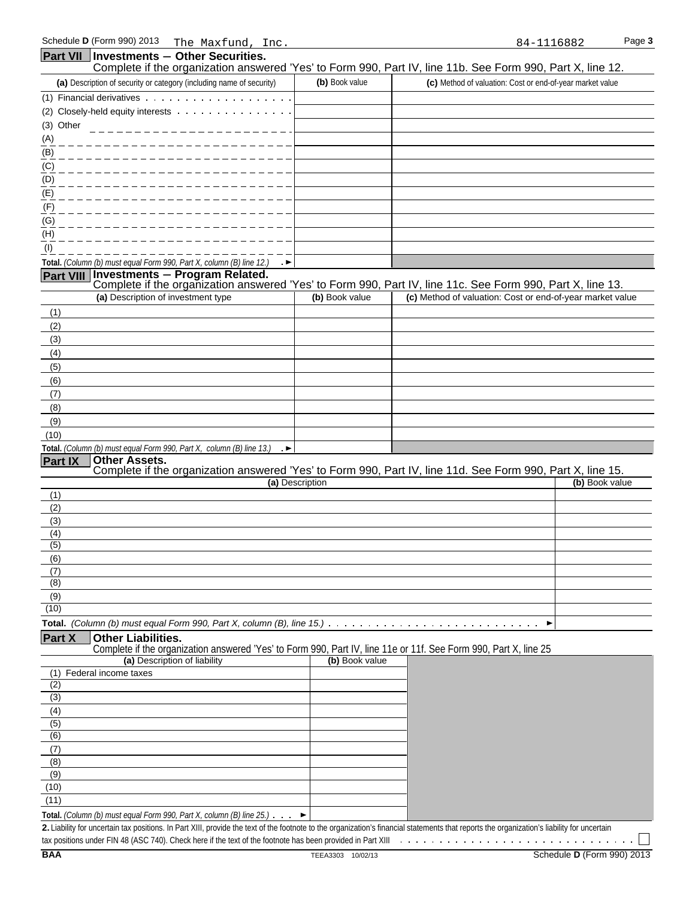|                  | <b>Part VII   Investments - Other Securities.</b>                                                                                                                          |                 |                                                                                                            |
|------------------|----------------------------------------------------------------------------------------------------------------------------------------------------------------------------|-----------------|------------------------------------------------------------------------------------------------------------|
|                  |                                                                                                                                                                            |                 | Complete if the organization answered 'Yes' to Form 990, Part IV, line 11b. See Form 990, Part X, line 12. |
|                  | (a) Description of security or category (including name of security)                                                                                                       | (b) Book value  | (c) Method of valuation: Cost or end-of-year market value                                                  |
|                  |                                                                                                                                                                            |                 |                                                                                                            |
| (3) Other        | (2) Closely-held equity interests                                                                                                                                          |                 |                                                                                                            |
| (A)              |                                                                                                                                                                            |                 |                                                                                                            |
| (B)              |                                                                                                                                                                            |                 |                                                                                                            |
| (C)              |                                                                                                                                                                            |                 |                                                                                                            |
| (D)              |                                                                                                                                                                            |                 |                                                                                                            |
| (E)              |                                                                                                                                                                            |                 |                                                                                                            |
| (F)              |                                                                                                                                                                            |                 |                                                                                                            |
| (G)              |                                                                                                                                                                            |                 |                                                                                                            |
| (H)              |                                                                                                                                                                            |                 |                                                                                                            |
| (1)              |                                                                                                                                                                            |                 |                                                                                                            |
|                  | Total. (Column (b) must equal Form 990, Part X, column (B) line 12.) $\rightarrow$                                                                                         |                 |                                                                                                            |
|                  | Part VIII Investments - Program Related.                                                                                                                                   |                 | Complete if the organization answered 'Yes' to Form 990, Part IV, line 11c. See Form 990, Part X, line 13. |
|                  | (a) Description of investment type                                                                                                                                         | (b) Book value  | (c) Method of valuation: Cost or end-of-year market value                                                  |
| (1)              |                                                                                                                                                                            |                 |                                                                                                            |
| (2)              |                                                                                                                                                                            |                 |                                                                                                            |
| (3)              |                                                                                                                                                                            |                 |                                                                                                            |
| (4)              |                                                                                                                                                                            |                 |                                                                                                            |
| (5)              |                                                                                                                                                                            |                 |                                                                                                            |
| (6)              |                                                                                                                                                                            |                 |                                                                                                            |
| (7)              |                                                                                                                                                                            |                 |                                                                                                            |
| (8)              |                                                                                                                                                                            |                 |                                                                                                            |
| (9)              |                                                                                                                                                                            |                 |                                                                                                            |
| (10)             |                                                                                                                                                                            |                 |                                                                                                            |
| <b>Part IX</b>   | Total. (Column (b) must equal Form 990, Part X, column (B) line 13.)<br>$\rightarrow$<br><b>Other Assets.</b>                                                              |                 |                                                                                                            |
|                  |                                                                                                                                                                            |                 | Complete if the organization answered 'Yes' to Form 990, Part IV, line 11d. See Form 990, Part X, line 15. |
|                  |                                                                                                                                                                            | (a) Description | (b) Book value                                                                                             |
| (1)              |                                                                                                                                                                            |                 |                                                                                                            |
| (2)              |                                                                                                                                                                            |                 |                                                                                                            |
| (3)<br>(4)       |                                                                                                                                                                            |                 |                                                                                                            |
| (5)              |                                                                                                                                                                            |                 |                                                                                                            |
| (6)              |                                                                                                                                                                            |                 |                                                                                                            |
| (7)              |                                                                                                                                                                            |                 |                                                                                                            |
| (8)              |                                                                                                                                                                            |                 |                                                                                                            |
| (9)<br>(10)      |                                                                                                                                                                            |                 |                                                                                                            |
|                  |                                                                                                                                                                            |                 |                                                                                                            |
| <b>Part X</b>    | Total. (Column (b) must equal Form 990, Part X, column (B), line 15.) $\ldots \ldots \ldots \ldots \ldots \ldots \ldots \ldots \ldots \ldots$<br><b>Other Liabilities.</b> |                 | ▶                                                                                                          |
|                  |                                                                                                                                                                            |                 |                                                                                                            |
|                  |                                                                                                                                                                            |                 |                                                                                                            |
|                  | Complete if the organization answered 'Yes' to Form 990, Part IV, line 11e or 11f. See Form 990, Part X, line 25<br>(a) Description of liability                           | (b) Book value  |                                                                                                            |
|                  | (1) Federal income taxes                                                                                                                                                   |                 |                                                                                                            |
| (2)              |                                                                                                                                                                            |                 |                                                                                                            |
| $\overline{(3)}$ |                                                                                                                                                                            |                 |                                                                                                            |
| (4)              |                                                                                                                                                                            |                 |                                                                                                            |
| $\overline{(5)}$ |                                                                                                                                                                            |                 |                                                                                                            |
| (6)              |                                                                                                                                                                            |                 |                                                                                                            |
| (7)<br>(8)       |                                                                                                                                                                            |                 |                                                                                                            |
| (9)              |                                                                                                                                                                            |                 |                                                                                                            |
| (10)             |                                                                                                                                                                            |                 |                                                                                                            |
| (11)             | <b>Total.</b> (Column (b) must equal Form 990, Part X, column (B) line $25$ .) $\cdot \cdot \cdot$                                                                         |                 |                                                                                                            |

**2.** Liability for uncertain tax positions. In Part XIII, provide the text of the footnote to the organization's financial statements that reports the organization's liability for uncertain tax positions under FIN 48 (ASC 740). Check here if the text of the footnote has been provided in Part XIII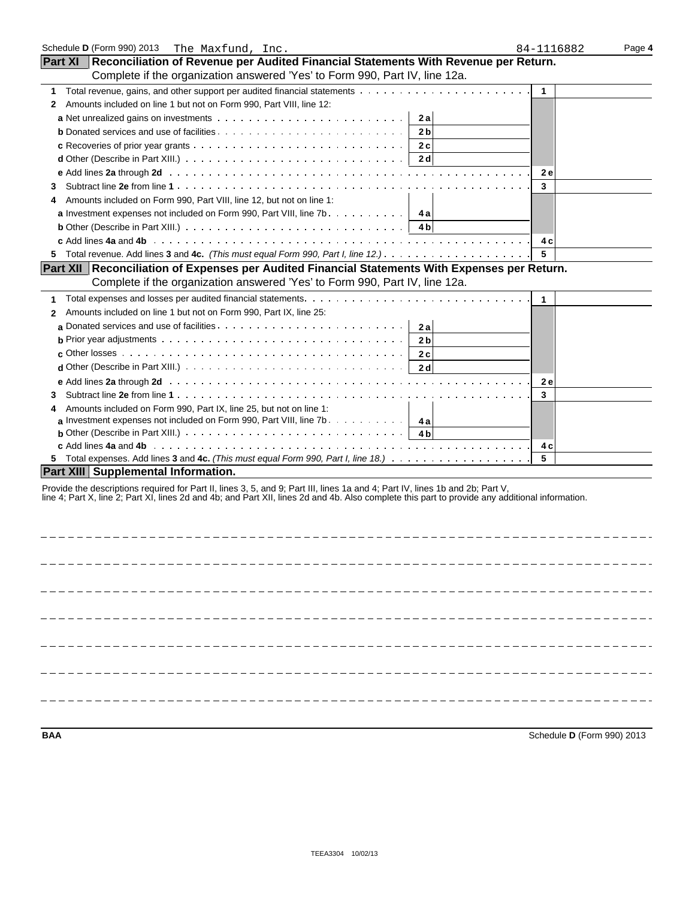| Schedule D (Form 990) 2013<br>The Maxfund, Inc.                                                                                                                                                                                   | 84-1116882   | Page 4 |
|-----------------------------------------------------------------------------------------------------------------------------------------------------------------------------------------------------------------------------------|--------------|--------|
| Part XI   Reconciliation of Revenue per Audited Financial Statements With Revenue per Return.                                                                                                                                     |              |        |
| Complete if the organization answered 'Yes' to Form 990, Part IV, line 12a.                                                                                                                                                       |              |        |
| 1                                                                                                                                                                                                                                 | $\mathbf{1}$ |        |
| Amounts included on line 1 but not on Form 990, Part VIII, line 12:<br>$\mathbf{2}$                                                                                                                                               |              |        |
| 2a                                                                                                                                                                                                                                |              |        |
| 2 <sub>b</sub>                                                                                                                                                                                                                    |              |        |
| 2c<br><b>c</b> Recoveries of prior year grants $\ldots$ , $\ldots$ , $\ldots$ , $\ldots$ , $\ldots$ , $\ldots$ , $\ldots$ , $\ldots$ , $\ldots$                                                                                   |              |        |
| <b>d</b> Other (Describe in Part XIII.) $\ldots \ldots \ldots \ldots \ldots \ldots \ldots \ldots \ldots \ldots \ldots$<br>2d                                                                                                      |              |        |
|                                                                                                                                                                                                                                   | <b>2e</b>    |        |
| 3                                                                                                                                                                                                                                 | 3            |        |
| Amounts included on Form 990, Part VIII, line 12, but not on line 1:<br>4                                                                                                                                                         |              |        |
| <b>a</b> Investment expenses not included on Form 990, Part VIII, line 7b.<br>4 a                                                                                                                                                 |              |        |
| 4 b                                                                                                                                                                                                                               |              |        |
|                                                                                                                                                                                                                                   | 4 c          |        |
| 5                                                                                                                                                                                                                                 | 5            |        |
| Part XII Reconciliation of Expenses per Audited Financial Statements With Expenses per Return.                                                                                                                                    |              |        |
| Complete if the organization answered 'Yes' to Form 990, Part IV, line 12a.                                                                                                                                                       |              |        |
| 1                                                                                                                                                                                                                                 | 1            |        |
| Amounts included on line 1 but not on Form 990, Part IX, line 25:<br>$\mathbf{2}$                                                                                                                                                 |              |        |
| a Donated services and use of facilities. $\ldots$ , , , , , ,<br>2a                                                                                                                                                              |              |        |
| 2 <sub>b</sub>                                                                                                                                                                                                                    |              |        |
| c Other losses $\ldots \ldots \ldots \ldots \ldots \ldots \ldots \ldots \ldots \ldots \ldots \ldots$<br>2c                                                                                                                        |              |        |
| <b>d</b> Other (Describe in Part XIII.) $\ldots$ $\ldots$ $\ldots$ $\ldots$ $\ldots$ $\ldots$ $\ldots$ $\ldots$ $\ldots$ $\ldots$<br>2 <sub>d</sub>                                                                               |              |        |
|                                                                                                                                                                                                                                   | 2e           |        |
| 3                                                                                                                                                                                                                                 | 3            |        |
| Amounts included on Form 990, Part IX, line 25, but not on line 1:<br>4                                                                                                                                                           |              |        |
| <b>a</b> Investment expenses not included on Form 990, Part VIII, line 7b. $\ldots$ ,<br>4 a                                                                                                                                      |              |        |
| <b>b</b> Other (Describe in Part XIII.) $\cdots$ $\cdots$ $\cdots$ $\cdots$ $\cdots$ $\cdots$ $\cdots$ $\cdots$ $\cdots$ $\cdots$<br>4 <sub>b</sub>                                                                               |              |        |
|                                                                                                                                                                                                                                   | 4 c          |        |
|                                                                                                                                                                                                                                   | 5            |        |
| <b>Part XIII Supplemental Information.</b>                                                                                                                                                                                        |              |        |
| Provide the descriptions required for Part II, lines 3, 5, and 9; Part III, lines 1a and 4; Part IV, lines 1b and 2b; Part V,<br>line 4; Part X, line 2; Part XI, lines 2d and 4b; and Part XII, lines 2d and 4b. Also complete t |              |        |
|                                                                                                                                                                                                                                   |              |        |
|                                                                                                                                                                                                                                   |              |        |
|                                                                                                                                                                                                                                   |              |        |
|                                                                                                                                                                                                                                   |              |        |
|                                                                                                                                                                                                                                   |              |        |
|                                                                                                                                                                                                                                   |              |        |
|                                                                                                                                                                                                                                   |              |        |
|                                                                                                                                                                                                                                   |              |        |
|                                                                                                                                                                                                                                   |              |        |
|                                                                                                                                                                                                                                   |              |        |

**BAA** Schedule **D** (Form 990) 2013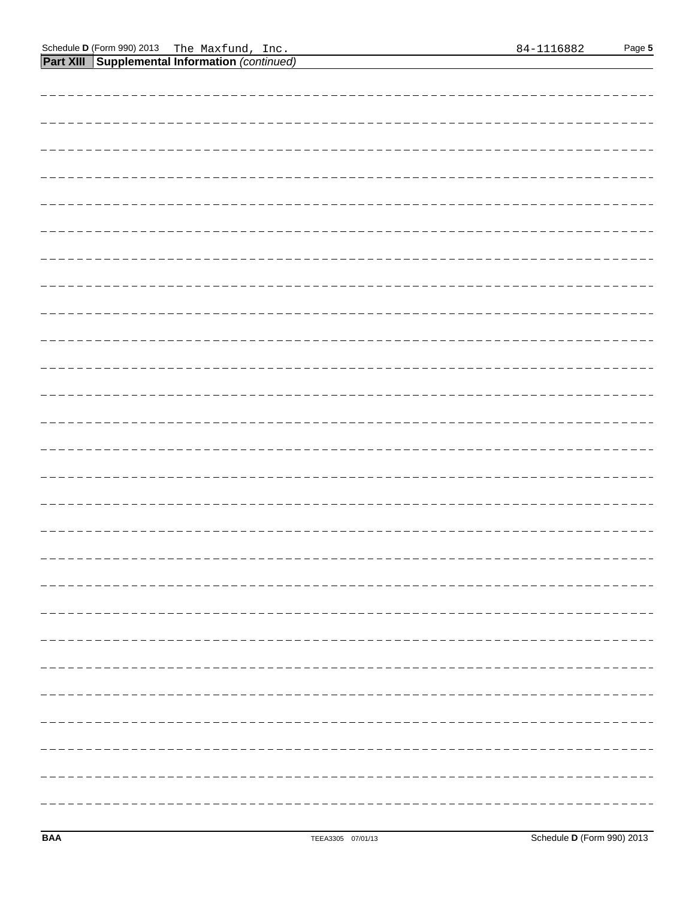**Part XIII Supplemental Information** *(continued)*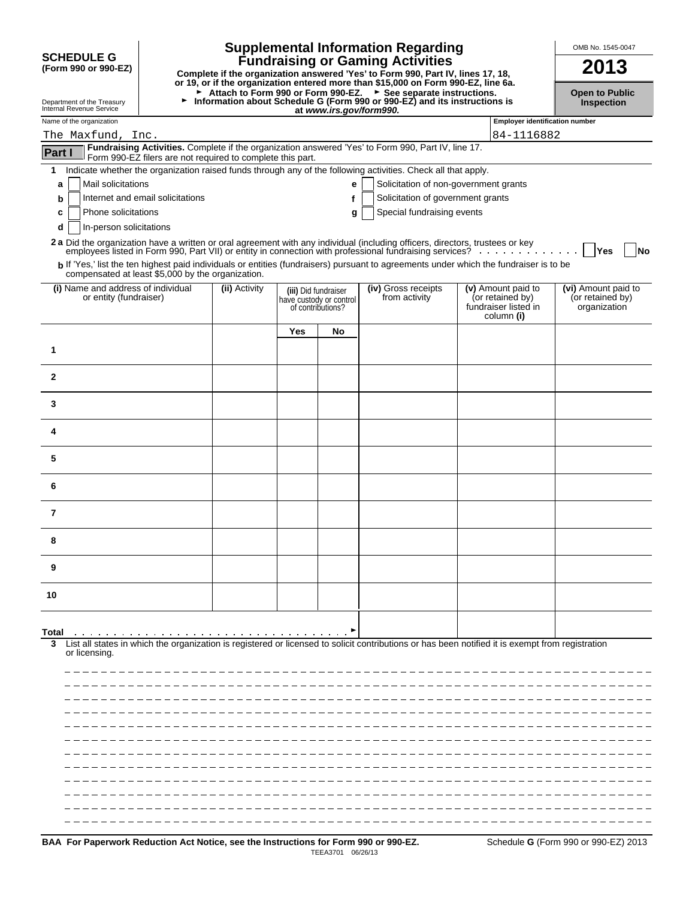|                                                              |                                                            |               |                      |                                              | <b>Supplemental Information Regarding</b>                                                                                                                                                                                      |                                                                              | OMB No. 1545-0047                                       |
|--------------------------------------------------------------|------------------------------------------------------------|---------------|----------------------|----------------------------------------------|--------------------------------------------------------------------------------------------------------------------------------------------------------------------------------------------------------------------------------|------------------------------------------------------------------------------|---------------------------------------------------------|
| <b>SCHEDULE G</b><br>(Form 990 or 990-EZ)                    |                                                            |               |                      |                                              | <b>Fundraising or Gaming Activities</b><br>Complete if the organization answered 'Yes' to Form 990, Part IV, lines 17, 18,<br>or 19, or if the organization entered more than \$15,000 on Form 990-EZ, line 6a.                |                                                                              | 2013                                                    |
| Department of the Treasury<br>Internal Revenue Service       | ►                                                          |               |                      | at www.irs.gov/form990.                      | ► Attach to Form 990 or Form 990-EZ. ► See separate instructions.<br>Information about Schedule G (Form 990 or 990-EZ) and its instructions is                                                                                 |                                                                              | <b>Open to Public</b><br>Inspection                     |
| Name of the organization<br>The Maxfund, Inc.                |                                                            |               |                      |                                              |                                                                                                                                                                                                                                | <b>Employer identification number</b><br>84-1116882                          |                                                         |
| Part I                                                       |                                                            |               |                      |                                              | Fundraising Activities. Complete if the organization answered 'Yes' to Form 990, Part IV, line 17.                                                                                                                             |                                                                              |                                                         |
|                                                              | Form 990-EZ filers are not required to complete this part. |               |                      |                                              |                                                                                                                                                                                                                                |                                                                              |                                                         |
| 1<br>Mail solicitations<br>a                                 |                                                            |               |                      | е                                            | Indicate whether the organization raised funds through any of the following activities. Check all that apply,<br>Solicitation of non-government grants                                                                         |                                                                              |                                                         |
| b                                                            | Internet and email solicitations                           |               |                      | f                                            | Solicitation of government grants                                                                                                                                                                                              |                                                                              |                                                         |
| Phone solicitations<br>c                                     |                                                            |               |                      | g                                            | Special fundraising events                                                                                                                                                                                                     |                                                                              |                                                         |
| In-person solicitations<br>d                                 |                                                            |               |                      |                                              |                                                                                                                                                                                                                                |                                                                              |                                                         |
|                                                              |                                                            |               |                      |                                              | 2 a Did the organization have a written or oral agreement with any individual (including officers, directors, trustees or key employees listed in Form 990, Part VII) or entity in connection with professional fundraising se |                                                                              |                                                         |
|                                                              |                                                            |               |                      |                                              | b If 'Yes,' list the ten highest paid individuals or entities (fundraisers) pursuant to agreements under which the fundraiser is to be                                                                                         |                                                                              | Yes<br>No                                               |
| compensated at least \$5,000 by the organization.            |                                                            |               |                      |                                              |                                                                                                                                                                                                                                |                                                                              |                                                         |
| (i) Name and address of individual<br>or entity (fundraiser) |                                                            | (ii) Activity | (iii) Did fundraiser | have custody or control<br>of contributions? | (iv) Gross receipts<br>from activity                                                                                                                                                                                           | (v) Amount paid to<br>(or retained by)<br>fundraiser listed in<br>column (i) | (vi) Amount paid to<br>(or retained by)<br>organization |
|                                                              |                                                            |               | Yes                  | No                                           |                                                                                                                                                                                                                                |                                                                              |                                                         |
| 1                                                            |                                                            |               |                      |                                              |                                                                                                                                                                                                                                |                                                                              |                                                         |
| $\mathbf{2}$                                                 |                                                            |               |                      |                                              |                                                                                                                                                                                                                                |                                                                              |                                                         |
| 3                                                            |                                                            |               |                      |                                              |                                                                                                                                                                                                                                |                                                                              |                                                         |
| 4                                                            |                                                            |               |                      |                                              |                                                                                                                                                                                                                                |                                                                              |                                                         |
| 5                                                            |                                                            |               |                      |                                              |                                                                                                                                                                                                                                |                                                                              |                                                         |
| 6                                                            |                                                            |               |                      |                                              |                                                                                                                                                                                                                                |                                                                              |                                                         |
| 7                                                            |                                                            |               |                      |                                              |                                                                                                                                                                                                                                |                                                                              |                                                         |
| 8                                                            |                                                            |               |                      |                                              |                                                                                                                                                                                                                                |                                                                              |                                                         |
| 9                                                            |                                                            |               |                      |                                              |                                                                                                                                                                                                                                |                                                                              |                                                         |
| 10                                                           |                                                            |               |                      |                                              |                                                                                                                                                                                                                                |                                                                              |                                                         |
|                                                              |                                                            |               |                      |                                              |                                                                                                                                                                                                                                |                                                                              |                                                         |
| Total<br>3<br>or licensing.                                  |                                                            |               |                      |                                              | List all states in which the organization is registered or licensed to solicit contributions or has been notified it is exempt from registration                                                                               |                                                                              |                                                         |
|                                                              |                                                            |               |                      |                                              |                                                                                                                                                                                                                                |                                                                              |                                                         |
|                                                              |                                                            |               |                      |                                              |                                                                                                                                                                                                                                |                                                                              |                                                         |
|                                                              |                                                            |               |                      |                                              |                                                                                                                                                                                                                                |                                                                              |                                                         |
|                                                              |                                                            |               |                      |                                              |                                                                                                                                                                                                                                |                                                                              |                                                         |
|                                                              |                                                            |               |                      |                                              |                                                                                                                                                                                                                                |                                                                              |                                                         |
|                                                              |                                                            |               |                      |                                              |                                                                                                                                                                                                                                |                                                                              |                                                         |
|                                                              |                                                            |               |                      |                                              |                                                                                                                                                                                                                                |                                                                              |                                                         |
|                                                              |                                                            |               |                      |                                              |                                                                                                                                                                                                                                |                                                                              |                                                         |
|                                                              |                                                            |               |                      |                                              |                                                                                                                                                                                                                                |                                                                              |                                                         |
|                                                              |                                                            |               |                      |                                              |                                                                                                                                                                                                                                |                                                                              |                                                         |
|                                                              |                                                            |               |                      |                                              |                                                                                                                                                                                                                                |                                                                              |                                                         |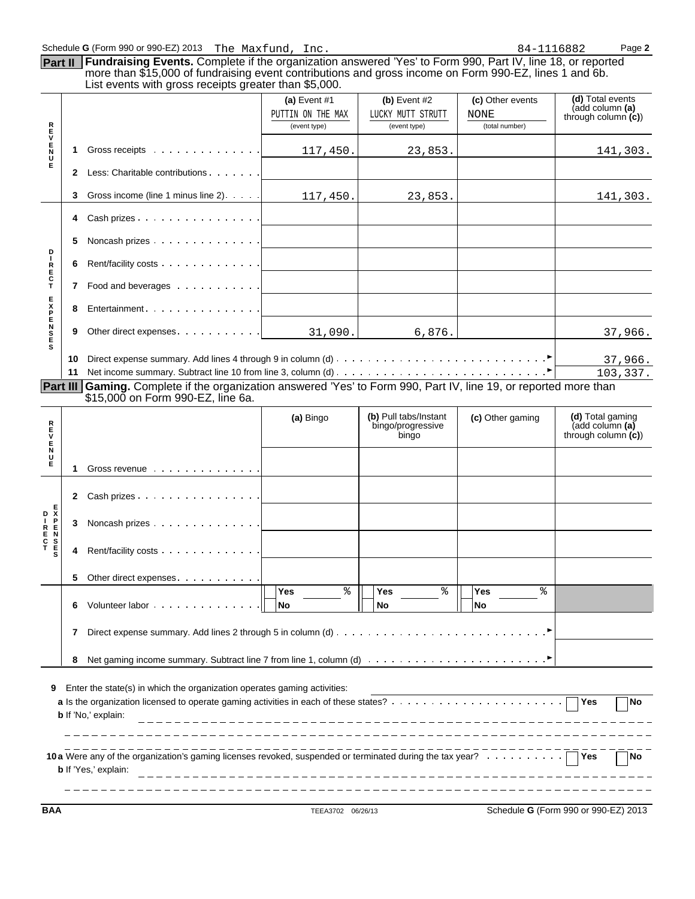|                  |   | Schedule G (Form 990 or 990-EZ) 2013 The Maxfund, Inc.                                                                                                                                                                                                                        |                                                     |                                                     | 84-1116882                                 | Page 2                                                        |
|------------------|---|-------------------------------------------------------------------------------------------------------------------------------------------------------------------------------------------------------------------------------------------------------------------------------|-----------------------------------------------------|-----------------------------------------------------|--------------------------------------------|---------------------------------------------------------------|
| Part II          |   | Fundraising Events. Complete if the organization answered 'Yes' to Form 990, Part IV, line 18, or reported<br>more than \$15,000 of fundraising event contributions and gross income on Form 990-EZ, lines 1 and 6b.<br>List events with gross receipts greater than \$5,000. |                                                     |                                                     |                                            |                                                               |
|                  |   |                                                                                                                                                                                                                                                                               | (a) Event $#1$<br>PUTTIN ON THE MAX<br>(event type) | (b) Event $#2$<br>LUCKY MUTT STRUTT<br>(event type) | (c) Other events<br>NONE<br>(total number) | (d) Total events<br>(add column (a)<br>through column $(c)$ ) |
| トロンドイラ           |   | Gross receipts                                                                                                                                                                                                                                                                | 117,450.                                            | 23,853.                                             |                                            | 141,303.                                                      |
|                  | 2 | Less: Charitable contributions                                                                                                                                                                                                                                                |                                                     |                                                     |                                            |                                                               |
|                  |   | Gross income (line 1 minus line 2). $\ldots$ .                                                                                                                                                                                                                                | 117,450.                                            | 23,853.                                             |                                            | 141,303.                                                      |
|                  | 4 | Cash prizes                                                                                                                                                                                                                                                                   |                                                     |                                                     |                                            |                                                               |
|                  |   | Noncash prizes                                                                                                                                                                                                                                                                |                                                     |                                                     |                                            |                                                               |
| D                |   |                                                                                                                                                                                                                                                                               |                                                     |                                                     |                                            |                                                               |
| R<br>E<br>C<br>T |   | Food and beverages                                                                                                                                                                                                                                                            |                                                     |                                                     |                                            |                                                               |

|                        | 10 |                                                                                                                 |           |                                                     |                  | 37,966.                                                       |
|------------------------|----|-----------------------------------------------------------------------------------------------------------------|-----------|-----------------------------------------------------|------------------|---------------------------------------------------------------|
|                        | 11 |                                                                                                                 |           |                                                     |                  | 103, 337.                                                     |
| Part III               |    | <b>Gaming.</b> Complete if the organization answered 'Yes' to Form 990, Part IV, line 19, or reported more than |           |                                                     |                  |                                                               |
|                        |    | \$15,000 on Form 990-EZ, line 6a.                                                                               |           |                                                     |                  |                                                               |
| R                      |    |                                                                                                                 | (a) Bingo | (b) Pull tabs/Instant<br>bingo/progressive<br>bingo | (c) Other gaming | (d) Total gaming<br>(add column (a)<br>through column $(c)$ ) |
|                        |    |                                                                                                                 |           |                                                     |                  |                                                               |
| Е                      |    | Gross revenue                                                                                                   |           |                                                     |                  |                                                               |
|                        |    | Cash prizes                                                                                                     |           |                                                     |                  |                                                               |
| D X                    | 3  | Noncash prizes                                                                                                  |           |                                                     |                  |                                                               |
| 1<br>E N<br>T E<br>T E |    | Rent/facility costs                                                                                             |           |                                                     |                  |                                                               |
|                        |    | Other direct expenses.                                                                                          |           |                                                     |                  |                                                               |

31,090. 6,876. 37,966.

|   | Volunteer labor 0                                                                                                     | Yes |  | Yes<br>No | Yes<br><b>No</b> |  |
|---|-----------------------------------------------------------------------------------------------------------------------|-----|--|-----------|------------------|--|
|   |                                                                                                                       |     |  |           |                  |  |
| 8 | Net gaming income summary. Subtract line 7 from line 1, column (d) $\ldots \ldots \ldots \ldots \ldots \ldots \ldots$ |     |  |           |                  |  |
|   |                                                                                                                       |     |  |           |                  |  |

| <b>9</b> Enter the state(s) in which the organization operates gaming activities: |    |
|-----------------------------------------------------------------------------------|----|
|                                                                                   | No |
| <b>b</b> If 'No,' explain:                                                        |    |
|                                                                                   |    |
|                                                                                   |    |
| <b>b</b> If 'Yes,' explain:                                                       | No |
|                                                                                   |    |

**BAA** TEEA3702 06/26/13 Schedule **G** (Form 990 or 990-EZ) 2013

**E** 

**E N**

**E S**

**8** Entertainment **PP** 

**9** Other direct expenses.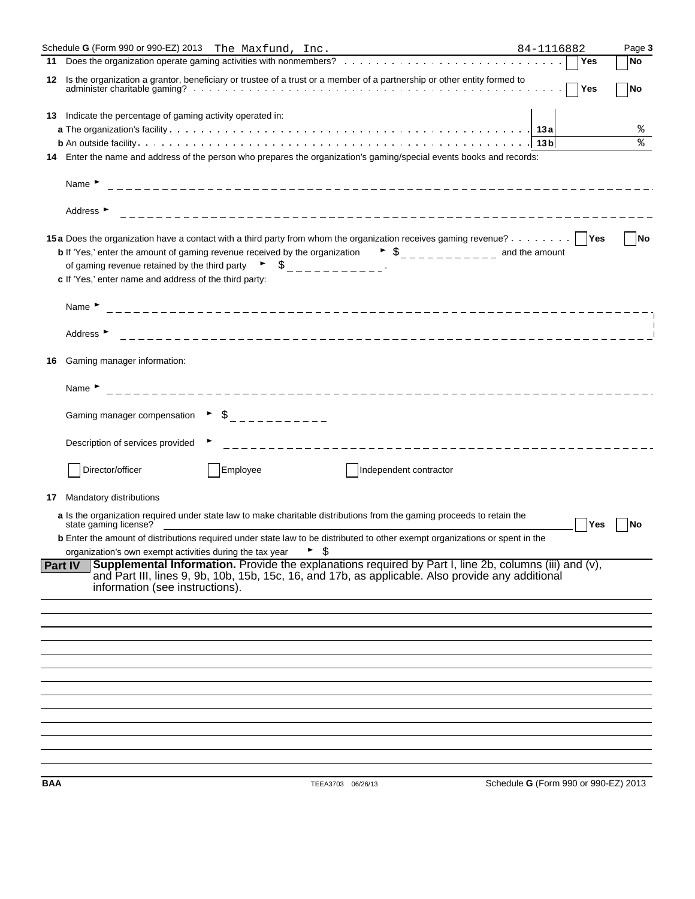|     | Schedule G (Form 990 or 990-EZ) 2013 The Maxfund, Inc.<br><u> 1989 - Johann Barn, mars ann an t-Amhain an t-Amhain an t-Amhain an t-Amhain an t-Amhain an t-Amhain an t-Amh</u>                                                                                                                                                    | 84-1116882                           |            | Page 3                   |
|-----|------------------------------------------------------------------------------------------------------------------------------------------------------------------------------------------------------------------------------------------------------------------------------------------------------------------------------------|--------------------------------------|------------|--------------------------|
| 11  |                                                                                                                                                                                                                                                                                                                                    |                                      | Yes        | No                       |
| 12  | Is the organization a grantor, beneficiary or trustee of a trust or a member of a partnership or other entity formed to                                                                                                                                                                                                            |                                      | $\neg$ Yes | $\overline{\mathsf{No}}$ |
|     |                                                                                                                                                                                                                                                                                                                                    |                                      |            |                          |
|     | 13 Indicate the percentage of gaming activity operated in:                                                                                                                                                                                                                                                                         |                                      |            |                          |
|     |                                                                                                                                                                                                                                                                                                                                    |                                      |            | ႜ<br>٩,                  |
|     |                                                                                                                                                                                                                                                                                                                                    |                                      |            |                          |
| 14  | Enter the name and address of the person who prepares the organization's gaming/special events books and records:                                                                                                                                                                                                                  |                                      |            |                          |
|     | Name $\blacktriangleright$                                                                                                                                                                                                                                                                                                         |                                      |            |                          |
|     | Address $\blacktriangleright$                                                                                                                                                                                                                                                                                                      |                                      |            |                          |
|     | 15a Does the organization have a contact with a third party from whom the organization receives gaming revenue?   Yes                                                                                                                                                                                                              |                                      |            | No                       |
|     | <b>b</b> If 'Yes,' enter the amount of gaming revenue received by the organization $\bullet$ $\circ$ $\circ$ $\bullet$ $\circ$ $\circ$ $\circ$ $\circ$ and the amount                                                                                                                                                              |                                      |            |                          |
|     | of gaming revenue retained by the third party $\begin{array}{ccc} \bullet & \bullet & \end{array}$ $\begin{array}{ccc} \bullet & \bullet & \end{array}$                                                                                                                                                                            |                                      |            |                          |
|     | c If 'Yes,' enter name and address of the third party:                                                                                                                                                                                                                                                                             |                                      |            |                          |
|     |                                                                                                                                                                                                                                                                                                                                    |                                      |            |                          |
|     | Name $\blacktriangleright$                                                                                                                                                                                                                                                                                                         |                                      |            |                          |
|     |                                                                                                                                                                                                                                                                                                                                    |                                      |            |                          |
|     | Address ►                                                                                                                                                                                                                                                                                                                          |                                      |            |                          |
|     |                                                                                                                                                                                                                                                                                                                                    |                                      |            |                          |
| 16  | Gaming manager information:                                                                                                                                                                                                                                                                                                        |                                      |            |                          |
|     |                                                                                                                                                                                                                                                                                                                                    |                                      |            |                          |
|     | Name $\blacktriangleright$                                                                                                                                                                                                                                                                                                         |                                      |            |                          |
|     |                                                                                                                                                                                                                                                                                                                                    |                                      |            |                          |
|     | Gaming manager compensation $\qquad \qquad \frac{1}{2}$ $\qquad \frac{1}{2}$ $\qquad \qquad$ $\frac{1}{2}$ $\qquad$ $\qquad$ $\qquad$ $\qquad$ $\qquad$ $\qquad$ $\qquad$ $\qquad$ $\qquad$ $\qquad$ $\qquad$ $\qquad$ $\qquad$ $\qquad$ $\qquad$ $\qquad$ $\qquad$ $\qquad$ $\qquad$ $\qquad$ $\qquad$ $\qquad$ $\qquad$ $\qquad$ |                                      |            |                          |
|     |                                                                                                                                                                                                                                                                                                                                    |                                      |            |                          |
|     | Description of services provided                                                                                                                                                                                                                                                                                                   |                                      |            |                          |
|     |                                                                                                                                                                                                                                                                                                                                    |                                      |            |                          |
|     | Employee<br>Director/officer<br>Independent contractor                                                                                                                                                                                                                                                                             |                                      |            |                          |
|     |                                                                                                                                                                                                                                                                                                                                    |                                      |            |                          |
| 17  | Mandatory distributions                                                                                                                                                                                                                                                                                                            |                                      |            |                          |
|     | a Is the organization required under state law to make charitable distributions from the gaming proceeds to retain the                                                                                                                                                                                                             |                                      |            |                          |
|     | state gaming license?                                                                                                                                                                                                                                                                                                              |                                      | Yes        | No                       |
|     | <b>b</b> Enter the amount of distributions required under state law to be distributed to other exempt organizations or spent in the<br>organization's own exempt activities during the tax year                                                                                                                                    |                                      |            |                          |
|     | <b>Supplemental Information.</b> Provide the explanations required by Part I, line 2b, columns (iii) and (v),<br><b>Part IV</b>                                                                                                                                                                                                    |                                      |            |                          |
|     | and Part III, lines 9, 9b, 10b, 15b, 15c, 16, and 17b, as applicable. Also provide any additional                                                                                                                                                                                                                                  |                                      |            |                          |
|     | information (see instructions).                                                                                                                                                                                                                                                                                                    |                                      |            |                          |
|     |                                                                                                                                                                                                                                                                                                                                    |                                      |            |                          |
|     |                                                                                                                                                                                                                                                                                                                                    |                                      |            |                          |
|     |                                                                                                                                                                                                                                                                                                                                    |                                      |            |                          |
|     |                                                                                                                                                                                                                                                                                                                                    |                                      |            |                          |
|     |                                                                                                                                                                                                                                                                                                                                    |                                      |            |                          |
|     |                                                                                                                                                                                                                                                                                                                                    |                                      |            |                          |
|     |                                                                                                                                                                                                                                                                                                                                    |                                      |            |                          |
|     |                                                                                                                                                                                                                                                                                                                                    |                                      |            |                          |
|     |                                                                                                                                                                                                                                                                                                                                    |                                      |            |                          |
|     |                                                                                                                                                                                                                                                                                                                                    |                                      |            |                          |
|     |                                                                                                                                                                                                                                                                                                                                    |                                      |            |                          |
|     |                                                                                                                                                                                                                                                                                                                                    |                                      |            |                          |
|     |                                                                                                                                                                                                                                                                                                                                    |                                      |            |                          |
| BAA | TEEA3703 06/26/13                                                                                                                                                                                                                                                                                                                  | Schedule G (Form 990 or 990-EZ) 2013 |            |                          |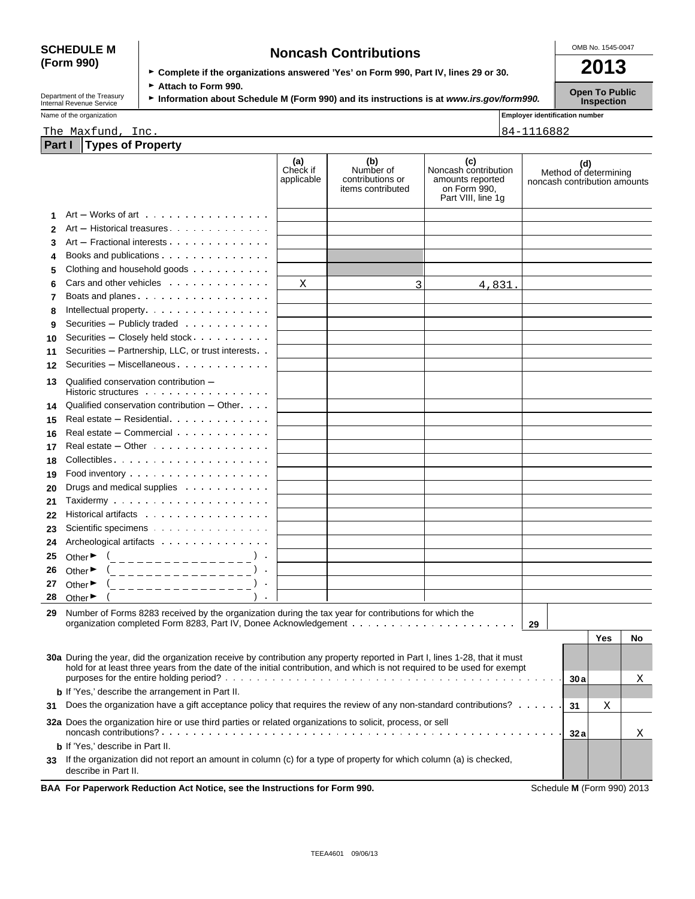# **(Form 990)**

| <b>SCHEDULE M</b> | <b>Noncash Contributions</b>                                                         | OMB No. 1545-0047 |  |
|-------------------|--------------------------------------------------------------------------------------|-------------------|--|
| (Form 990)        | ► Complete if the organizations answered 'Yes' on Form 990, Part IV, lines 29 or 30. | 2013              |  |
|                   | . . <i>.</i> .                                                                       |                   |  |

Department of the Treasury **► Attach to Form 990.**<br>Information about Schedule M (Form 990) and its instructions is at *www.irs.gov/form990.* Inspection<br>Inspection

| Name of the organization |      | <b>Employer identification number</b> |
|--------------------------|------|---------------------------------------|
| The<br>Maxtund,          | Inc. | $84-$<br>688Z<br>טו                   |

|  | Part I Types of Property |  |
|--|--------------------------|--|
|  |                          |  |

|    |                                                                                                                                                                                                                                                         | (a)<br>Check if<br>applicable | (b)<br>Number of<br>contributions or<br>items contributed | (c)<br>Noncash contribution<br>amounts reported<br>on Form 990,<br>Part VIII, line 1g | Method of determining<br>noncash contribution amounts | (d) |    |
|----|---------------------------------------------------------------------------------------------------------------------------------------------------------------------------------------------------------------------------------------------------------|-------------------------------|-----------------------------------------------------------|---------------------------------------------------------------------------------------|-------------------------------------------------------|-----|----|
| 1  | $Art - Works$ of art $\ldots$ $\ldots$ $\ldots$ $\ldots$ $\ldots$                                                                                                                                                                                       |                               |                                                           |                                                                                       |                                                       |     |    |
| 2  | Art - Historical treasures                                                                                                                                                                                                                              |                               |                                                           |                                                                                       |                                                       |     |    |
| 3  | Art - Fractional interests                                                                                                                                                                                                                              |                               |                                                           |                                                                                       |                                                       |     |    |
| 4  | Books and publications                                                                                                                                                                                                                                  |                               |                                                           |                                                                                       |                                                       |     |    |
| 5  | Clothing and household goods                                                                                                                                                                                                                            |                               |                                                           |                                                                                       |                                                       |     |    |
| 6  | Cars and other vehicles                                                                                                                                                                                                                                 | Χ                             | 3                                                         | 4,831.                                                                                |                                                       |     |    |
| 7  | Boats and planes                                                                                                                                                                                                                                        |                               |                                                           |                                                                                       |                                                       |     |    |
| 8  | Intellectual property.                                                                                                                                                                                                                                  |                               |                                                           |                                                                                       |                                                       |     |    |
| 9  | Securities - Publicly traded                                                                                                                                                                                                                            |                               |                                                           |                                                                                       |                                                       |     |    |
| 10 | Securities - Closely held stock                                                                                                                                                                                                                         |                               |                                                           |                                                                                       |                                                       |     |    |
| 11 | Securities - Partnership, LLC, or trust interests                                                                                                                                                                                                       |                               |                                                           |                                                                                       |                                                       |     |    |
| 12 | Securities - Miscellaneous.                                                                                                                                                                                                                             |                               |                                                           |                                                                                       |                                                       |     |    |
| 13 | Qualified conservation contribution -<br>Historic structures experience and the state of the Historic structures                                                                                                                                        |                               |                                                           |                                                                                       |                                                       |     |    |
| 14 | Qualified conservation contribution – Other                                                                                                                                                                                                             |                               |                                                           |                                                                                       |                                                       |     |    |
| 15 | Real estate - Residential                                                                                                                                                                                                                               |                               |                                                           |                                                                                       |                                                       |     |    |
| 16 | Real estate – Commercial                                                                                                                                                                                                                                |                               |                                                           |                                                                                       |                                                       |     |    |
| 17 | Real estate $-$ Other $\cdots$ $\cdots$ $\cdots$ $\cdots$ $\cdots$                                                                                                                                                                                      |                               |                                                           |                                                                                       |                                                       |     |    |
| 18 | Collectibles                                                                                                                                                                                                                                            |                               |                                                           |                                                                                       |                                                       |     |    |
| 19 |                                                                                                                                                                                                                                                         |                               |                                                           |                                                                                       |                                                       |     |    |
| 20 | Drugs and medical supplies                                                                                                                                                                                                                              |                               |                                                           |                                                                                       |                                                       |     |    |
| 21 |                                                                                                                                                                                                                                                         |                               |                                                           |                                                                                       |                                                       |     |    |
| 22 | Historical artifacts                                                                                                                                                                                                                                    |                               |                                                           |                                                                                       |                                                       |     |    |
| 23 | Scientific specimens                                                                                                                                                                                                                                    |                               |                                                           |                                                                                       |                                                       |     |    |
| 24 | Archeological artifacts                                                                                                                                                                                                                                 |                               |                                                           |                                                                                       |                                                       |     |    |
| 25 | Other $\blacktriangleright$<br>(_________________                                                                                                                                                                                                       |                               |                                                           |                                                                                       |                                                       |     |    |
| 26 | Other $\blacktriangleright$<br>_______________                                                                                                                                                                                                          |                               |                                                           |                                                                                       |                                                       |     |    |
| 27 | Other $\blacktriangleright$<br>_______________                                                                                                                                                                                                          |                               |                                                           |                                                                                       |                                                       |     |    |
| 28 | Other ▶                                                                                                                                                                                                                                                 |                               |                                                           |                                                                                       |                                                       |     |    |
| 29 | Number of Forms 8283 received by the organization during the tax year for contributions for which the                                                                                                                                                   |                               |                                                           |                                                                                       |                                                       |     |    |
|    |                                                                                                                                                                                                                                                         |                               |                                                           |                                                                                       | 29                                                    |     |    |
|    |                                                                                                                                                                                                                                                         |                               |                                                           |                                                                                       |                                                       | Yes | No |
|    | 30a During the year, did the organization receive by contribution any property reported in Part I, lines 1-28, that it must<br>hold for at least three years from the date of the initial contribution, and which is not required to be used for exempt |                               |                                                           |                                                                                       |                                                       |     |    |
|    |                                                                                                                                                                                                                                                         |                               |                                                           |                                                                                       | 30a                                                   |     | Χ  |
|    | <b>b</b> If 'Yes,' describe the arrangement in Part II.                                                                                                                                                                                                 |                               |                                                           |                                                                                       |                                                       |     |    |
| 31 | Does the organization have a gift acceptance policy that requires the review of any non-standard contributions?                                                                                                                                         |                               |                                                           |                                                                                       | 31                                                    | Χ   |    |
|    | 32a Does the organization hire or use third parties or related organizations to solicit, process, or sell                                                                                                                                               |                               |                                                           |                                                                                       | 32 a                                                  |     | Χ  |
|    | <b>b</b> If 'Yes,' describe in Part II.                                                                                                                                                                                                                 |                               |                                                           |                                                                                       |                                                       |     |    |
| 33 | If the organization did not report an amount in column (c) for a type of property for which column (a) is checked,<br>describe in Part II.                                                                                                              |                               |                                                           |                                                                                       |                                                       |     |    |
|    | BAA For Paperwork Reduction Act Notice, see the Instructions for Form 990.                                                                                                                                                                              |                               |                                                           |                                                                                       | Schedule M (Form 990) 2013                            |     |    |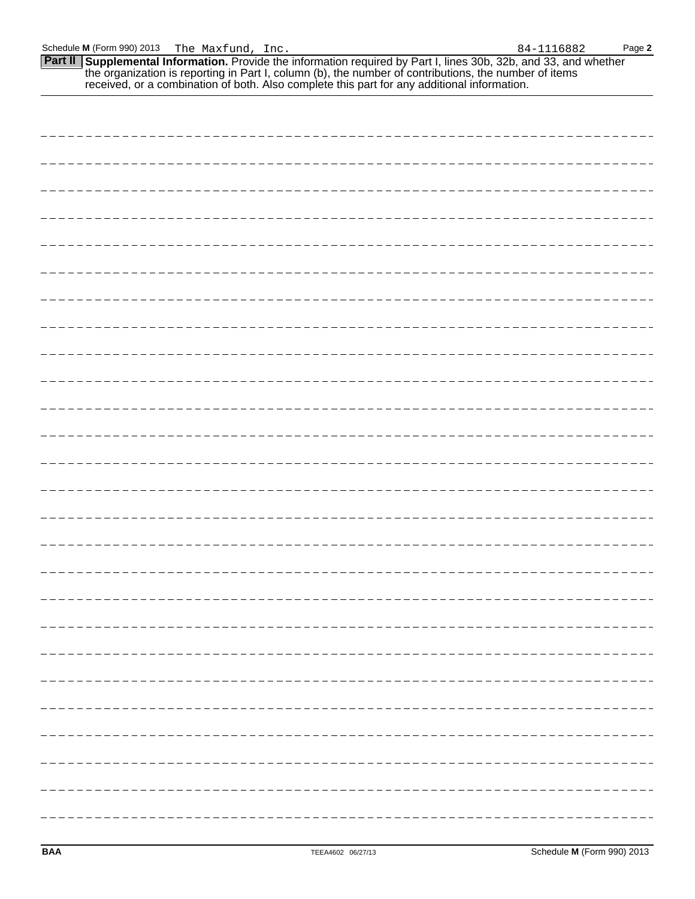**Part II Supplemental Information.** Provide the information required by Part I, lines 30b, 32b, and 33, and whether the organization is reporting in Part I, column (b), the number of contributions, the number of items received, or a combination of both. Also complete this part for any additional information.

| - - - - - |
|-----------|
| - - - - - |
|           |
|           |
|           |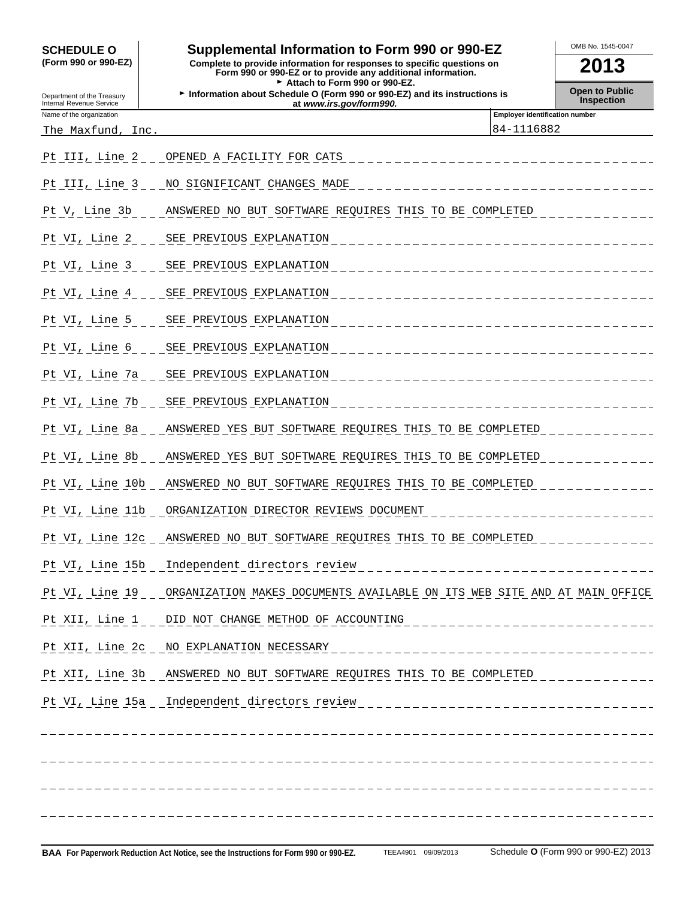### SCHEDULE O **combination to Form 990 or 990-EZ COMB No. 1545-0047**

**(Form 990 or 990-EZ) Complete to provide information for responses to specific questions on Form 990 or 990-EZ or to provide any additional information. 2013** Attach to Form 990 or 990-EZ.

**Department of the Treasury <b>Information about Schedule O (Form 990 or 990-EZ) and its instructions is Departion Depart of Public**<br>Internal Revenue Service **Inspection at** *www.irs.gov/form990.* **at** *at www.irs.gov/f* 

**Employer identification number** 

| Name of the organization |  |
|--------------------------|--|

The Maxfund, Inc. 2010 2020 2021 2021 2022 2023 2024 2022 2023 2024 2024 2022 2023 2024 2022 2023 2024 2022 20

| Pt III, Line 2. | OPENED A FACILITY FOR CATS                                                       |
|-----------------|----------------------------------------------------------------------------------|
|                 | Pt III, Line 3 _ _ NO SIGNIFICANT CHANGES MADE                                   |
| Pt V, Line 3b   | ANSWERED NO BUT SOFTWARE REQUIRES THIS TO BE COMPLETED                           |
| Pt VI, Line 2   | SEE PREVIOUS EXPLANATION                                                         |
| Pt VI, Line 3   | SEE PREVIOUS EXPLANATION                                                         |
| Pt VI, Line 4   | SEE PREVIOUS EXPLANATION                                                         |
| Pt VI, Line 5   | _ _ _ SEE PREVIOUS EXPLANATION                                                   |
| Pt VI, Line 6   | _____SEE_PREVIOUS_EXPLANATION                                                    |
| Pt VI, Line 7a  | SEE PREVIOUS EXPLANATION                                                         |
| Pt VI, Line 7b  | SEE PREVIOUS EXPLANATION                                                         |
| Pt VI, Line 8a  | ANSWERED YES BUT SOFTWARE REQUIRES THIS TO BE COMPLETED                          |
| Pt VI, Line 8b  | ANSWERED YES BUT SOFTWARE REQUIRES THIS TO BE COMPLETED.                         |
| Pt VI, Line 10b | ANSWERED NO BUT SOFTWARE REQUIRES THIS TO BE COMPLETED                           |
| Pt VI, Line 11b | ORGANIZATION DIRECTOR REVIEWS DOCUMENT                                           |
| Pt VI, Line 12c | ANSWERED NO BUT SOFTWARE REQUIRES THIS TO BE COMPLETED                           |
| Pt VI, Line 15b | Independent directors review                                                     |
| Pt VI, Line 19  | ORGANIZATION MAKES DOCUMENTS AVAILABLE ON ITS WEB SITE AND AT MAIN OFFICE        |
|                 | Pt XII, Line 1 _ _ DID NOT CHANGE METHOD OF ACCOUNTING                           |
| Pt XII, Line 2c | NO EXPLANATION NECESSARY                                                         |
|                 | Pt XII, Line 3b ANSWERED NO BUT SOFTWARE REQUIRES THIS TO BE COMPLETED           |
|                 | Pt VI, Line 15a _ Independent directors review _________________________________ |
|                 |                                                                                  |
|                 |                                                                                  |
|                 |                                                                                  |
|                 |                                                                                  |
|                 |                                                                                  |